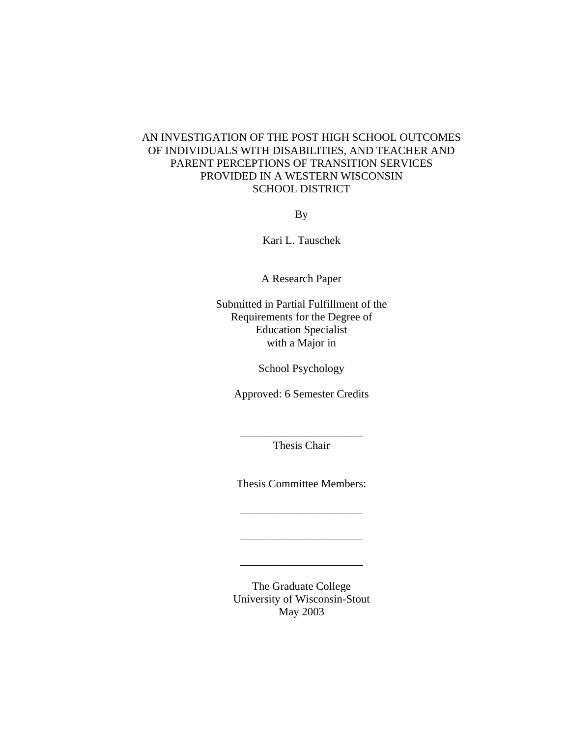## AN INVESTIGATION OF THE POST HIGH SCHOOL OUTCOMES OF INDIVIDUALS WITH DISABILITIES, AND TEACHER AND PARENT PERCEPTIONS OF TRANSITION SERVICES PROVIDED IN A WESTERN WISCONSIN SCHOOL DISTRICT

By

Kari L. Tauschek

A Research Paper

Submitted in Partial Fulfillment of the Requirements for the Degree of Education Specialist with a Major in

School Psychology

Approved: 6 Semester Credits

\_\_\_\_\_\_\_\_\_\_\_\_\_\_\_\_\_\_\_\_\_\_ Thesis Chair

Thesis Committee Members:

\_\_\_\_\_\_\_\_\_\_\_\_\_\_\_\_\_\_\_\_\_\_

\_\_\_\_\_\_\_\_\_\_\_\_\_\_\_\_\_\_\_\_\_\_

\_\_\_\_\_\_\_\_\_\_\_\_\_\_\_\_\_\_\_\_\_\_

The Graduate College University of Wisconsin-Stout May 2003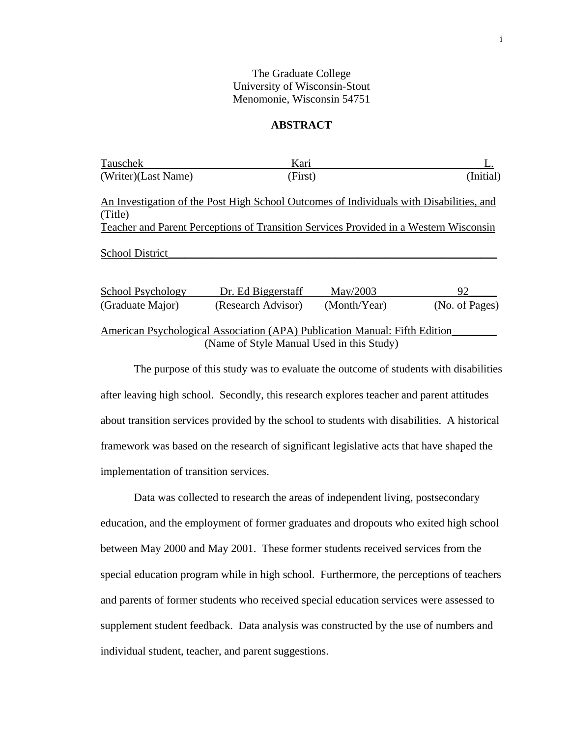## The Graduate College University of Wisconsin-Stout Menomonie, Wisconsin 54751

## **ABSTRACT**

| Tauschek                 | Kari                                                                                    |              |                |
|--------------------------|-----------------------------------------------------------------------------------------|--------------|----------------|
| (Writer)(Last Name)      |                                                                                         | (First)      |                |
|                          | An Investigation of the Post High School Outcomes of Individuals with Disabilities, and |              |                |
| (Title)                  |                                                                                         |              |                |
|                          | Teacher and Parent Perceptions of Transition Services Provided in a Western Wisconsin   |              |                |
| <b>School District</b>   |                                                                                         |              |                |
| <b>School Psychology</b> | Dr. Ed Biggerstaff                                                                      | May/2003     | 92             |
| (Graduate Major)         | (Research Advisor)                                                                      | (Month/Year) | (No. of Pages) |
|                          |                                                                                         |              |                |

American Psychological Association (APA) Publication Manual: Fifth Edition\_\_\_\_\_\_\_\_ (Name of Style Manual Used in this Study)

The purpose of this study was to evaluate the outcome of students with disabilities after leaving high school. Secondly, this research explores teacher and parent attitudes about transition services provided by the school to students with disabilities. A historical framework was based on the research of significant legislative acts that have shaped the implementation of transition services.

Data was collected to research the areas of independent living, postsecondary education, and the employment of former graduates and dropouts who exited high school between May 2000 and May 2001. These former students received services from the special education program while in high school. Furthermore, the perceptions of teachers and parents of former students who received special education services were assessed to supplement student feedback. Data analysis was constructed by the use of numbers and individual student, teacher, and parent suggestions.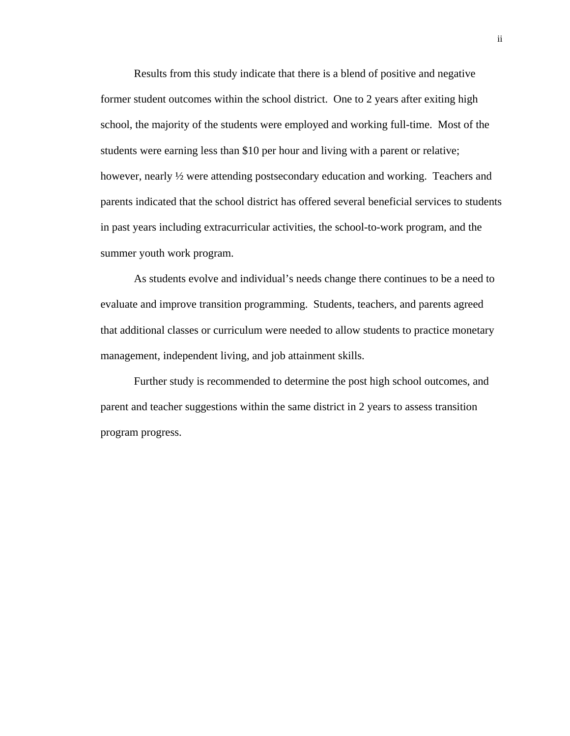Results from this study indicate that there is a blend of positive and negative former student outcomes within the school district. One to 2 years after exiting high school, the majority of the students were employed and working full-time. Most of the students were earning less than \$10 per hour and living with a parent or relative; however, nearly ½ were attending postsecondary education and working. Teachers and parents indicated that the school district has offered several beneficial services to students in past years including extracurricular activities, the school-to-work program, and the summer youth work program.

As students evolve and individual's needs change there continues to be a need to evaluate and improve transition programming. Students, teachers, and parents agreed that additional classes or curriculum were needed to allow students to practice monetary management, independent living, and job attainment skills.

Further study is recommended to determine the post high school outcomes, and parent and teacher suggestions within the same district in 2 years to assess transition program progress.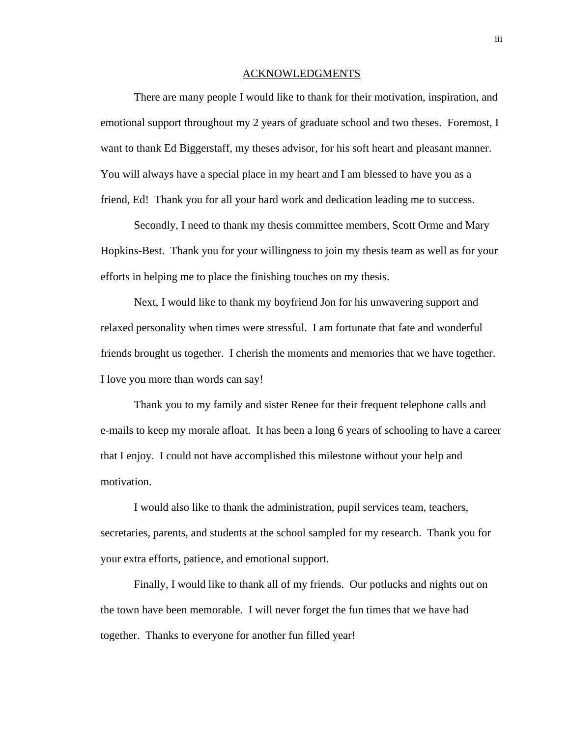#### ACKNOWLEDGMENTS

There are many people I would like to thank for their motivation, inspiration, and emotional support throughout my 2 years of graduate school and two theses. Foremost, I want to thank Ed Biggerstaff, my theses advisor, for his soft heart and pleasant manner. You will always have a special place in my heart and I am blessed to have you as a friend, Ed! Thank you for all your hard work and dedication leading me to success.

Secondly, I need to thank my thesis committee members, Scott Orme and Mary Hopkins-Best. Thank you for your willingness to join my thesis team as well as for your efforts in helping me to place the finishing touches on my thesis.

Next, I would like to thank my boyfriend Jon for his unwavering support and relaxed personality when times were stressful. I am fortunate that fate and wonderful friends brought us together. I cherish the moments and memories that we have together. I love you more than words can say!

Thank you to my family and sister Renee for their frequent telephone calls and e-mails to keep my morale afloat. It has been a long 6 years of schooling to have a career that I enjoy. I could not have accomplished this milestone without your help and motivation.

I would also like to thank the administration, pupil services team, teachers, secretaries, parents, and students at the school sampled for my research. Thank you for your extra efforts, patience, and emotional support.

Finally, I would like to thank all of my friends. Our potlucks and nights out on the town have been memorable. I will never forget the fun times that we have had together. Thanks to everyone for another fun filled year!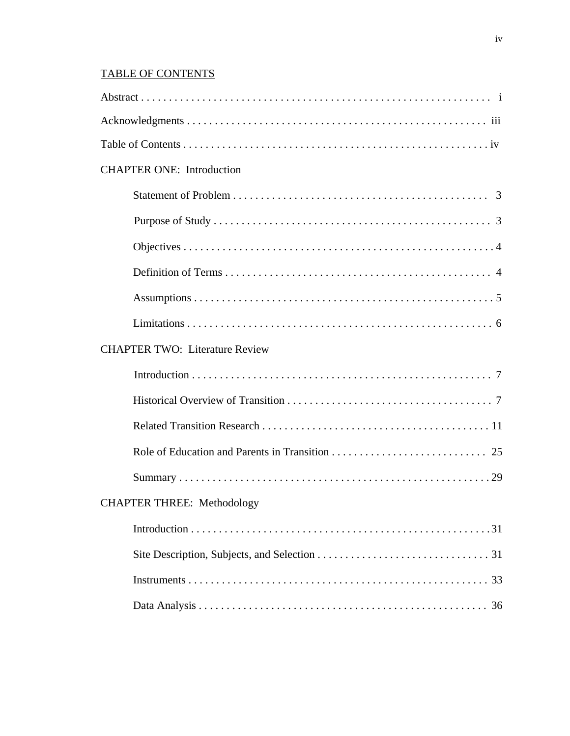## TABLE OF CONTENTS

| <b>CHAPTER ONE: Introduction</b>      |
|---------------------------------------|
|                                       |
|                                       |
|                                       |
|                                       |
|                                       |
|                                       |
| <b>CHAPTER TWO: Literature Review</b> |
|                                       |
|                                       |
|                                       |
|                                       |
|                                       |
| <b>CHAPTER THREE: Methodology</b>     |
|                                       |
|                                       |
|                                       |
|                                       |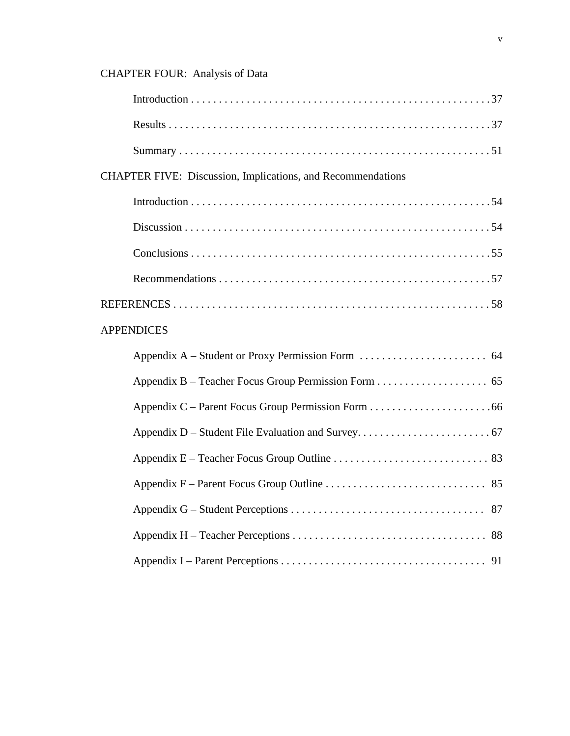# CHAPTER FOUR: Analysis of Data

| <b>CHAPTER FIVE: Discussion, Implications, and Recommendations</b> |
|--------------------------------------------------------------------|
|                                                                    |
|                                                                    |
|                                                                    |
|                                                                    |
|                                                                    |
| <b>APPENDICES</b>                                                  |
|                                                                    |
|                                                                    |
|                                                                    |
|                                                                    |
|                                                                    |
|                                                                    |
|                                                                    |
|                                                                    |
|                                                                    |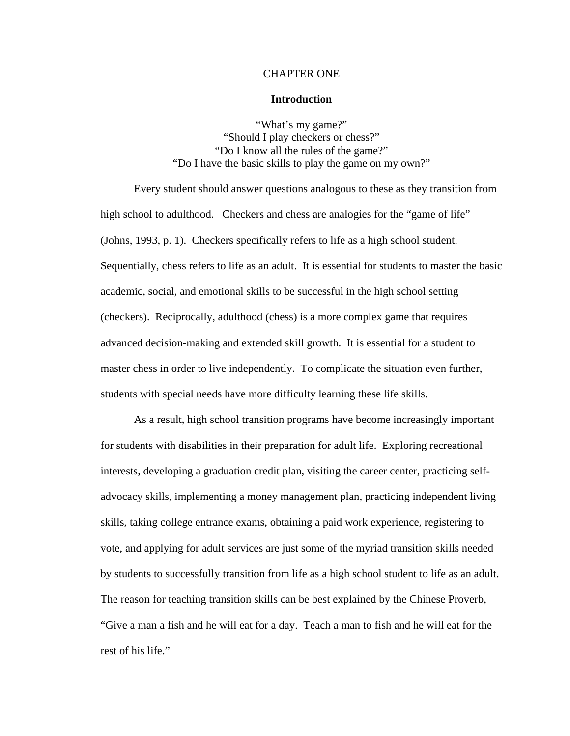## CHAPTER ONE

### **Introduction**

"What's my game?" "Should I play checkers or chess?" "Do I know all the rules of the game?" "Do I have the basic skills to play the game on my own?"

Every student should answer questions analogous to these as they transition from high school to adulthood. Checkers and chess are analogies for the "game of life" (Johns, 1993, p. 1). Checkers specifically refers to life as a high school student. Sequentially, chess refers to life as an adult. It is essential for students to master the basic academic, social, and emotional skills to be successful in the high school setting (checkers). Reciprocally, adulthood (chess) is a more complex game that requires advanced decision-making and extended skill growth. It is essential for a student to master chess in order to live independently. To complicate the situation even further, students with special needs have more difficulty learning these life skills.

As a result, high school transition programs have become increasingly important for students with disabilities in their preparation for adult life. Exploring recreational interests, developing a graduation credit plan, visiting the career center, practicing selfadvocacy skills, implementing a money management plan, practicing independent living skills, taking college entrance exams, obtaining a paid work experience, registering to vote, and applying for adult services are just some of the myriad transition skills needed by students to successfully transition from life as a high school student to life as an adult. The reason for teaching transition skills can be best explained by the Chinese Proverb, "Give a man a fish and he will eat for a day. Teach a man to fish and he will eat for the rest of his life."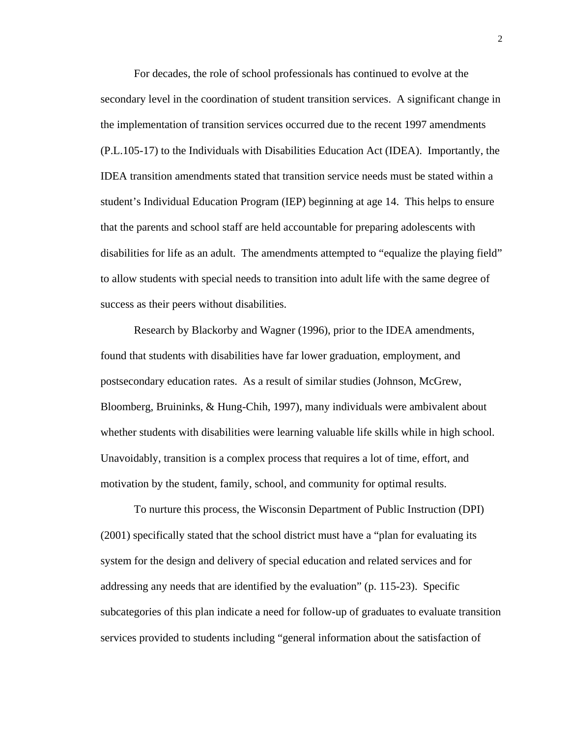For decades, the role of school professionals has continued to evolve at the secondary level in the coordination of student transition services. A significant change in the implementation of transition services occurred due to the recent 1997 amendments (P.L.105-17) to the Individuals with Disabilities Education Act (IDEA). Importantly, the IDEA transition amendments stated that transition service needs must be stated within a student's Individual Education Program (IEP) beginning at age 14. This helps to ensure that the parents and school staff are held accountable for preparing adolescents with disabilities for life as an adult. The amendments attempted to "equalize the playing field" to allow students with special needs to transition into adult life with the same degree of success as their peers without disabilities.

Research by Blackorby and Wagner (1996), prior to the IDEA amendments, found that students with disabilities have far lower graduation, employment, and postsecondary education rates. As a result of similar studies (Johnson, McGrew, Bloomberg, Bruininks, & Hung-Chih, 1997), many individuals were ambivalent about whether students with disabilities were learning valuable life skills while in high school. Unavoidably, transition is a complex process that requires a lot of time, effort, and motivation by the student, family, school, and community for optimal results.

To nurture this process, the Wisconsin Department of Public Instruction (DPI) (2001) specifically stated that the school district must have a "plan for evaluating its system for the design and delivery of special education and related services and for addressing any needs that are identified by the evaluation" (p. 115-23). Specific subcategories of this plan indicate a need for follow-up of graduates to evaluate transition services provided to students including "general information about the satisfaction of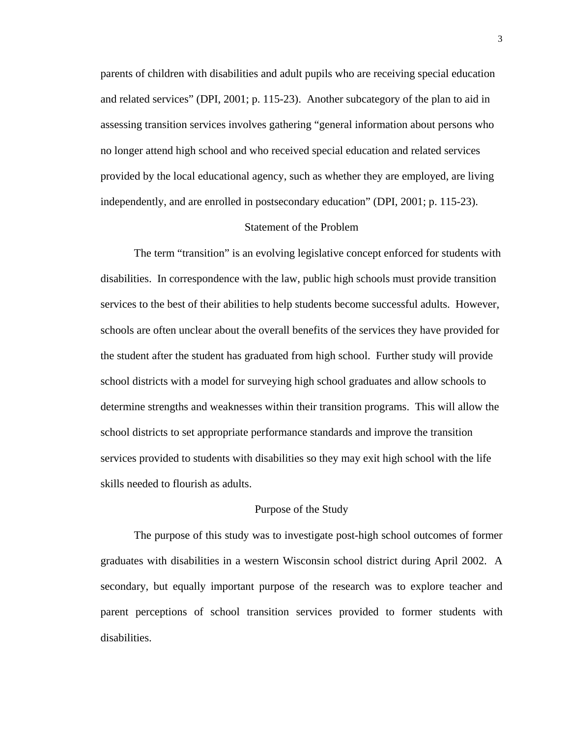parents of children with disabilities and adult pupils who are receiving special education and related services" (DPI, 2001; p. 115-23). Another subcategory of the plan to aid in assessing transition services involves gathering "general information about persons who no longer attend high school and who received special education and related services provided by the local educational agency, such as whether they are employed, are living independently, and are enrolled in postsecondary education" (DPI, 2001; p. 115-23).

## Statement of the Problem

The term "transition" is an evolving legislative concept enforced for students with disabilities. In correspondence with the law, public high schools must provide transition services to the best of their abilities to help students become successful adults. However, schools are often unclear about the overall benefits of the services they have provided for the student after the student has graduated from high school. Further study will provide school districts with a model for surveying high school graduates and allow schools to determine strengths and weaknesses within their transition programs. This will allow the school districts to set appropriate performance standards and improve the transition services provided to students with disabilities so they may exit high school with the life skills needed to flourish as adults.

#### Purpose of the Study

The purpose of this study was to investigate post-high school outcomes of former graduates with disabilities in a western Wisconsin school district during April 2002. A secondary, but equally important purpose of the research was to explore teacher and parent perceptions of school transition services provided to former students with disabilities.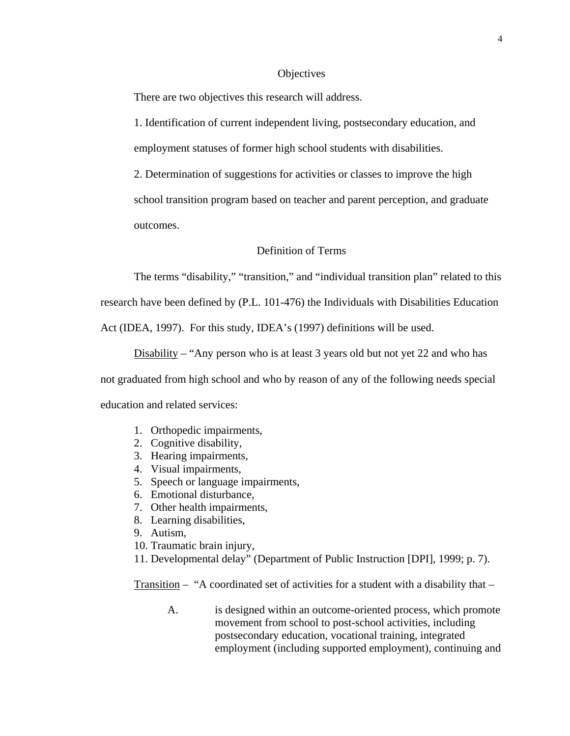## **Objectives**

There are two objectives this research will address.

1. Identification of current independent living, postsecondary education, and employment statuses of former high school students with disabilities.

2. Determination of suggestions for activities or classes to improve the high school transition program based on teacher and parent perception, and graduate outcomes.

## Definition of Terms

The terms "disability," "transition," and "individual transition plan" related to this research have been defined by (P.L. 101-476) the Individuals with Disabilities Education

Act (IDEA, 1997). For this study, IDEA's (1997) definitions will be used.

Disability – "Any person who is at least 3 years old but not yet 22 and who has

not graduated from high school and who by reason of any of the following needs special education and related services:

- 1. Orthopedic impairments,
- 2. Cognitive disability,
- 3. Hearing impairments,
- 4. Visual impairments,
- 5. Speech or language impairments,
- 6. Emotional disturbance,
- 7. Other health impairments,
- 8. Learning disabilities,
- 9. Autism,
- 10. Traumatic brain injury,
- 11. Developmental delay" (Department of Public Instruction [DPI], 1999; p. 7).

Transition – "A coordinated set of activities for a student with a disability that –

A. is designed within an outcome-oriented process, which promote movement from school to post-school activities, including postsecondary education, vocational training, integrated employment (including supported employment), continuing and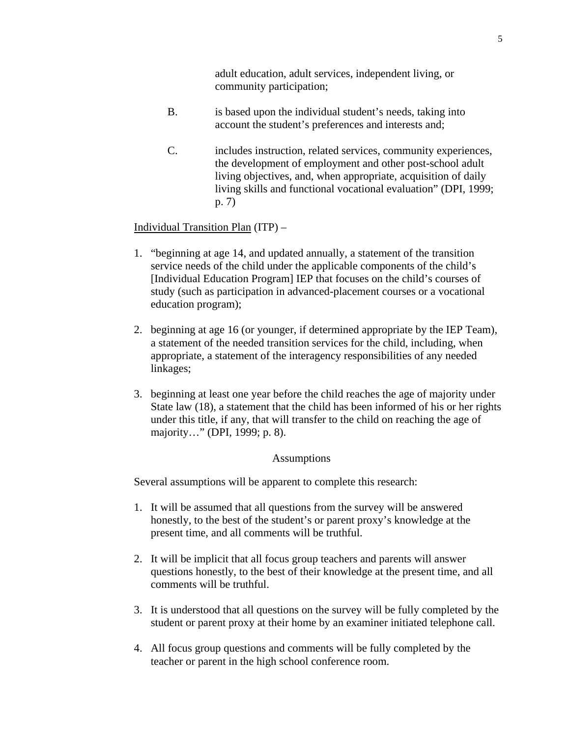adult education, adult services, independent living, or community participation;

- B. is based upon the individual student's needs, taking into account the student's preferences and interests and;
- C. includes instruction, related services, community experiences, the development of employment and other post-school adult living objectives, and, when appropriate, acquisition of daily living skills and functional vocational evaluation" (DPI, 1999; p. 7)

## Individual Transition Plan (ITP) –

- 1. "beginning at age 14, and updated annually, a statement of the transition service needs of the child under the applicable components of the child's [Individual Education Program] IEP that focuses on the child's courses of study (such as participation in advanced-placement courses or a vocational education program);
- 2. beginning at age 16 (or younger, if determined appropriate by the IEP Team), a statement of the needed transition services for the child, including, when appropriate, a statement of the interagency responsibilities of any needed linkages;
- 3. beginning at least one year before the child reaches the age of majority under State law (18), a statement that the child has been informed of his or her rights under this title, if any, that will transfer to the child on reaching the age of majority…" (DPI, 1999; p. 8).

#### Assumptions

Several assumptions will be apparent to complete this research:

- 1. It will be assumed that all questions from the survey will be answered honestly, to the best of the student's or parent proxy's knowledge at the present time, and all comments will be truthful.
- 2. It will be implicit that all focus group teachers and parents will answer questions honestly, to the best of their knowledge at the present time, and all comments will be truthful.
- 3. It is understood that all questions on the survey will be fully completed by the student or parent proxy at their home by an examiner initiated telephone call.
- 4. All focus group questions and comments will be fully completed by the teacher or parent in the high school conference room.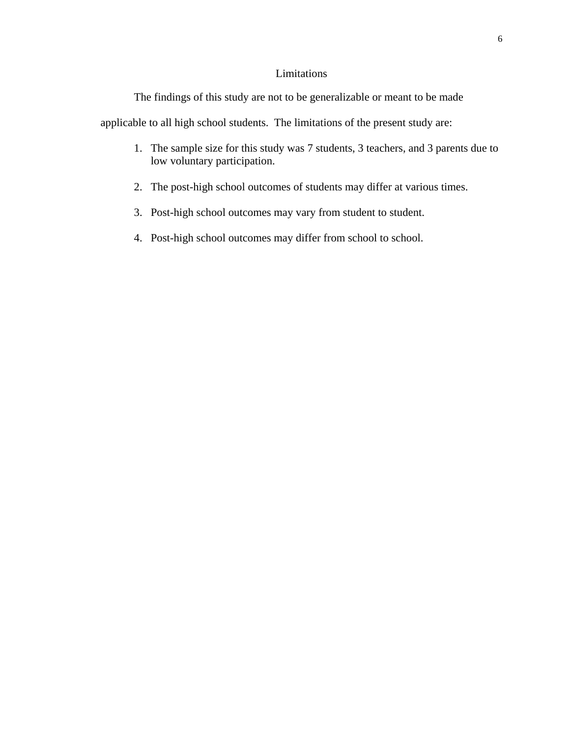## Limitations

The findings of this study are not to be generalizable or meant to be made

applicable to all high school students. The limitations of the present study are:

- 1. The sample size for this study was 7 students, 3 teachers, and 3 parents due to low voluntary participation.
- 2. The post-high school outcomes of students may differ at various times.
- 3. Post-high school outcomes may vary from student to student.
- 4. Post-high school outcomes may differ from school to school.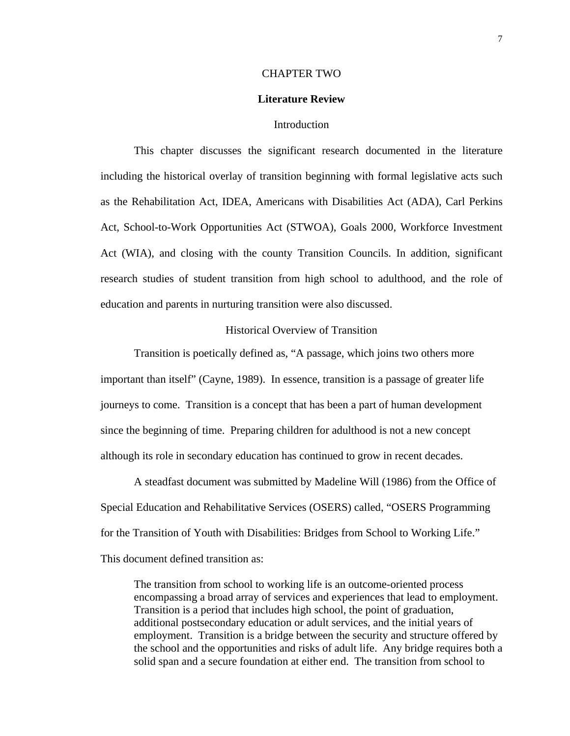#### CHAPTER TWO

## **Literature Review**

## **Introduction**

This chapter discusses the significant research documented in the literature including the historical overlay of transition beginning with formal legislative acts such as the Rehabilitation Act, IDEA, Americans with Disabilities Act (ADA), Carl Perkins Act, School-to-Work Opportunities Act (STWOA), Goals 2000, Workforce Investment Act (WIA), and closing with the county Transition Councils. In addition, significant research studies of student transition from high school to adulthood, and the role of education and parents in nurturing transition were also discussed.

## Historical Overview of Transition

Transition is poetically defined as, "A passage, which joins two others more important than itself" (Cayne, 1989). In essence, transition is a passage of greater life journeys to come. Transition is a concept that has been a part of human development since the beginning of time. Preparing children for adulthood is not a new concept although its role in secondary education has continued to grow in recent decades.

A steadfast document was submitted by Madeline Will (1986) from the Office of Special Education and Rehabilitative Services (OSERS) called, "OSERS Programming for the Transition of Youth with Disabilities: Bridges from School to Working Life." This document defined transition as:

The transition from school to working life is an outcome-oriented process encompassing a broad array of services and experiences that lead to employment. Transition is a period that includes high school, the point of graduation, additional postsecondary education or adult services, and the initial years of employment. Transition is a bridge between the security and structure offered by the school and the opportunities and risks of adult life. Any bridge requires both a solid span and a secure foundation at either end. The transition from school to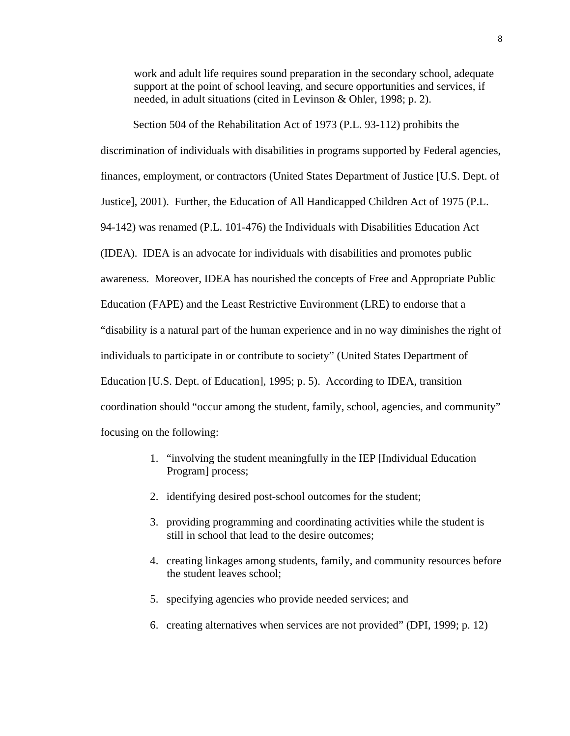work and adult life requires sound preparation in the secondary school, adequate support at the point of school leaving, and secure opportunities and services, if needed, in adult situations (cited in Levinson & Ohler, 1998; p. 2).

Section 504 of the Rehabilitation Act of 1973 (P.L. 93-112) prohibits the discrimination of individuals with disabilities in programs supported by Federal agencies, finances, employment, or contractors (United States Department of Justice [U.S. Dept. of Justice], 2001). Further, the Education of All Handicapped Children Act of 1975 (P.L. 94-142) was renamed (P.L. 101-476) the Individuals with Disabilities Education Act (IDEA). IDEA is an advocate for individuals with disabilities and promotes public awareness. Moreover, IDEA has nourished the concepts of Free and Appropriate Public Education (FAPE) and the Least Restrictive Environment (LRE) to endorse that a "disability is a natural part of the human experience and in no way diminishes the right of individuals to participate in or contribute to society" (United States Department of Education [U.S. Dept. of Education], 1995; p. 5). According to IDEA, transition coordination should "occur among the student, family, school, agencies, and community" focusing on the following:

- 1. "involving the student meaningfully in the IEP [Individual Education Program] process;
- 2. identifying desired post-school outcomes for the student;
- 3. providing programming and coordinating activities while the student is still in school that lead to the desire outcomes;
- 4. creating linkages among students, family, and community resources before the student leaves school;
- 5. specifying agencies who provide needed services; and
- 6. creating alternatives when services are not provided" (DPI, 1999; p. 12)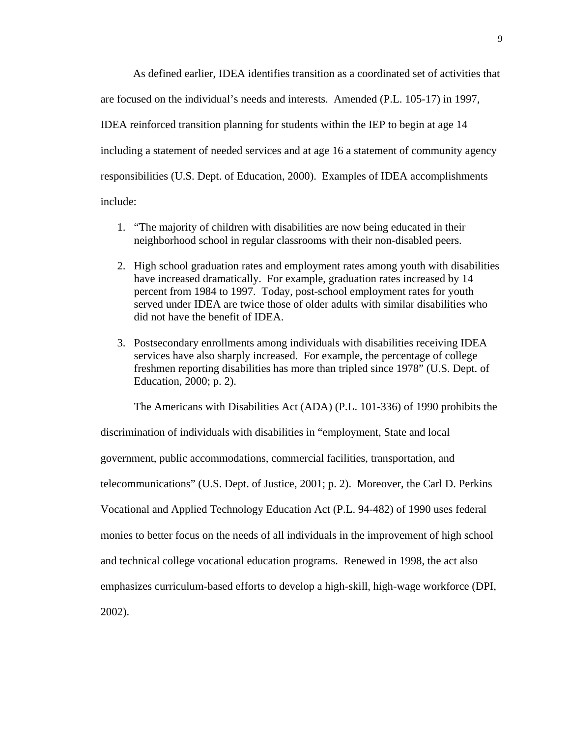As defined earlier, IDEA identifies transition as a coordinated set of activities that are focused on the individual's needs and interests. Amended (P.L. 105-17) in 1997, IDEA reinforced transition planning for students within the IEP to begin at age 14 including a statement of needed services and at age 16 a statement of community agency responsibilities (U.S. Dept. of Education, 2000). Examples of IDEA accomplishments include:

- 1. "The majority of children with disabilities are now being educated in their neighborhood school in regular classrooms with their non-disabled peers.
- 2. High school graduation rates and employment rates among youth with disabilities have increased dramatically. For example, graduation rates increased by 14 percent from 1984 to 1997. Today, post-school employment rates for youth served under IDEA are twice those of older adults with similar disabilities who did not have the benefit of IDEA.
- 3. Postsecondary enrollments among individuals with disabilities receiving IDEA services have also sharply increased. For example, the percentage of college freshmen reporting disabilities has more than tripled since 1978" (U.S. Dept. of Education, 2000; p. 2).

The Americans with Disabilities Act (ADA) (P.L. 101-336) of 1990 prohibits the

discrimination of individuals with disabilities in "employment, State and local government, public accommodations, commercial facilities, transportation, and telecommunications" (U.S. Dept. of Justice, 2001; p. 2). Moreover, the Carl D. Perkins Vocational and Applied Technology Education Act (P.L. 94-482) of 1990 uses federal monies to better focus on the needs of all individuals in the improvement of high school and technical college vocational education programs. Renewed in 1998, the act also emphasizes curriculum-based efforts to develop a high-skill, high-wage workforce (DPI, 2002).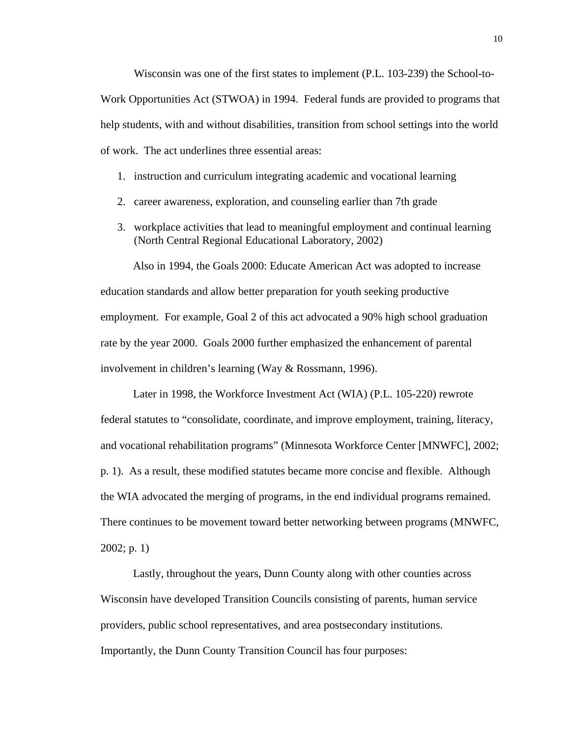Wisconsin was one of the first states to implement (P.L. 103-239) the School-to-Work Opportunities Act (STWOA) in 1994. Federal funds are provided to programs that help students, with and without disabilities, transition from school settings into the world of work. The act underlines three essential areas:

- 1. instruction and curriculum integrating academic and vocational learning
- 2. career awareness, exploration, and counseling earlier than 7th grade
- 3. workplace activities that lead to meaningful employment and continual learning (North Central Regional Educational Laboratory, 2002)

Also in 1994, the Goals 2000: Educate American Act was adopted to increase education standards and allow better preparation for youth seeking productive employment. For example, Goal 2 of this act advocated a 90% high school graduation rate by the year 2000. Goals 2000 further emphasized the enhancement of parental involvement in children's learning (Way & Rossmann, 1996).

Later in 1998, the Workforce Investment Act (WIA) (P.L. 105-220) rewrote federal statutes to "consolidate, coordinate, and improve employment, training, literacy, and vocational rehabilitation programs" (Minnesota Workforce Center [MNWFC], 2002; p. 1). As a result, these modified statutes became more concise and flexible. Although the WIA advocated the merging of programs, in the end individual programs remained. There continues to be movement toward better networking between programs (MNWFC, 2002; p. 1)

Lastly, throughout the years, Dunn County along with other counties across Wisconsin have developed Transition Councils consisting of parents, human service providers, public school representatives, and area postsecondary institutions. Importantly, the Dunn County Transition Council has four purposes: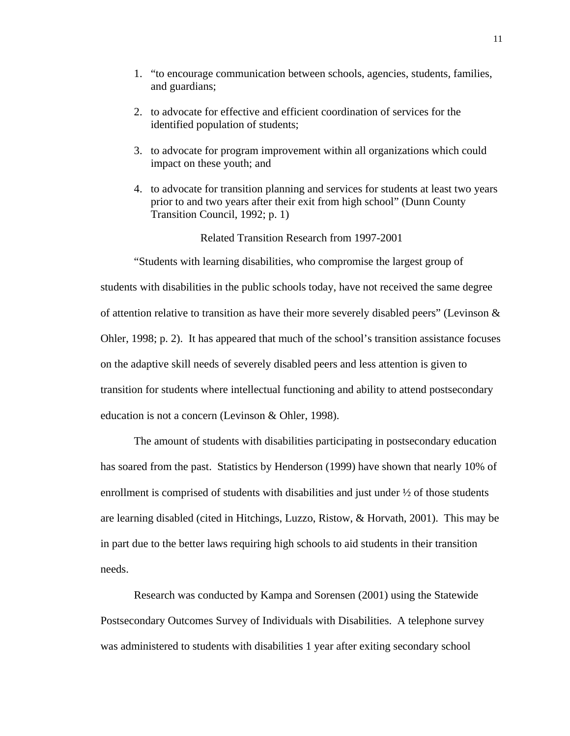- 1. "to encourage communication between schools, agencies, students, families, and guardians;
- 2. to advocate for effective and efficient coordination of services for the identified population of students;
- 3. to advocate for program improvement within all organizations which could impact on these youth; and
- 4. to advocate for transition planning and services for students at least two years prior to and two years after their exit from high school" (Dunn County Transition Council, 1992; p. 1)

Related Transition Research from 1997-2001

"Students with learning disabilities, who compromise the largest group of students with disabilities in the public schools today, have not received the same degree of attention relative to transition as have their more severely disabled peers" (Levinson & Ohler, 1998; p. 2). It has appeared that much of the school's transition assistance focuses on the adaptive skill needs of severely disabled peers and less attention is given to transition for students where intellectual functioning and ability to attend postsecondary education is not a concern (Levinson & Ohler, 1998).

The amount of students with disabilities participating in postsecondary education has soared from the past. Statistics by Henderson (1999) have shown that nearly 10% of enrollment is comprised of students with disabilities and just under ½ of those students are learning disabled (cited in Hitchings, Luzzo, Ristow, & Horvath, 2001). This may be in part due to the better laws requiring high schools to aid students in their transition needs.

Research was conducted by Kampa and Sorensen (2001) using the Statewide Postsecondary Outcomes Survey of Individuals with Disabilities. A telephone survey was administered to students with disabilities 1 year after exiting secondary school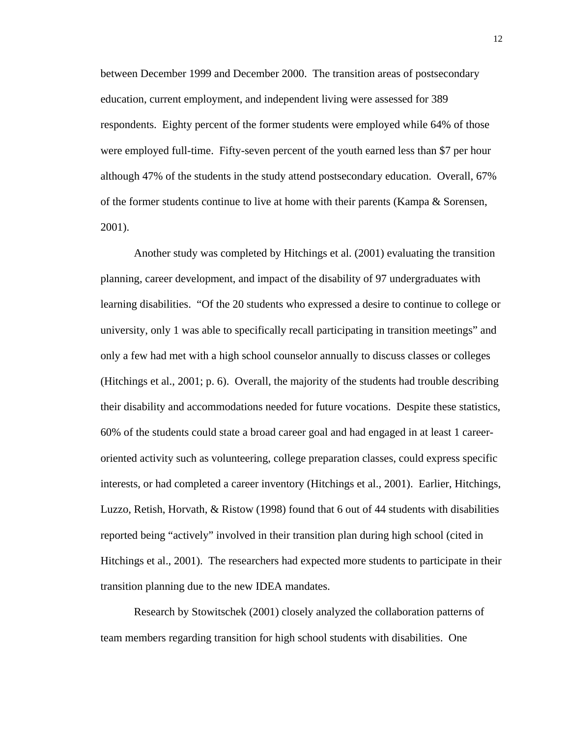between December 1999 and December 2000. The transition areas of postsecondary education, current employment, and independent living were assessed for 389 respondents. Eighty percent of the former students were employed while 64% of those were employed full-time. Fifty-seven percent of the youth earned less than \$7 per hour although 47% of the students in the study attend postsecondary education. Overall, 67% of the former students continue to live at home with their parents (Kampa & Sorensen, 2001).

Another study was completed by Hitchings et al. (2001) evaluating the transition planning, career development, and impact of the disability of 97 undergraduates with learning disabilities. "Of the 20 students who expressed a desire to continue to college or university, only 1 was able to specifically recall participating in transition meetings" and only a few had met with a high school counselor annually to discuss classes or colleges (Hitchings et al., 2001; p. 6). Overall, the majority of the students had trouble describing their disability and accommodations needed for future vocations. Despite these statistics, 60% of the students could state a broad career goal and had engaged in at least 1 careeroriented activity such as volunteering, college preparation classes, could express specific interests, or had completed a career inventory (Hitchings et al., 2001). Earlier, Hitchings, Luzzo, Retish, Horvath, & Ristow (1998) found that 6 out of 44 students with disabilities reported being "actively" involved in their transition plan during high school (cited in Hitchings et al., 2001). The researchers had expected more students to participate in their transition planning due to the new IDEA mandates.

Research by Stowitschek (2001) closely analyzed the collaboration patterns of team members regarding transition for high school students with disabilities. One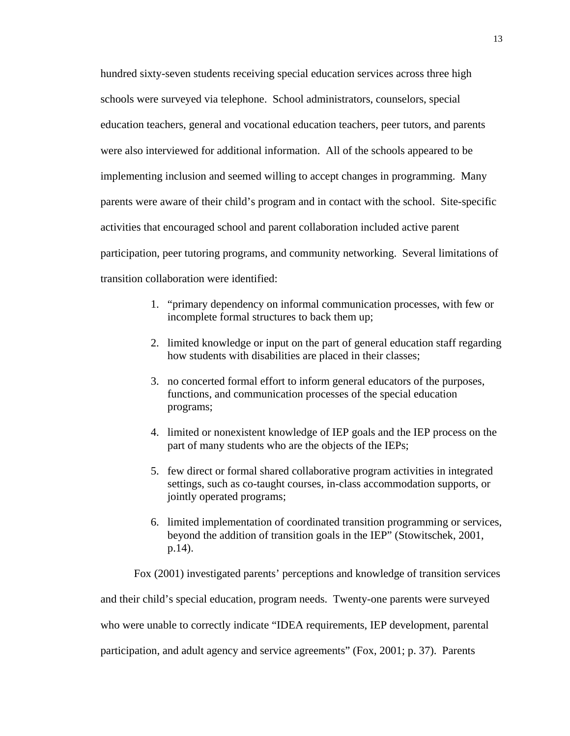hundred sixty-seven students receiving special education services across three high schools were surveyed via telephone. School administrators, counselors, special education teachers, general and vocational education teachers, peer tutors, and parents were also interviewed for additional information. All of the schools appeared to be implementing inclusion and seemed willing to accept changes in programming. Many parents were aware of their child's program and in contact with the school. Site-specific activities that encouraged school and parent collaboration included active parent participation, peer tutoring programs, and community networking. Several limitations of transition collaboration were identified:

- 1. "primary dependency on informal communication processes, with few or incomplete formal structures to back them up;
- 2. limited knowledge or input on the part of general education staff regarding how students with disabilities are placed in their classes;
- 3. no concerted formal effort to inform general educators of the purposes, functions, and communication processes of the special education programs;
- 4. limited or nonexistent knowledge of IEP goals and the IEP process on the part of many students who are the objects of the IEPs;
- 5. few direct or formal shared collaborative program activities in integrated settings, such as co-taught courses, in-class accommodation supports, or jointly operated programs;
- 6. limited implementation of coordinated transition programming or services, beyond the addition of transition goals in the IEP" (Stowitschek, 2001, p.14).

Fox (2001) investigated parents' perceptions and knowledge of transition services

and their child's special education, program needs. Twenty-one parents were surveyed who were unable to correctly indicate "IDEA requirements, IEP development, parental

participation, and adult agency and service agreements" (Fox, 2001; p. 37). Parents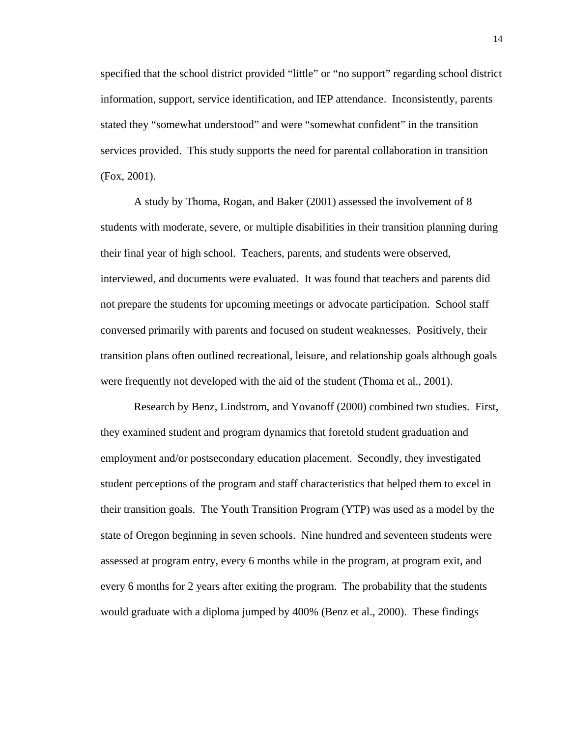specified that the school district provided "little" or "no support" regarding school district information, support, service identification, and IEP attendance. Inconsistently, parents stated they "somewhat understood" and were "somewhat confident" in the transition services provided. This study supports the need for parental collaboration in transition (Fox, 2001).

A study by Thoma, Rogan, and Baker (2001) assessed the involvement of 8 students with moderate, severe, or multiple disabilities in their transition planning during their final year of high school. Teachers, parents, and students were observed, interviewed, and documents were evaluated. It was found that teachers and parents did not prepare the students for upcoming meetings or advocate participation. School staff conversed primarily with parents and focused on student weaknesses. Positively, their transition plans often outlined recreational, leisure, and relationship goals although goals were frequently not developed with the aid of the student (Thoma et al., 2001).

Research by Benz, Lindstrom, and Yovanoff (2000) combined two studies. First, they examined student and program dynamics that foretold student graduation and employment and/or postsecondary education placement. Secondly, they investigated student perceptions of the program and staff characteristics that helped them to excel in their transition goals. The Youth Transition Program (YTP) was used as a model by the state of Oregon beginning in seven schools. Nine hundred and seventeen students were assessed at program entry, every 6 months while in the program, at program exit, and every 6 months for 2 years after exiting the program. The probability that the students would graduate with a diploma jumped by 400% (Benz et al., 2000). These findings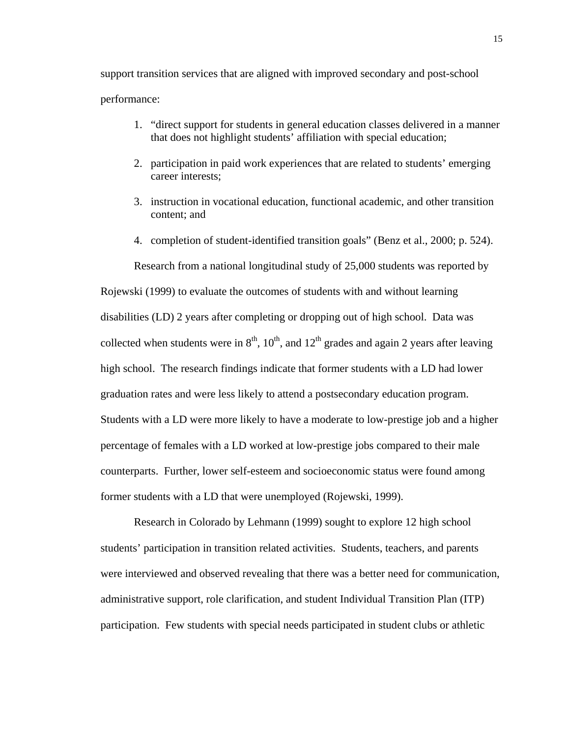support transition services that are aligned with improved secondary and post-school performance:

- 1. "direct support for students in general education classes delivered in a manner that does not highlight students' affiliation with special education;
- 2. participation in paid work experiences that are related to students' emerging career interests;
- 3. instruction in vocational education, functional academic, and other transition content; and
- 4. completion of student-identified transition goals" (Benz et al., 2000; p. 524).

Research from a national longitudinal study of 25,000 students was reported by Rojewski (1999) to evaluate the outcomes of students with and without learning disabilities (LD) 2 years after completing or dropping out of high school. Data was collected when students were in  $8<sup>th</sup>$ ,  $10<sup>th</sup>$ , and  $12<sup>th</sup>$  grades and again 2 years after leaving high school. The research findings indicate that former students with a LD had lower graduation rates and were less likely to attend a postsecondary education program. Students with a LD were more likely to have a moderate to low-prestige job and a higher percentage of females with a LD worked at low-prestige jobs compared to their male counterparts. Further, lower self-esteem and socioeconomic status were found among former students with a LD that were unemployed (Rojewski, 1999).

Research in Colorado by Lehmann (1999) sought to explore 12 high school students' participation in transition related activities. Students, teachers, and parents were interviewed and observed revealing that there was a better need for communication, administrative support, role clarification, and student Individual Transition Plan (ITP) participation. Few students with special needs participated in student clubs or athletic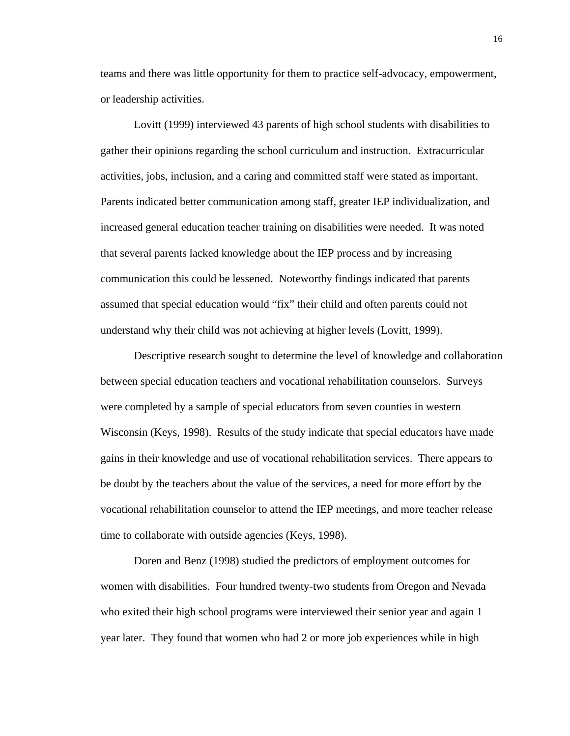teams and there was little opportunity for them to practice self-advocacy, empowerment, or leadership activities.

Lovitt (1999) interviewed 43 parents of high school students with disabilities to gather their opinions regarding the school curriculum and instruction. Extracurricular activities, jobs, inclusion, and a caring and committed staff were stated as important. Parents indicated better communication among staff, greater IEP individualization, and increased general education teacher training on disabilities were needed. It was noted that several parents lacked knowledge about the IEP process and by increasing communication this could be lessened. Noteworthy findings indicated that parents assumed that special education would "fix" their child and often parents could not understand why their child was not achieving at higher levels (Lovitt, 1999).

Descriptive research sought to determine the level of knowledge and collaboration between special education teachers and vocational rehabilitation counselors. Surveys were completed by a sample of special educators from seven counties in western Wisconsin (Keys, 1998). Results of the study indicate that special educators have made gains in their knowledge and use of vocational rehabilitation services. There appears to be doubt by the teachers about the value of the services, a need for more effort by the vocational rehabilitation counselor to attend the IEP meetings, and more teacher release time to collaborate with outside agencies (Keys, 1998).

Doren and Benz (1998) studied the predictors of employment outcomes for women with disabilities. Four hundred twenty-two students from Oregon and Nevada who exited their high school programs were interviewed their senior year and again 1 year later. They found that women who had 2 or more job experiences while in high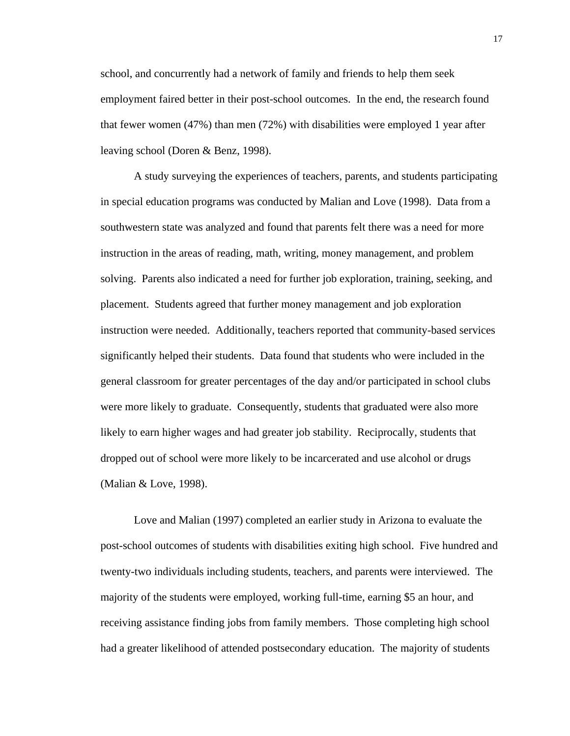school, and concurrently had a network of family and friends to help them seek employment faired better in their post-school outcomes. In the end, the research found that fewer women (47%) than men (72%) with disabilities were employed 1 year after leaving school (Doren & Benz, 1998).

A study surveying the experiences of teachers, parents, and students participating in special education programs was conducted by Malian and Love (1998). Data from a southwestern state was analyzed and found that parents felt there was a need for more instruction in the areas of reading, math, writing, money management, and problem solving. Parents also indicated a need for further job exploration, training, seeking, and placement. Students agreed that further money management and job exploration instruction were needed. Additionally, teachers reported that community-based services significantly helped their students. Data found that students who were included in the general classroom for greater percentages of the day and/or participated in school clubs were more likely to graduate. Consequently, students that graduated were also more likely to earn higher wages and had greater job stability. Reciprocally, students that dropped out of school were more likely to be incarcerated and use alcohol or drugs (Malian & Love, 1998).

Love and Malian (1997) completed an earlier study in Arizona to evaluate the post-school outcomes of students with disabilities exiting high school. Five hundred and twenty-two individuals including students, teachers, and parents were interviewed. The majority of the students were employed, working full-time, earning \$5 an hour, and receiving assistance finding jobs from family members. Those completing high school had a greater likelihood of attended postsecondary education. The majority of students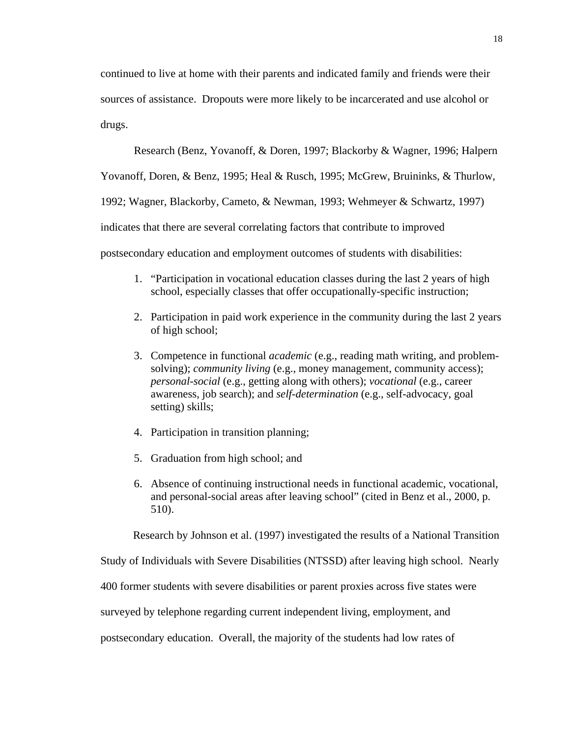continued to live at home with their parents and indicated family and friends were their sources of assistance. Dropouts were more likely to be incarcerated and use alcohol or drugs.

Research (Benz, Yovanoff, & Doren, 1997; Blackorby & Wagner, 1996; Halpern

Yovanoff, Doren, & Benz, 1995; Heal & Rusch, 1995; McGrew, Bruininks, & Thurlow,

1992; Wagner, Blackorby, Cameto, & Newman, 1993; Wehmeyer & Schwartz, 1997)

indicates that there are several correlating factors that contribute to improved

postsecondary education and employment outcomes of students with disabilities:

- 1. "Participation in vocational education classes during the last 2 years of high school, especially classes that offer occupationally-specific instruction;
- 2. Participation in paid work experience in the community during the last 2 years of high school;
- 3. Competence in functional *academic* (e.g., reading math writing, and problemsolving); *community living* (e.g., money management, community access); *personal-social* (e.g., getting along with others); *vocational* (e.g., career awareness, job search); and *self-determination* (e.g., self-advocacy, goal setting) skills;
- 4. Participation in transition planning;
- 5. Graduation from high school; and
- 6. Absence of continuing instructional needs in functional academic, vocational, and personal-social areas after leaving school" (cited in Benz et al., 2000, p. 510).

Research by Johnson et al. (1997) investigated the results of a National Transition

Study of Individuals with Severe Disabilities (NTSSD) after leaving high school. Nearly

400 former students with severe disabilities or parent proxies across five states were

surveyed by telephone regarding current independent living, employment, and

postsecondary education. Overall, the majority of the students had low rates of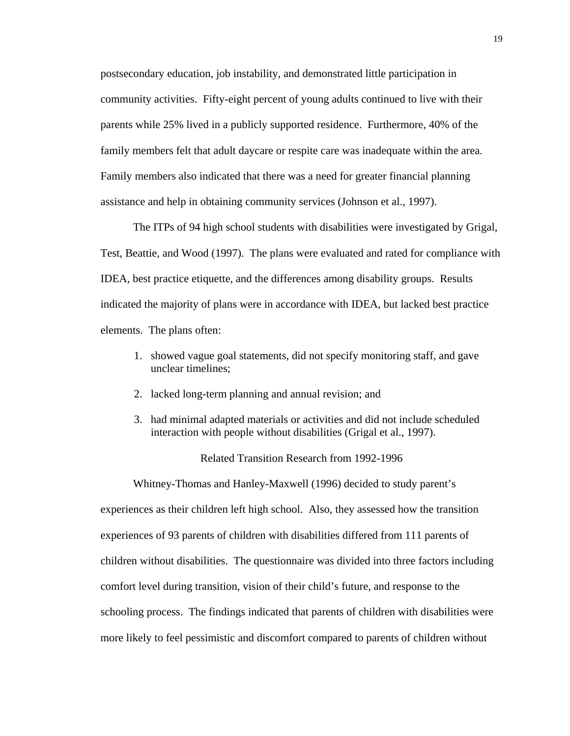postsecondary education, job instability, and demonstrated little participation in community activities. Fifty-eight percent of young adults continued to live with their parents while 25% lived in a publicly supported residence. Furthermore, 40% of the family members felt that adult daycare or respite care was inadequate within the area. Family members also indicated that there was a need for greater financial planning assistance and help in obtaining community services (Johnson et al., 1997).

The ITPs of 94 high school students with disabilities were investigated by Grigal, Test, Beattie, and Wood (1997). The plans were evaluated and rated for compliance with IDEA, best practice etiquette, and the differences among disability groups. Results indicated the majority of plans were in accordance with IDEA, but lacked best practice elements. The plans often:

- 1. showed vague goal statements, did not specify monitoring staff, and gave unclear timelines;
- 2. lacked long-term planning and annual revision; and
- 3. had minimal adapted materials or activities and did not include scheduled interaction with people without disabilities (Grigal et al., 1997).

Related Transition Research from 1992-1996

Whitney-Thomas and Hanley-Maxwell (1996) decided to study parent's experiences as their children left high school. Also, they assessed how the transition experiences of 93 parents of children with disabilities differed from 111 parents of children without disabilities. The questionnaire was divided into three factors including comfort level during transition, vision of their child's future, and response to the schooling process. The findings indicated that parents of children with disabilities were more likely to feel pessimistic and discomfort compared to parents of children without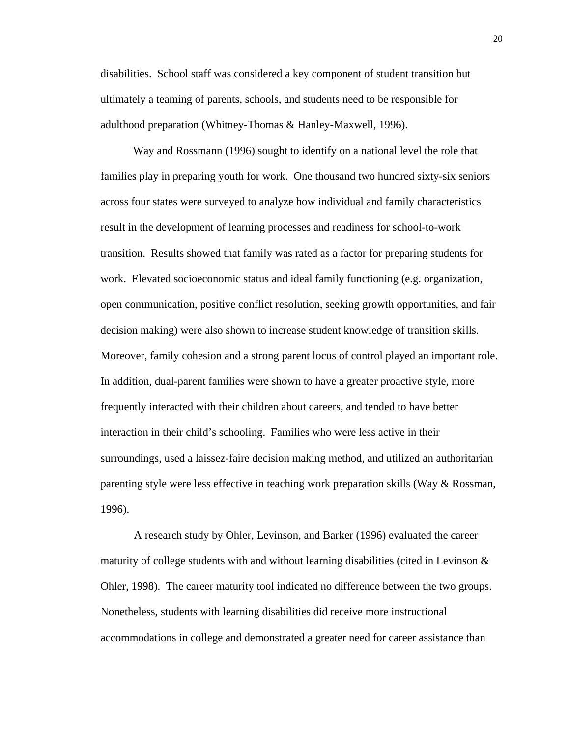disabilities. School staff was considered a key component of student transition but ultimately a teaming of parents, schools, and students need to be responsible for adulthood preparation (Whitney-Thomas & Hanley-Maxwell, 1996).

Way and Rossmann (1996) sought to identify on a national level the role that families play in preparing youth for work. One thousand two hundred sixty-six seniors across four states were surveyed to analyze how individual and family characteristics result in the development of learning processes and readiness for school-to-work transition. Results showed that family was rated as a factor for preparing students for work. Elevated socioeconomic status and ideal family functioning (e.g. organization, open communication, positive conflict resolution, seeking growth opportunities, and fair decision making) were also shown to increase student knowledge of transition skills. Moreover, family cohesion and a strong parent locus of control played an important role. In addition, dual-parent families were shown to have a greater proactive style, more frequently interacted with their children about careers, and tended to have better interaction in their child's schooling. Families who were less active in their surroundings, used a laissez-faire decision making method, and utilized an authoritarian parenting style were less effective in teaching work preparation skills (Way & Rossman, 1996).

A research study by Ohler, Levinson, and Barker (1996) evaluated the career maturity of college students with and without learning disabilities (cited in Levinson  $\&$ Ohler, 1998). The career maturity tool indicated no difference between the two groups. Nonetheless, students with learning disabilities did receive more instructional accommodations in college and demonstrated a greater need for career assistance than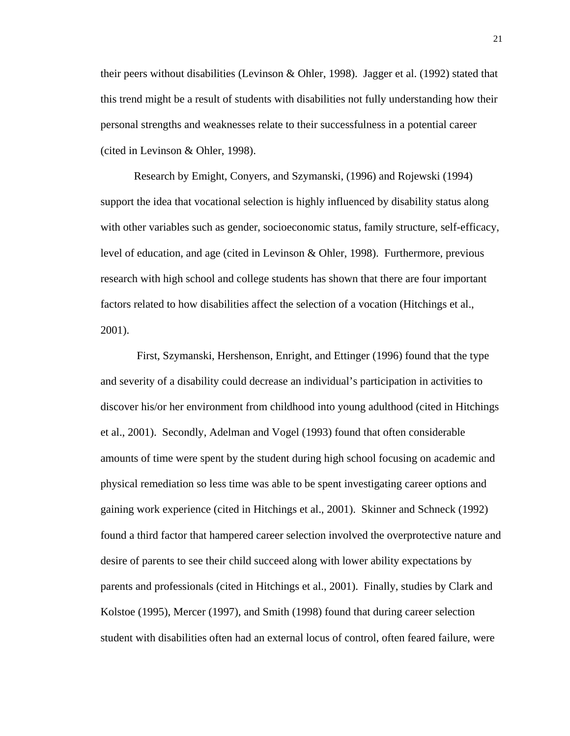their peers without disabilities (Levinson & Ohler, 1998). Jagger et al. (1992) stated that this trend might be a result of students with disabilities not fully understanding how their personal strengths and weaknesses relate to their successfulness in a potential career (cited in Levinson & Ohler, 1998).

Research by Emight, Conyers, and Szymanski, (1996) and Rojewski (1994) support the idea that vocational selection is highly influenced by disability status along with other variables such as gender, socioeconomic status, family structure, self-efficacy, level of education, and age (cited in Levinson & Ohler, 1998). Furthermore, previous research with high school and college students has shown that there are four important factors related to how disabilities affect the selection of a vocation (Hitchings et al., 2001).

 First, Szymanski, Hershenson, Enright, and Ettinger (1996) found that the type and severity of a disability could decrease an individual's participation in activities to discover his/or her environment from childhood into young adulthood (cited in Hitchings et al., 2001). Secondly, Adelman and Vogel (1993) found that often considerable amounts of time were spent by the student during high school focusing on academic and physical remediation so less time was able to be spent investigating career options and gaining work experience (cited in Hitchings et al., 2001). Skinner and Schneck (1992) found a third factor that hampered career selection involved the overprotective nature and desire of parents to see their child succeed along with lower ability expectations by parents and professionals (cited in Hitchings et al., 2001). Finally, studies by Clark and Kolstoe (1995), Mercer (1997), and Smith (1998) found that during career selection student with disabilities often had an external locus of control, often feared failure, were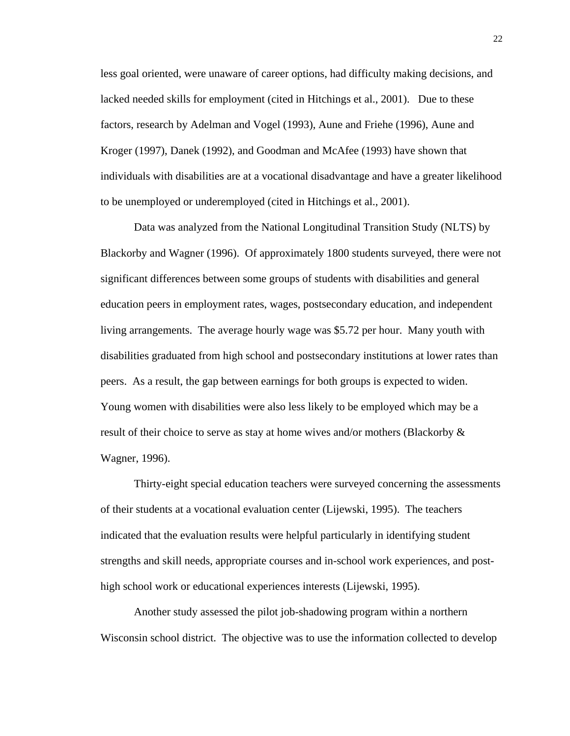less goal oriented, were unaware of career options, had difficulty making decisions, and lacked needed skills for employment (cited in Hitchings et al., 2001). Due to these factors, research by Adelman and Vogel (1993), Aune and Friehe (1996), Aune and Kroger (1997), Danek (1992), and Goodman and McAfee (1993) have shown that individuals with disabilities are at a vocational disadvantage and have a greater likelihood to be unemployed or underemployed (cited in Hitchings et al., 2001).

Data was analyzed from the National Longitudinal Transition Study (NLTS) by Blackorby and Wagner (1996). Of approximately 1800 students surveyed, there were not significant differences between some groups of students with disabilities and general education peers in employment rates, wages, postsecondary education, and independent living arrangements. The average hourly wage was \$5.72 per hour. Many youth with disabilities graduated from high school and postsecondary institutions at lower rates than peers. As a result, the gap between earnings for both groups is expected to widen. Young women with disabilities were also less likely to be employed which may be a result of their choice to serve as stay at home wives and/or mothers (Blackorby  $\&$ Wagner, 1996).

Thirty-eight special education teachers were surveyed concerning the assessments of their students at a vocational evaluation center (Lijewski, 1995). The teachers indicated that the evaluation results were helpful particularly in identifying student strengths and skill needs, appropriate courses and in-school work experiences, and posthigh school work or educational experiences interests (Lijewski, 1995).

Another study assessed the pilot job-shadowing program within a northern Wisconsin school district. The objective was to use the information collected to develop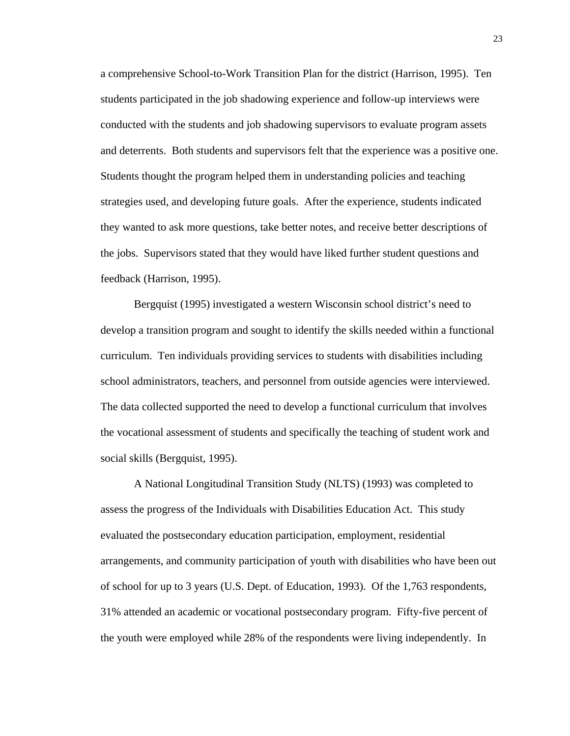a comprehensive School-to-Work Transition Plan for the district (Harrison, 1995). Ten students participated in the job shadowing experience and follow-up interviews were conducted with the students and job shadowing supervisors to evaluate program assets and deterrents. Both students and supervisors felt that the experience was a positive one. Students thought the program helped them in understanding policies and teaching strategies used, and developing future goals. After the experience, students indicated they wanted to ask more questions, take better notes, and receive better descriptions of the jobs. Supervisors stated that they would have liked further student questions and feedback (Harrison, 1995).

Bergquist (1995) investigated a western Wisconsin school district's need to develop a transition program and sought to identify the skills needed within a functional curriculum. Ten individuals providing services to students with disabilities including school administrators, teachers, and personnel from outside agencies were interviewed. The data collected supported the need to develop a functional curriculum that involves the vocational assessment of students and specifically the teaching of student work and social skills (Bergquist, 1995).

A National Longitudinal Transition Study (NLTS) (1993) was completed to assess the progress of the Individuals with Disabilities Education Act. This study evaluated the postsecondary education participation, employment, residential arrangements, and community participation of youth with disabilities who have been out of school for up to 3 years (U.S. Dept. of Education, 1993). Of the 1,763 respondents, 31% attended an academic or vocational postsecondary program. Fifty-five percent of the youth were employed while 28% of the respondents were living independently. In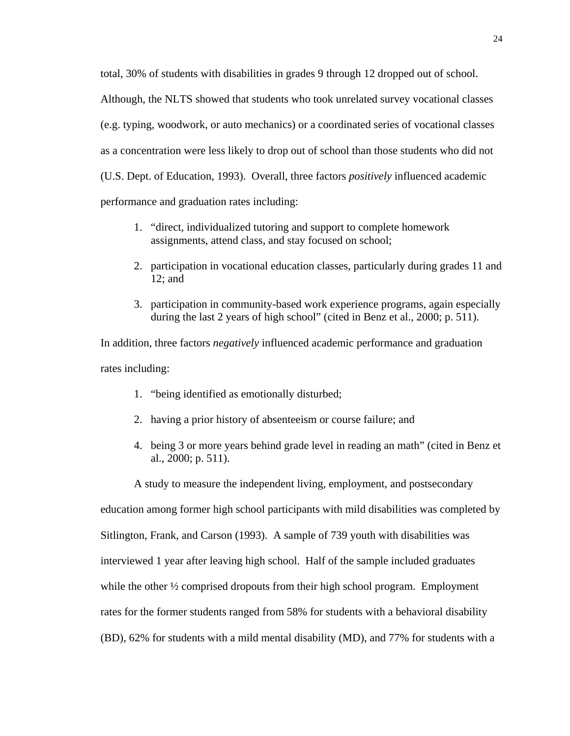total, 30% of students with disabilities in grades 9 through 12 dropped out of school. Although, the NLTS showed that students who took unrelated survey vocational classes (e.g. typing, woodwork, or auto mechanics) or a coordinated series of vocational classes as a concentration were less likely to drop out of school than those students who did not (U.S. Dept. of Education, 1993). Overall, three factors *positively* influenced academic performance and graduation rates including:

- 1. "direct, individualized tutoring and support to complete homework assignments, attend class, and stay focused on school;
- 2. participation in vocational education classes, particularly during grades 11 and 12; and
- 3. participation in community-based work experience programs, again especially during the last 2 years of high school" (cited in Benz et al., 2000; p. 511).

In addition, three factors *negatively* influenced academic performance and graduation rates including:

- 1. "being identified as emotionally disturbed;
- 2. having a prior history of absenteeism or course failure; and
- 4. being 3 or more years behind grade level in reading an math" (cited in Benz et al., 2000; p. 511).

A study to measure the independent living, employment, and postsecondary

education among former high school participants with mild disabilities was completed by

Sitlington, Frank, and Carson (1993). A sample of 739 youth with disabilities was

interviewed 1 year after leaving high school. Half of the sample included graduates

while the other  $\frac{1}{2}$  comprised dropouts from their high school program. Employment

rates for the former students ranged from 58% for students with a behavioral disability

(BD), 62% for students with a mild mental disability (MD), and 77% for students with a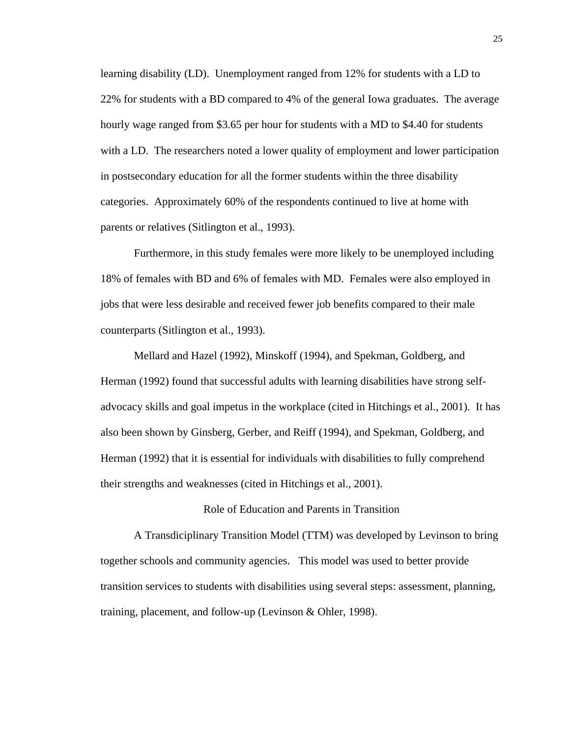learning disability (LD). Unemployment ranged from 12% for students with a LD to 22% for students with a BD compared to 4% of the general Iowa graduates. The average hourly wage ranged from \$3.65 per hour for students with a MD to \$4.40 for students with a LD. The researchers noted a lower quality of employment and lower participation in postsecondary education for all the former students within the three disability categories. Approximately 60% of the respondents continued to live at home with parents or relatives (Sitlington et al., 1993).

Furthermore, in this study females were more likely to be unemployed including 18% of females with BD and 6% of females with MD. Females were also employed in jobs that were less desirable and received fewer job benefits compared to their male counterparts (Sitlington et al., 1993).

Mellard and Hazel (1992), Minskoff (1994), and Spekman, Goldberg, and Herman (1992) found that successful adults with learning disabilities have strong selfadvocacy skills and goal impetus in the workplace (cited in Hitchings et al., 2001). It has also been shown by Ginsberg, Gerber, and Reiff (1994), and Spekman, Goldberg, and Herman (1992) that it is essential for individuals with disabilities to fully comprehend their strengths and weaknesses (cited in Hitchings et al., 2001).

## Role of Education and Parents in Transition

A Transdiciplinary Transition Model (TTM) was developed by Levinson to bring together schools and community agencies. This model was used to better provide transition services to students with disabilities using several steps: assessment, planning, training, placement, and follow-up (Levinson & Ohler, 1998).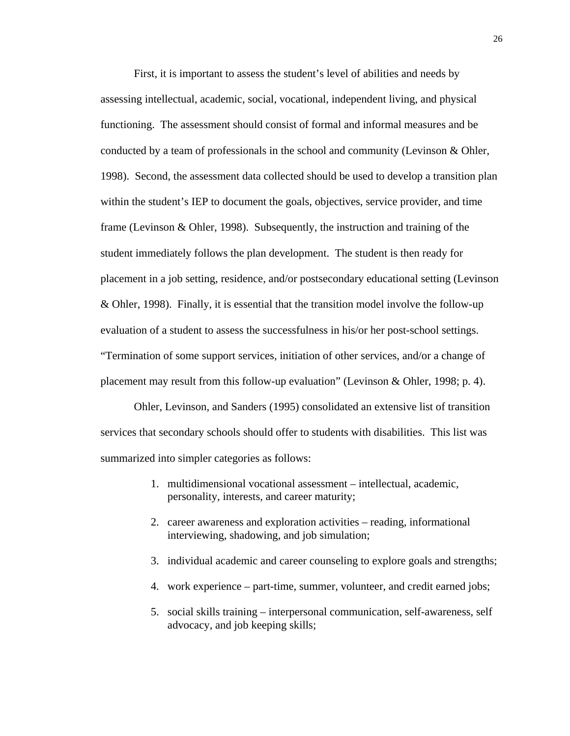First, it is important to assess the student's level of abilities and needs by assessing intellectual, academic, social, vocational, independent living, and physical functioning. The assessment should consist of formal and informal measures and be conducted by a team of professionals in the school and community (Levinson & Ohler, 1998). Second, the assessment data collected should be used to develop a transition plan within the student's IEP to document the goals, objectives, service provider, and time frame (Levinson & Ohler, 1998). Subsequently, the instruction and training of the student immediately follows the plan development. The student is then ready for placement in a job setting, residence, and/or postsecondary educational setting (Levinson & Ohler, 1998). Finally, it is essential that the transition model involve the follow-up evaluation of a student to assess the successfulness in his/or her post-school settings. "Termination of some support services, initiation of other services, and/or a change of placement may result from this follow-up evaluation" (Levinson & Ohler, 1998; p. 4).

Ohler, Levinson, and Sanders (1995) consolidated an extensive list of transition services that secondary schools should offer to students with disabilities. This list was summarized into simpler categories as follows:

- 1. multidimensional vocational assessment intellectual, academic, personality, interests, and career maturity;
- 2. career awareness and exploration activities reading, informational interviewing, shadowing, and job simulation;
- 3. individual academic and career counseling to explore goals and strengths;
- 4. work experience part-time, summer, volunteer, and credit earned jobs;
- 5. social skills training interpersonal communication, self-awareness, self advocacy, and job keeping skills;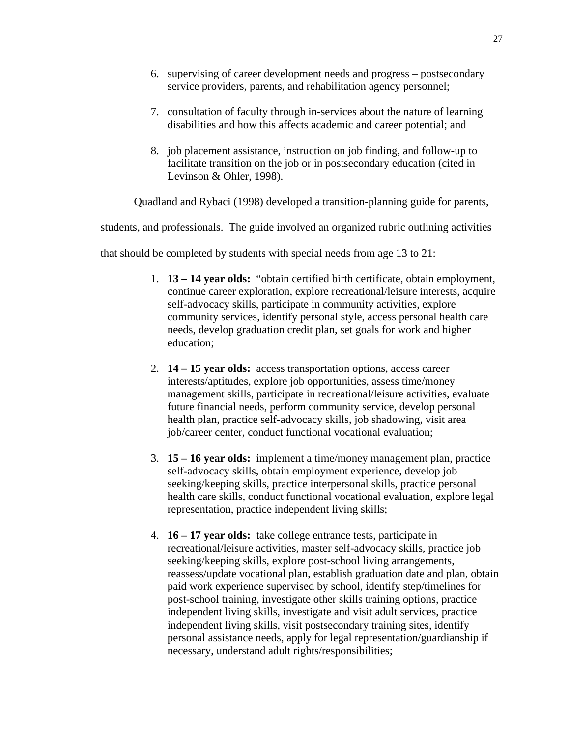- 6. supervising of career development needs and progress postsecondary service providers, parents, and rehabilitation agency personnel;
- 7. consultation of faculty through in-services about the nature of learning disabilities and how this affects academic and career potential; and
- 8. job placement assistance, instruction on job finding, and follow-up to facilitate transition on the job or in postsecondary education (cited in Levinson & Ohler, 1998).

Quadland and Rybaci (1998) developed a transition-planning guide for parents,

students, and professionals. The guide involved an organized rubric outlining activities

that should be completed by students with special needs from age 13 to 21:

- 1. **13 14 year olds:** "obtain certified birth certificate, obtain employment, continue career exploration, explore recreational/leisure interests, acquire self-advocacy skills, participate in community activities, explore community services, identify personal style, access personal health care needs, develop graduation credit plan, set goals for work and higher education;
- 2. **14 15 year olds:** access transportation options, access career interests/aptitudes, explore job opportunities, assess time/money management skills, participate in recreational/leisure activities, evaluate future financial needs, perform community service, develop personal health plan, practice self-advocacy skills, job shadowing, visit area job/career center, conduct functional vocational evaluation;
- 3. **15 16 year olds:** implement a time/money management plan, practice self-advocacy skills, obtain employment experience, develop job seeking/keeping skills, practice interpersonal skills, practice personal health care skills, conduct functional vocational evaluation, explore legal representation, practice independent living skills;
- 4. **16 17 year olds:** take college entrance tests, participate in recreational/leisure activities, master self-advocacy skills, practice job seeking/keeping skills, explore post-school living arrangements, reassess/update vocational plan, establish graduation date and plan, obtain paid work experience supervised by school, identify step/timelines for post-school training, investigate other skills training options, practice independent living skills, investigate and visit adult services, practice independent living skills, visit postsecondary training sites, identify personal assistance needs, apply for legal representation/guardianship if necessary, understand adult rights/responsibilities;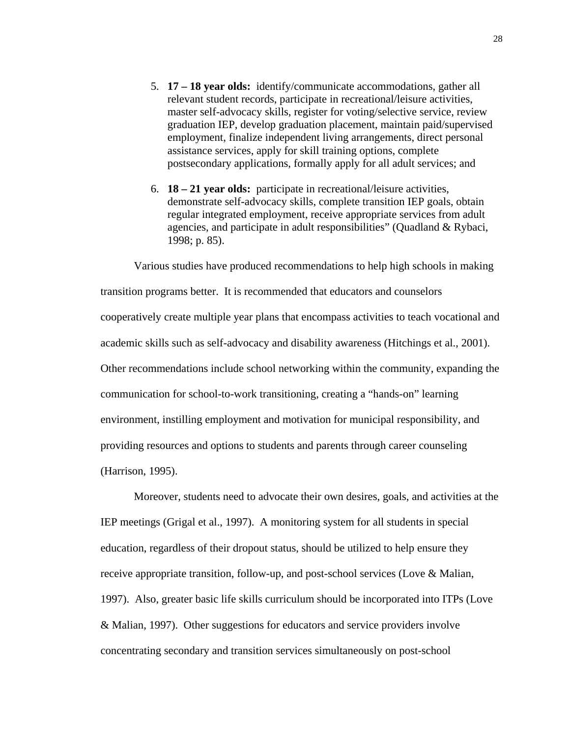- 5. **17 18 year olds:** identify/communicate accommodations, gather all relevant student records, participate in recreational/leisure activities, master self-advocacy skills, register for voting/selective service, review graduation IEP, develop graduation placement, maintain paid/supervised employment, finalize independent living arrangements, direct personal assistance services, apply for skill training options, complete postsecondary applications, formally apply for all adult services; and
- 6. **18 21 year olds:** participate in recreational/leisure activities, demonstrate self-advocacy skills, complete transition IEP goals, obtain regular integrated employment, receive appropriate services from adult agencies, and participate in adult responsibilities" (Quadland & Rybaci, 1998; p. 85).

Various studies have produced recommendations to help high schools in making transition programs better. It is recommended that educators and counselors cooperatively create multiple year plans that encompass activities to teach vocational and academic skills such as self-advocacy and disability awareness (Hitchings et al., 2001). Other recommendations include school networking within the community, expanding the communication for school-to-work transitioning, creating a "hands-on" learning environment, instilling employment and motivation for municipal responsibility, and providing resources and options to students and parents through career counseling (Harrison, 1995).

Moreover, students need to advocate their own desires, goals, and activities at the IEP meetings (Grigal et al., 1997). A monitoring system for all students in special education, regardless of their dropout status, should be utilized to help ensure they receive appropriate transition, follow-up, and post-school services (Love & Malian, 1997). Also, greater basic life skills curriculum should be incorporated into ITPs (Love & Malian, 1997). Other suggestions for educators and service providers involve concentrating secondary and transition services simultaneously on post-school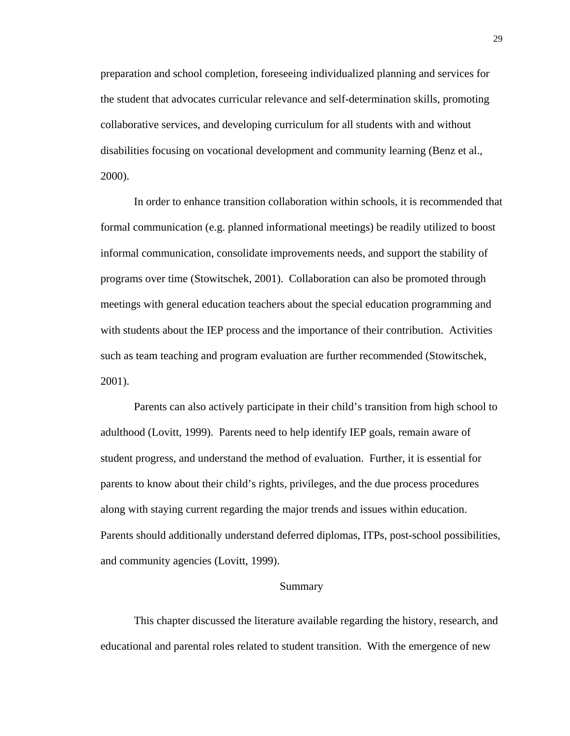preparation and school completion, foreseeing individualized planning and services for the student that advocates curricular relevance and self-determination skills, promoting collaborative services, and developing curriculum for all students with and without disabilities focusing on vocational development and community learning (Benz et al., 2000).

In order to enhance transition collaboration within schools, it is recommended that formal communication (e.g. planned informational meetings) be readily utilized to boost informal communication, consolidate improvements needs, and support the stability of programs over time (Stowitschek, 2001). Collaboration can also be promoted through meetings with general education teachers about the special education programming and with students about the IEP process and the importance of their contribution. Activities such as team teaching and program evaluation are further recommended (Stowitschek, 2001).

Parents can also actively participate in their child's transition from high school to adulthood (Lovitt, 1999). Parents need to help identify IEP goals, remain aware of student progress, and understand the method of evaluation. Further, it is essential for parents to know about their child's rights, privileges, and the due process procedures along with staying current regarding the major trends and issues within education. Parents should additionally understand deferred diplomas, ITPs, post-school possibilities, and community agencies (Lovitt, 1999).

## Summary

This chapter discussed the literature available regarding the history, research, and educational and parental roles related to student transition. With the emergence of new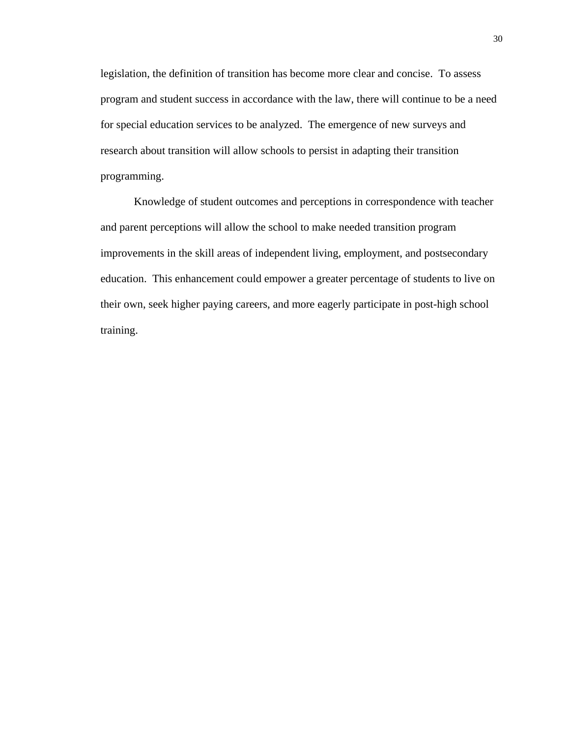legislation, the definition of transition has become more clear and concise. To assess program and student success in accordance with the law, there will continue to be a need for special education services to be analyzed. The emergence of new surveys and research about transition will allow schools to persist in adapting their transition programming.

Knowledge of student outcomes and perceptions in correspondence with teacher and parent perceptions will allow the school to make needed transition program improvements in the skill areas of independent living, employment, and postsecondary education. This enhancement could empower a greater percentage of students to live on their own, seek higher paying careers, and more eagerly participate in post-high school training.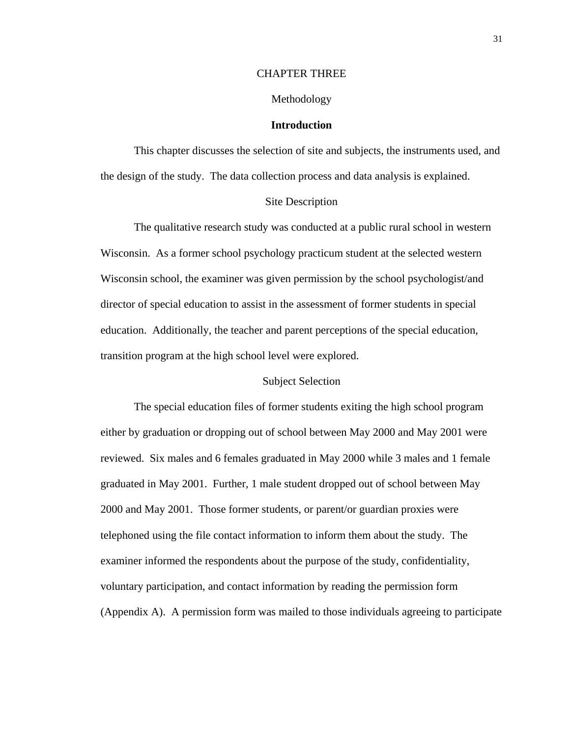#### CHAPTER THREE

#### Methodology

#### **Introduction**

This chapter discusses the selection of site and subjects, the instruments used, and the design of the study. The data collection process and data analysis is explained.

## Site Description

The qualitative research study was conducted at a public rural school in western Wisconsin. As a former school psychology practicum student at the selected western Wisconsin school, the examiner was given permission by the school psychologist/and director of special education to assist in the assessment of former students in special education. Additionally, the teacher and parent perceptions of the special education, transition program at the high school level were explored.

## Subject Selection

The special education files of former students exiting the high school program either by graduation or dropping out of school between May 2000 and May 2001 were reviewed. Six males and 6 females graduated in May 2000 while 3 males and 1 female graduated in May 2001. Further, 1 male student dropped out of school between May 2000 and May 2001. Those former students, or parent/or guardian proxies were telephoned using the file contact information to inform them about the study. The examiner informed the respondents about the purpose of the study, confidentiality, voluntary participation, and contact information by reading the permission form (Appendix A). A permission form was mailed to those individuals agreeing to participate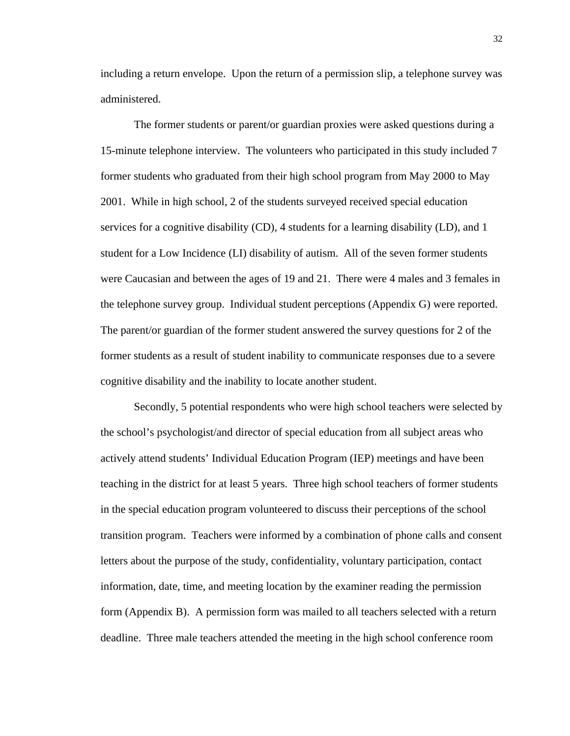including a return envelope. Upon the return of a permission slip, a telephone survey was administered.

The former students or parent/or guardian proxies were asked questions during a 15-minute telephone interview. The volunteers who participated in this study included 7 former students who graduated from their high school program from May 2000 to May 2001. While in high school, 2 of the students surveyed received special education services for a cognitive disability (CD), 4 students for a learning disability (LD), and 1 student for a Low Incidence (LI) disability of autism. All of the seven former students were Caucasian and between the ages of 19 and 21. There were 4 males and 3 females in the telephone survey group. Individual student perceptions (Appendix G) were reported. The parent/or guardian of the former student answered the survey questions for 2 of the former students as a result of student inability to communicate responses due to a severe cognitive disability and the inability to locate another student.

Secondly, 5 potential respondents who were high school teachers were selected by the school's psychologist/and director of special education from all subject areas who actively attend students' Individual Education Program (IEP) meetings and have been teaching in the district for at least 5 years. Three high school teachers of former students in the special education program volunteered to discuss their perceptions of the school transition program. Teachers were informed by a combination of phone calls and consent letters about the purpose of the study, confidentiality, voluntary participation, contact information, date, time, and meeting location by the examiner reading the permission form (Appendix B). A permission form was mailed to all teachers selected with a return deadline. Three male teachers attended the meeting in the high school conference room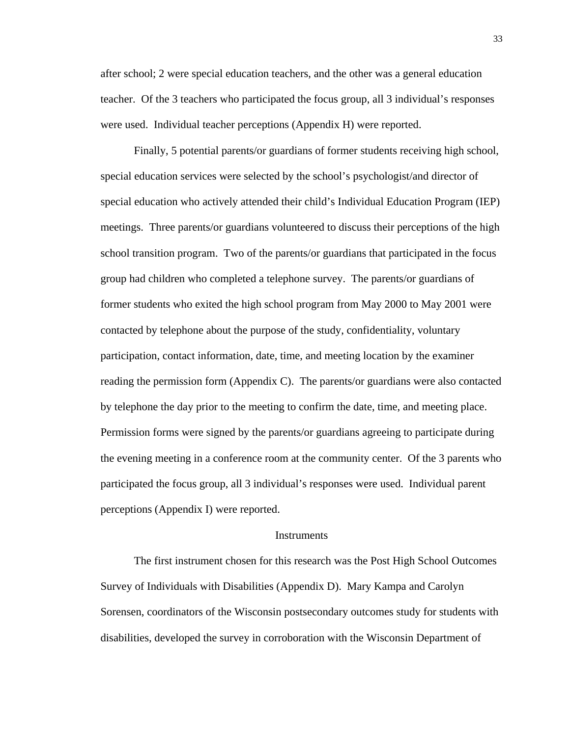after school; 2 were special education teachers, and the other was a general education teacher. Of the 3 teachers who participated the focus group, all 3 individual's responses were used. Individual teacher perceptions (Appendix H) were reported.

Finally, 5 potential parents/or guardians of former students receiving high school, special education services were selected by the school's psychologist/and director of special education who actively attended their child's Individual Education Program (IEP) meetings. Three parents/or guardians volunteered to discuss their perceptions of the high school transition program. Two of the parents/or guardians that participated in the focus group had children who completed a telephone survey. The parents/or guardians of former students who exited the high school program from May 2000 to May 2001 were contacted by telephone about the purpose of the study, confidentiality, voluntary participation, contact information, date, time, and meeting location by the examiner reading the permission form (Appendix C). The parents/or guardians were also contacted by telephone the day prior to the meeting to confirm the date, time, and meeting place. Permission forms were signed by the parents/or guardians agreeing to participate during the evening meeting in a conference room at the community center. Of the 3 parents who participated the focus group, all 3 individual's responses were used. Individual parent perceptions (Appendix I) were reported.

#### **Instruments**

The first instrument chosen for this research was the Post High School Outcomes Survey of Individuals with Disabilities (Appendix D). Mary Kampa and Carolyn Sorensen, coordinators of the Wisconsin postsecondary outcomes study for students with disabilities, developed the survey in corroboration with the Wisconsin Department of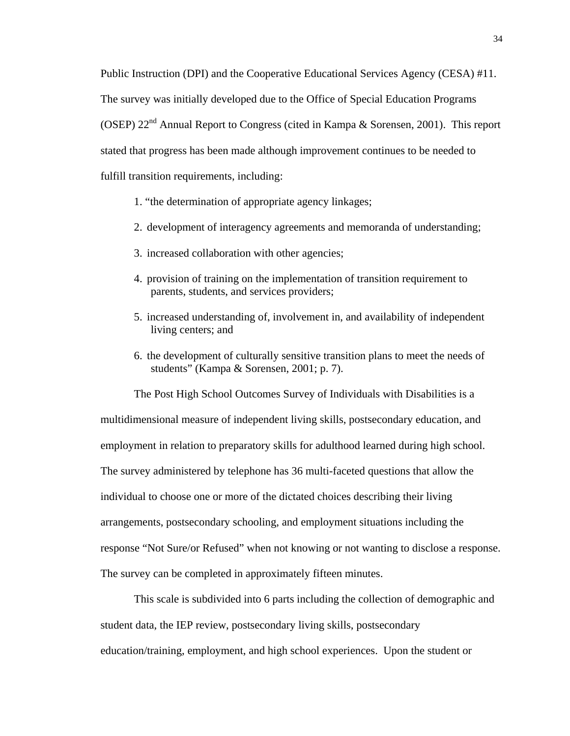Public Instruction (DPI) and the Cooperative Educational Services Agency (CESA) #11. The survey was initially developed due to the Office of Special Education Programs (OSEP)  $22<sup>nd</sup>$  Annual Report to Congress (cited in Kampa & Sorensen, 2001). This report stated that progress has been made although improvement continues to be needed to fulfill transition requirements, including:

- 1. "the determination of appropriate agency linkages;
- 2. development of interagency agreements and memoranda of understanding;
- 3. increased collaboration with other agencies;
- 4. provision of training on the implementation of transition requirement to parents, students, and services providers;
- 5. increased understanding of, involvement in, and availability of independent living centers; and
- 6. the development of culturally sensitive transition plans to meet the needs of students" (Kampa & Sorensen, 2001; p. 7).

The Post High School Outcomes Survey of Individuals with Disabilities is a multidimensional measure of independent living skills, postsecondary education, and employment in relation to preparatory skills for adulthood learned during high school. The survey administered by telephone has 36 multi-faceted questions that allow the individual to choose one or more of the dictated choices describing their living arrangements, postsecondary schooling, and employment situations including the response "Not Sure/or Refused" when not knowing or not wanting to disclose a response. The survey can be completed in approximately fifteen minutes.

This scale is subdivided into 6 parts including the collection of demographic and student data, the IEP review, postsecondary living skills, postsecondary education/training, employment, and high school experiences. Upon the student or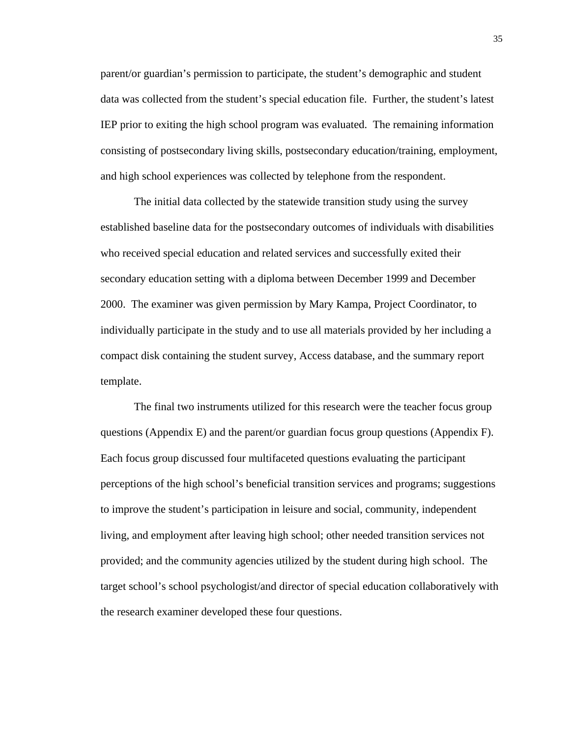parent/or guardian's permission to participate, the student's demographic and student data was collected from the student's special education file. Further, the student's latest IEP prior to exiting the high school program was evaluated. The remaining information consisting of postsecondary living skills, postsecondary education/training, employment, and high school experiences was collected by telephone from the respondent.

The initial data collected by the statewide transition study using the survey established baseline data for the postsecondary outcomes of individuals with disabilities who received special education and related services and successfully exited their secondary education setting with a diploma between December 1999 and December 2000. The examiner was given permission by Mary Kampa, Project Coordinator, to individually participate in the study and to use all materials provided by her including a compact disk containing the student survey, Access database, and the summary report template.

The final two instruments utilized for this research were the teacher focus group questions (Appendix E) and the parent/or guardian focus group questions (Appendix F). Each focus group discussed four multifaceted questions evaluating the participant perceptions of the high school's beneficial transition services and programs; suggestions to improve the student's participation in leisure and social, community, independent living, and employment after leaving high school; other needed transition services not provided; and the community agencies utilized by the student during high school. The target school's school psychologist/and director of special education collaboratively with the research examiner developed these four questions.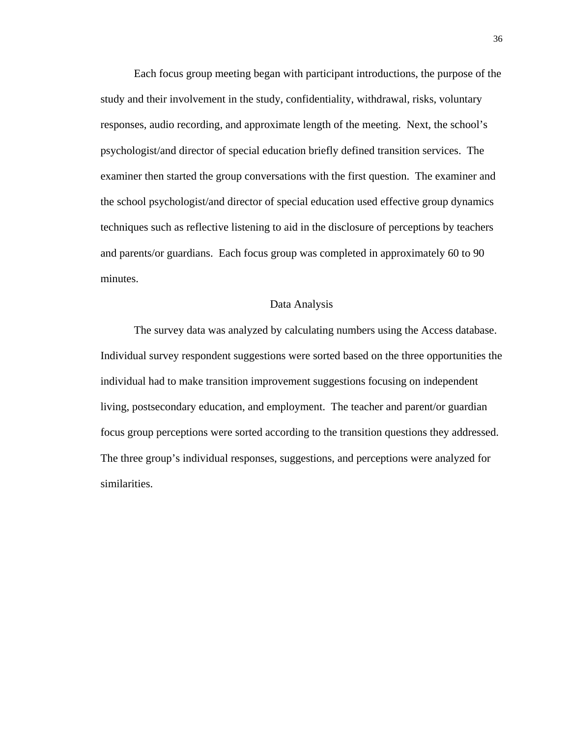Each focus group meeting began with participant introductions, the purpose of the study and their involvement in the study, confidentiality, withdrawal, risks, voluntary responses, audio recording, and approximate length of the meeting. Next, the school's psychologist/and director of special education briefly defined transition services. The examiner then started the group conversations with the first question. The examiner and the school psychologist/and director of special education used effective group dynamics techniques such as reflective listening to aid in the disclosure of perceptions by teachers and parents/or guardians. Each focus group was completed in approximately 60 to 90 minutes.

#### Data Analysis

The survey data was analyzed by calculating numbers using the Access database. Individual survey respondent suggestions were sorted based on the three opportunities the individual had to make transition improvement suggestions focusing on independent living, postsecondary education, and employment. The teacher and parent/or guardian focus group perceptions were sorted according to the transition questions they addressed. The three group's individual responses, suggestions, and perceptions were analyzed for similarities.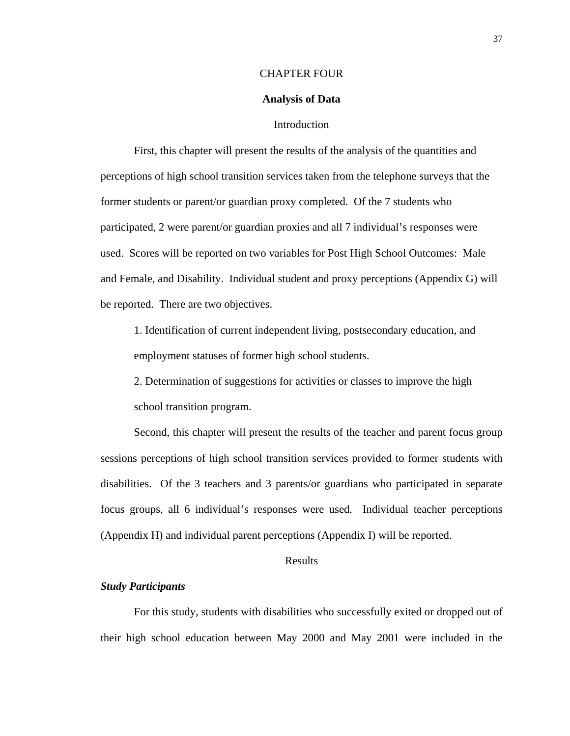#### CHAPTER FOUR

### **Analysis of Data**

## **Introduction**

First, this chapter will present the results of the analysis of the quantities and perceptions of high school transition services taken from the telephone surveys that the former students or parent/or guardian proxy completed. Of the 7 students who participated, 2 were parent/or guardian proxies and all 7 individual's responses were used. Scores will be reported on two variables for Post High School Outcomes: Male and Female, and Disability. Individual student and proxy perceptions (Appendix G) will be reported. There are two objectives.

1. Identification of current independent living, postsecondary education, and employment statuses of former high school students.

2. Determination of suggestions for activities or classes to improve the high school transition program.

Second, this chapter will present the results of the teacher and parent focus group sessions perceptions of high school transition services provided to former students with disabilities. Of the 3 teachers and 3 parents/or guardians who participated in separate focus groups, all 6 individual's responses were used. Individual teacher perceptions (Appendix H) and individual parent perceptions (Appendix I) will be reported.

## Results

#### *Study Participants*

For this study, students with disabilities who successfully exited or dropped out of their high school education between May 2000 and May 2001 were included in the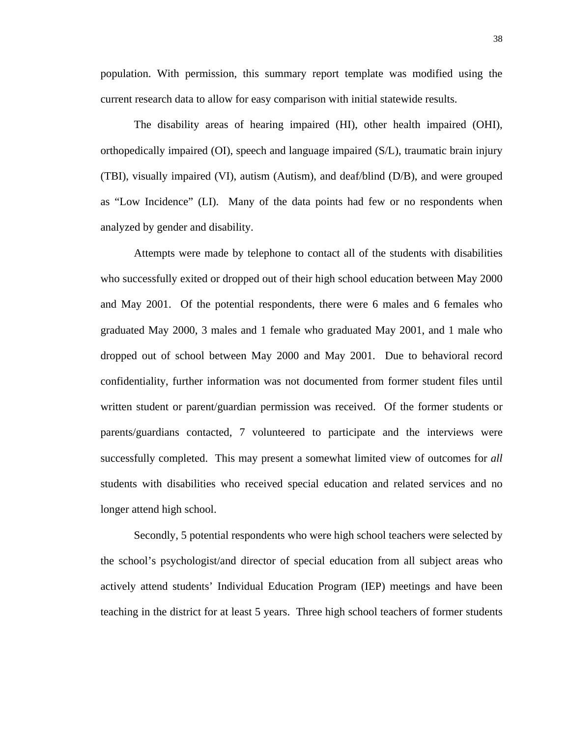38

population. With permission, this summary report template was modified using the current research data to allow for easy comparison with initial statewide results.

The disability areas of hearing impaired (HI), other health impaired (OHI), orthopedically impaired (OI), speech and language impaired (S/L), traumatic brain injury (TBI), visually impaired (VI), autism (Autism), and deaf/blind (D/B), and were grouped as "Low Incidence" (LI). Many of the data points had few or no respondents when analyzed by gender and disability.

Attempts were made by telephone to contact all of the students with disabilities who successfully exited or dropped out of their high school education between May 2000 and May 2001. Of the potential respondents, there were 6 males and 6 females who graduated May 2000, 3 males and 1 female who graduated May 2001, and 1 male who dropped out of school between May 2000 and May 2001. Due to behavioral record confidentiality, further information was not documented from former student files until written student or parent/guardian permission was received. Of the former students or parents/guardians contacted, 7 volunteered to participate and the interviews were successfully completed. This may present a somewhat limited view of outcomes for *all* students with disabilities who received special education and related services and no longer attend high school.

Secondly, 5 potential respondents who were high school teachers were selected by the school's psychologist/and director of special education from all subject areas who actively attend students' Individual Education Program (IEP) meetings and have been teaching in the district for at least 5 years. Three high school teachers of former students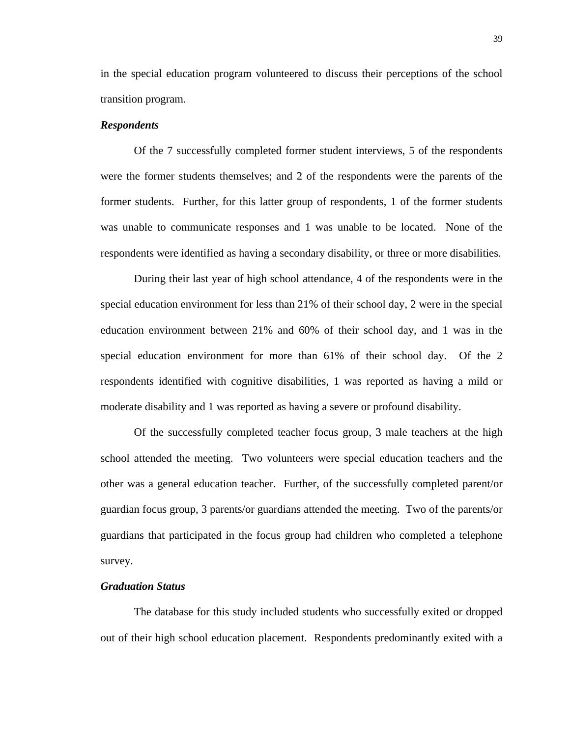in the special education program volunteered to discuss their perceptions of the school transition program.

#### *Respondents*

Of the 7 successfully completed former student interviews, 5 of the respondents were the former students themselves; and 2 of the respondents were the parents of the former students. Further, for this latter group of respondents, 1 of the former students was unable to communicate responses and 1 was unable to be located.None of the respondents were identified as having a secondary disability, or three or more disabilities.

During their last year of high school attendance, 4 of the respondents were in the special education environment for less than 21% of their school day, 2 were in the special education environment between 21% and 60% of their school day, and 1 was in the special education environment for more than 61% of their school day. Of the 2 respondents identified with cognitive disabilities, 1 was reported as having a mild or moderate disability and 1 was reported as having a severe or profound disability.

Of the successfully completed teacher focus group, 3 male teachers at the high school attended the meeting. Two volunteers were special education teachers and the other was a general education teacher. Further, of the successfully completed parent/or guardian focus group, 3 parents/or guardians attended the meeting. Two of the parents/or guardians that participated in the focus group had children who completed a telephone survey.

#### *Graduation Status*

The database for this study included students who successfully exited or dropped out of their high school education placement. Respondents predominantly exited with a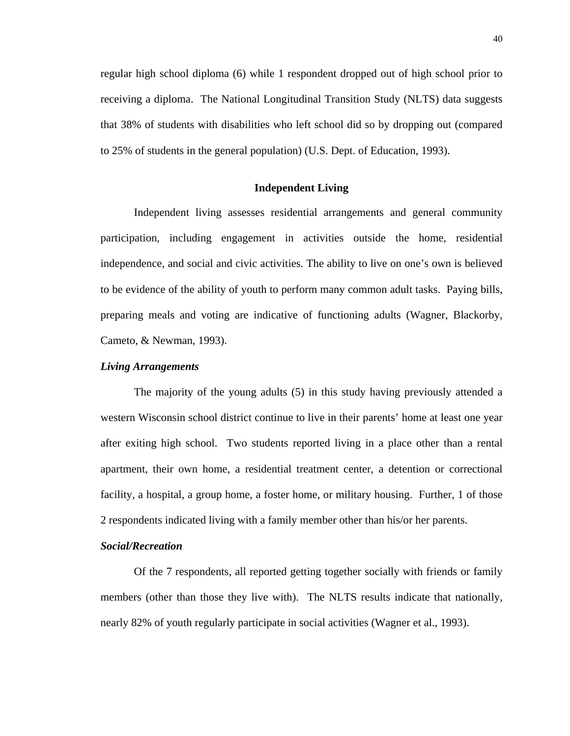regular high school diploma (6) while 1 respondent dropped out of high school prior to receiving a diploma. The National Longitudinal Transition Study (NLTS) data suggests that 38% of students with disabilities who left school did so by dropping out (compared to 25% of students in the general population) (U.S. Dept. of Education, 1993).

## **Independent Living**

Independent living assesses residential arrangements and general community participation, including engagement in activities outside the home, residential independence, and social and civic activities. The ability to live on one's own is believed to be evidence of the ability of youth to perform many common adult tasks. Paying bills, preparing meals and voting are indicative of functioning adults (Wagner, Blackorby, Cameto, & Newman, 1993).

## *Living Arrangements*

The majority of the young adults (5) in this study having previously attended a western Wisconsin school district continue to live in their parents' home at least one year after exiting high school. Two students reported living in a place other than a rental apartment, their own home, a residential treatment center, a detention or correctional facility, a hospital, a group home, a foster home, or military housing. Further, 1 of those 2 respondents indicated living with a family member other than his/or her parents.

## *Social/Recreation*

Of the 7 respondents, all reported getting together socially with friends or family members (other than those they live with). The NLTS results indicate that nationally, nearly 82% of youth regularly participate in social activities (Wagner et al., 1993).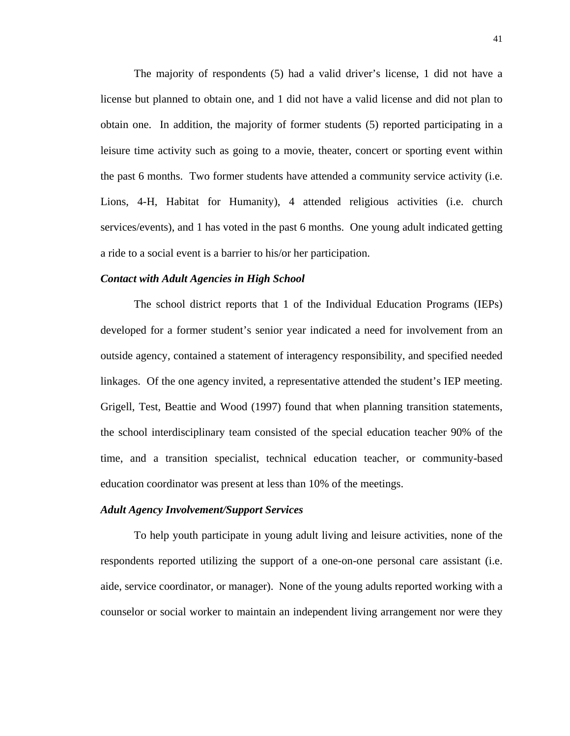The majority of respondents (5) had a valid driver's license, 1 did not have a license but planned to obtain one, and 1 did not have a valid license and did not plan to obtain one. In addition, the majority of former students (5) reported participating in a leisure time activity such as going to a movie, theater, concert or sporting event within the past 6 months. Two former students have attended a community service activity (i.e. Lions, 4-H, Habitat for Humanity), 4 attended religious activities (i.e. church services/events), and 1 has voted in the past 6 months. One young adult indicated getting a ride to a social event is a barrier to his/or her participation.

#### *Contact with Adult Agencies in High School*

The school district reports that 1 of the Individual Education Programs (IEPs) developed for a former student's senior year indicated a need for involvement from an outside agency, contained a statement of interagency responsibility, and specified needed linkages. Of the one agency invited, a representative attended the student's IEP meeting. Grigell, Test, Beattie and Wood (1997) found that when planning transition statements, the school interdisciplinary team consisted of the special education teacher 90% of the time, and a transition specialist, technical education teacher, or community-based education coordinator was present at less than 10% of the meetings.

#### *Adult Agency Involvement/Support Services*

To help youth participate in young adult living and leisure activities, none of the respondents reported utilizing the support of a one-on-one personal care assistant (i.e. aide, service coordinator, or manager).None of the young adults reported working with a counselor or social worker to maintain an independent living arrangement nor were they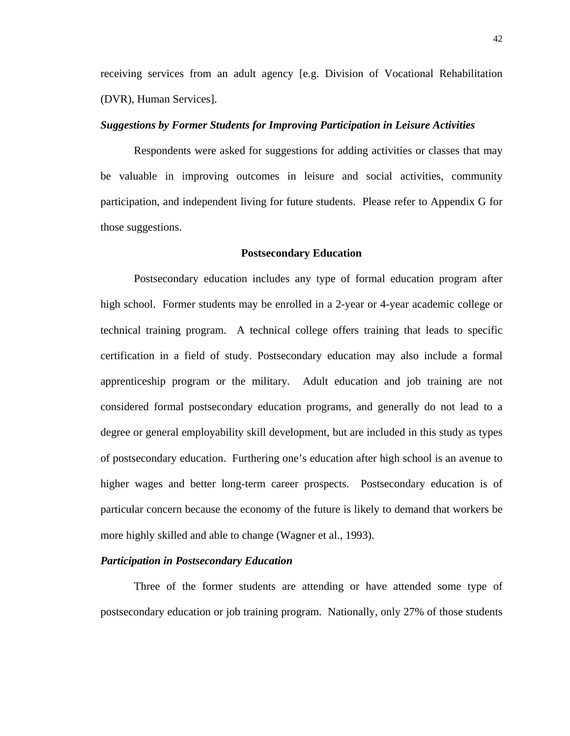receiving services from an adult agency [e.g. Division of Vocational Rehabilitation (DVR), Human Services].

## *Suggestions by Former Students for Improving Participation in Leisure Activities*

Respondents were asked for suggestions for adding activities or classes that may be valuable in improving outcomes in leisure and social activities, community participation, and independent living for future students. Please refer to Appendix G for those suggestions.

#### **Postsecondary Education**

Postsecondary education includes any type of formal education program after high school. Former students may be enrolled in a 2-year or 4-year academic college or technical training program. A technical college offers training that leads to specific certification in a field of study. Postsecondary education may also include a formal apprenticeship program or the military. Adult education and job training are not considered formal postsecondary education programs, and generally do not lead to a degree or general employability skill development, but are included in this study as types of postsecondary education. Furthering one's education after high school is an avenue to higher wages and better long-term career prospects. Postsecondary education is of particular concern because the economy of the future is likely to demand that workers be more highly skilled and able to change (Wagner et al., 1993).

## *Participation in Postsecondary Education*

Three of the former students are attending or have attended some type of postsecondary education or job training program. Nationally, only 27% of those students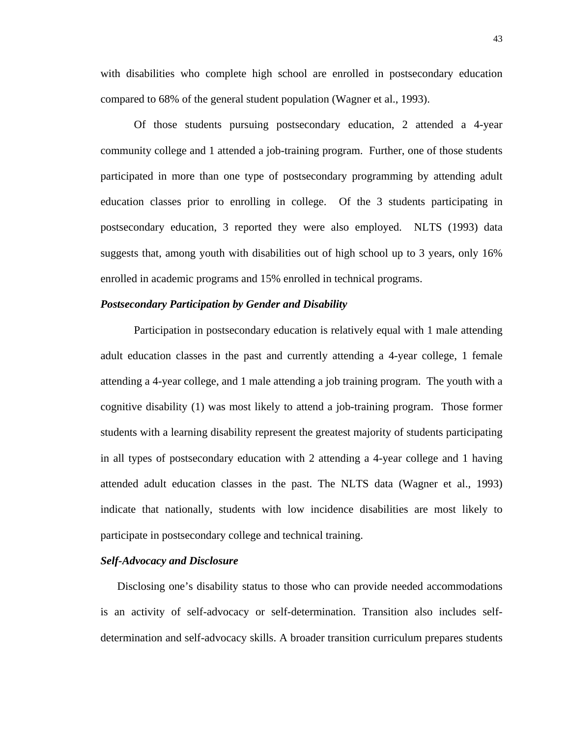with disabilities who complete high school are enrolled in postsecondary education compared to 68% of the general student population (Wagner et al., 1993).

Of those students pursuing postsecondary education, 2 attended a 4-year community college and 1 attended a job-training program. Further, one of those students participated in more than one type of postsecondary programming by attending adult education classes prior to enrolling in college. Of the 3 students participating in postsecondary education, 3 reported they were also employed. NLTS (1993) data suggests that, among youth with disabilities out of high school up to 3 years, only 16% enrolled in academic programs and 15% enrolled in technical programs.

## *Postsecondary Participation by Gender and Disability*

Participation in postsecondary education is relatively equal with 1 male attending adult education classes in the past and currently attending a 4-year college, 1 female attending a 4-year college, and 1 male attending a job training program. The youth with a cognitive disability (1) was most likely to attend a job-training program. Those former students with a learning disability represent the greatest majority of students participating in all types of postsecondary education with 2 attending a 4-year college and 1 having attended adult education classes in the past. The NLTS data (Wagner et al., 1993) indicate that nationally, students with low incidence disabilities are most likely to participate in postsecondary college and technical training.

## *Self-Advocacy and Disclosure*

Disclosing one's disability status to those who can provide needed accommodations is an activity of self-advocacy or self-determination. Transition also includes selfdetermination and self-advocacy skills. A broader transition curriculum prepares students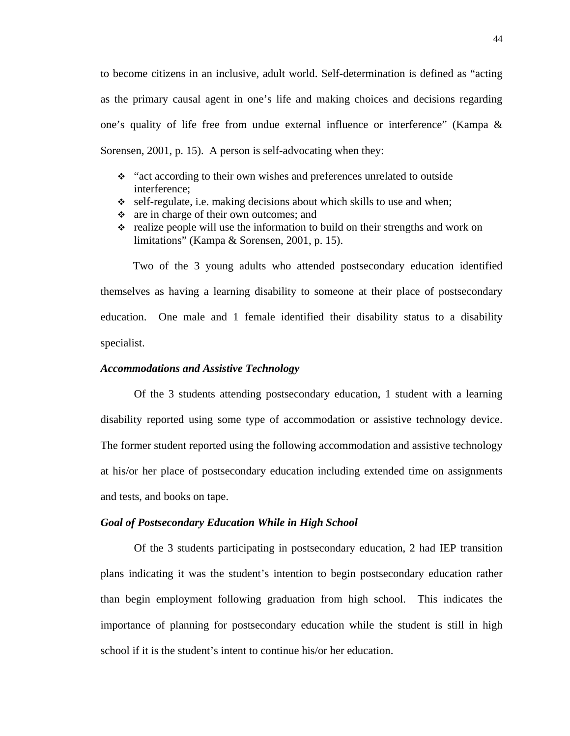to become citizens in an inclusive, adult world. Self-determination is defined as "acting as the primary causal agent in one's life and making choices and decisions regarding one's quality of life free from undue external influence or interference" (Kampa & Sorensen, 2001, p. 15). A person is self-advocating when they:

- "act according to their own wishes and preferences unrelated to outside interference;
- $\div$  self-regulate, i.e. making decisions about which skills to use and when;
- are in charge of their own outcomes; and
- $\div$  realize people will use the information to build on their strengths and work on limitations" (Kampa & Sorensen, 2001, p. 15).

Two of the 3 young adults who attended postsecondary education identified themselves as having a learning disability to someone at their place of postsecondary education.One male and 1 female identified their disability status to a disability specialist.

## *Accommodations and Assistive Technology*

Of the 3 students attending postsecondary education, 1 student with a learning disability reported using some type of accommodation or assistive technology device. The former student reported using the following accommodation and assistive technology at his/or her place of postsecondary education including extended time on assignments and tests, and books on tape.

## *Goal of Postsecondary Education While in High School*

Of the 3 students participating in postsecondary education, 2 had IEP transition plans indicating it was the student's intention to begin postsecondary education rather than begin employment following graduation from high school. This indicates the importance of planning for postsecondary education while the student is still in high school if it is the student's intent to continue his/or her education.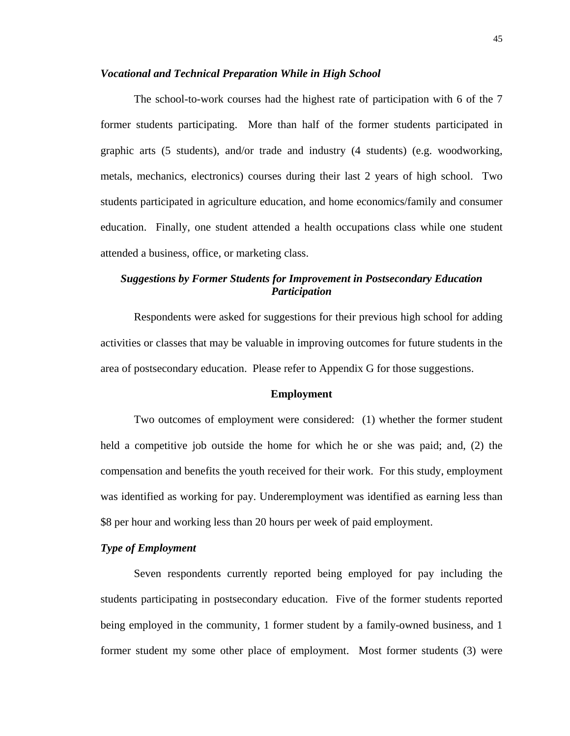#### *Vocational and Technical Preparation While in High School*

The school-to-work courses had the highest rate of participation with 6 of the 7 former students participating. More than half of the former students participated in graphic arts (5 students), and/or trade and industry (4 students) (e.g. woodworking, metals, mechanics, electronics) courses during their last 2 years of high school. Two students participated in agriculture education, and home economics/family and consumer education. Finally, one student attended a health occupations class while one student attended a business, office, or marketing class.

# *Suggestions by Former Students for Improvement in Postsecondary Education Participation*

Respondents were asked for suggestions for their previous high school for adding activities or classes that may be valuable in improving outcomes for future students in the area of postsecondary education. Please refer to Appendix G for those suggestions.

## **Employment**

Two outcomes of employment were considered: (1) whether the former student held a competitive job outside the home for which he or she was paid; and, (2) the compensation and benefits the youth received for their work. For this study, employment was identified as working for pay. Underemployment was identified as earning less than \$8 per hour and working less than 20 hours per week of paid employment.

## *Type of Employment*

Seven respondents currently reported being employed for pay including the students participating in postsecondary education. Five of the former students reported being employed in the community, 1 former student by a family-owned business, and 1 former student my some other place of employment. Most former students (3) were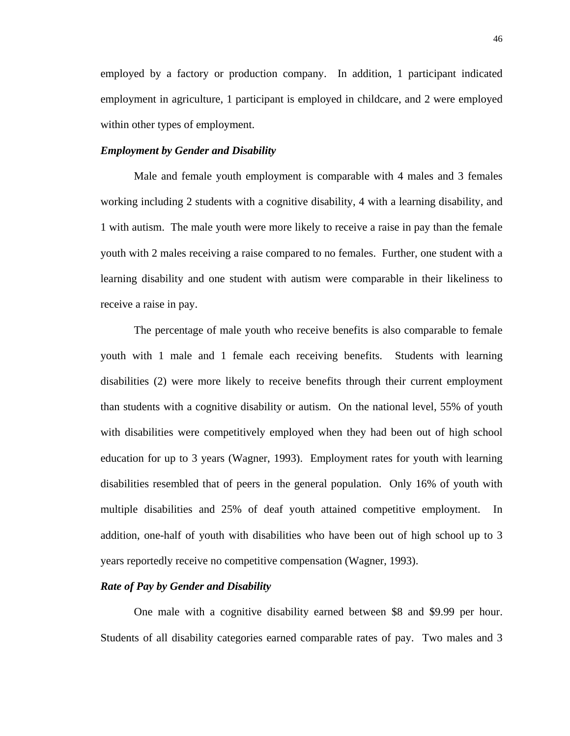employed by a factory or production company. In addition, 1 participant indicated employment in agriculture, 1 participant is employed in childcare, and 2 were employed within other types of employment.

## *Employment by Gender and Disability*

Male and female youth employment is comparable with 4 males and 3 females working including 2 students with a cognitive disability, 4 with a learning disability, and 1 with autism. The male youth were more likely to receive a raise in pay than the female youth with 2 males receiving a raise compared to no females. Further, one student with a learning disability and one student with autism were comparable in their likeliness to receive a raise in pay.

The percentage of male youth who receive benefits is also comparable to female youth with 1 male and 1 female each receiving benefits. Students with learning disabilities (2) were more likely to receive benefits through their current employment than students with a cognitive disability or autism. On the national level, 55% of youth with disabilities were competitively employed when they had been out of high school education for up to 3 years (Wagner, 1993). Employment rates for youth with learning disabilities resembled that of peers in the general population. Only 16% of youth with multiple disabilities and 25% of deaf youth attained competitive employment. In addition, one-half of youth with disabilities who have been out of high school up to 3 years reportedly receive no competitive compensation (Wagner, 1993).

#### *Rate of Pay by Gender and Disability*

One male with a cognitive disability earned between \$8 and \$9.99 per hour. Students of all disability categories earned comparable rates of pay. Two males and 3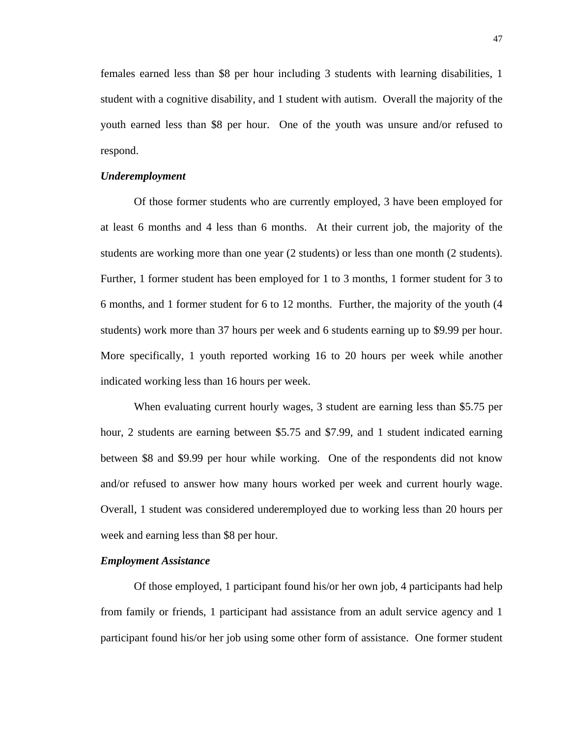females earned less than \$8 per hour including 3 students with learning disabilities, 1 student with a cognitive disability, and 1 student with autism. Overall the majority of the youth earned less than \$8 per hour. One of the youth was unsure and/or refused to respond.

## *Underemployment*

Of those former students who are currently employed, 3 have been employed for at least 6 months and 4 less than 6 months. At their current job, the majority of the students are working more than one year (2 students) or less than one month (2 students). Further, 1 former student has been employed for 1 to 3 months, 1 former student for 3 to 6 months, and 1 former student for 6 to 12 months. Further, the majority of the youth (4 students) work more than 37 hours per week and 6 students earning up to \$9.99 per hour. More specifically, 1 youth reported working 16 to 20 hours per week while another indicated working less than 16 hours per week.

When evaluating current hourly wages, 3 student are earning less than \$5.75 per hour, 2 students are earning between \$5.75 and \$7.99, and 1 student indicated earning between \$8 and \$9.99 per hour while working. One of the respondents did not know and/or refused to answer how many hours worked per week and current hourly wage. Overall, 1 student was considered underemployed due to working less than 20 hours per week and earning less than \$8 per hour.

#### *Employment Assistance*

Of those employed, 1 participant found his/or her own job, 4 participants had help from family or friends, 1 participant had assistance from an adult service agency and 1 participant found his/or her job using some other form of assistance. One former student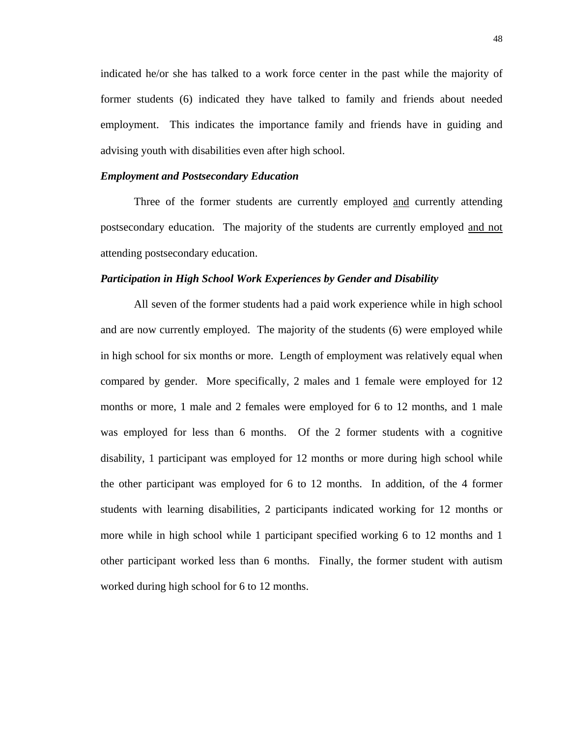indicated he/or she has talked to a work force center in the past while the majority of former students (6) indicated they have talked to family and friends about needed employment. This indicates the importance family and friends have in guiding and advising youth with disabilities even after high school.

#### *Employment and Postsecondary Education*

Three of the former students are currently employed and currently attending postsecondary education. The majority of the students are currently employed and not attending postsecondary education.

#### *Participation in High School Work Experiences by Gender and Disability*

All seven of the former students had a paid work experience while in high school and are now currently employed. The majority of the students (6) were employed while in high school for six months or more. Length of employment was relatively equal when compared by gender. More specifically, 2 males and 1 female were employed for 12 months or more, 1 male and 2 females were employed for 6 to 12 months, and 1 male was employed for less than 6 months. Of the 2 former students with a cognitive disability, 1 participant was employed for 12 months or more during high school while the other participant was employed for 6 to 12 months. In addition, of the 4 former students with learning disabilities, 2 participants indicated working for 12 months or more while in high school while 1 participant specified working 6 to 12 months and 1 other participant worked less than 6 months. Finally, the former student with autism worked during high school for 6 to 12 months.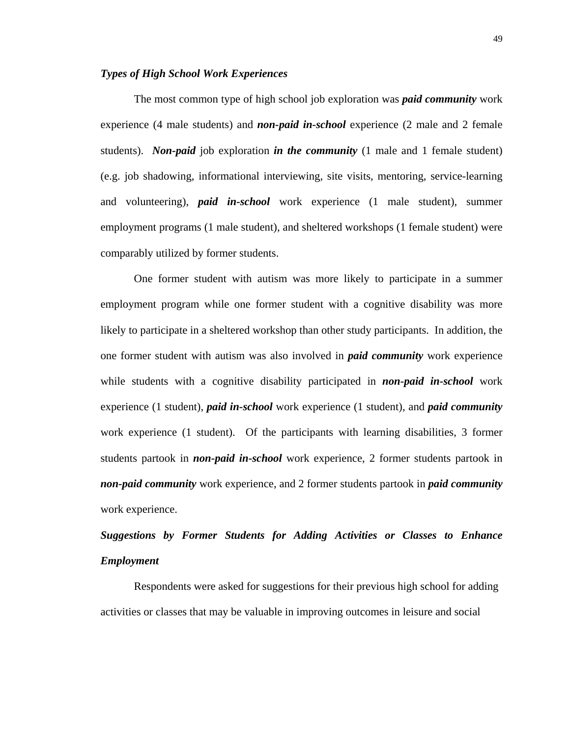#### *Types of High School Work Experiences*

The most common type of high school job exploration was *paid community* work experience (4 male students) and *non-paid in-school* experience (2 male and 2 female students). *Non-paid* job exploration *in the community* (1 male and 1 female student) (e.g. job shadowing, informational interviewing, site visits, mentoring, service-learning and volunteering), *paid in-school* work experience (1 male student), summer employment programs (1 male student), and sheltered workshops (1 female student) were comparably utilized by former students.

One former student with autism was more likely to participate in a summer employment program while one former student with a cognitive disability was more likely to participate in a sheltered workshop than other study participants. In addition, the one former student with autism was also involved in *paid community* work experience while students with a cognitive disability participated in *non-paid in-school* work experience (1 student), *paid in-school* work experience (1 student), and *paid community* work experience (1 student). Of the participants with learning disabilities, 3 former students partook in *non-paid in-school* work experience, 2 former students partook in *non-paid community* work experience, and 2 former students partook in *paid community* work experience.

# *Suggestions by Former Students for Adding Activities or Classes to Enhance Employment*

Respondents were asked for suggestions for their previous high school for adding activities or classes that may be valuable in improving outcomes in leisure and social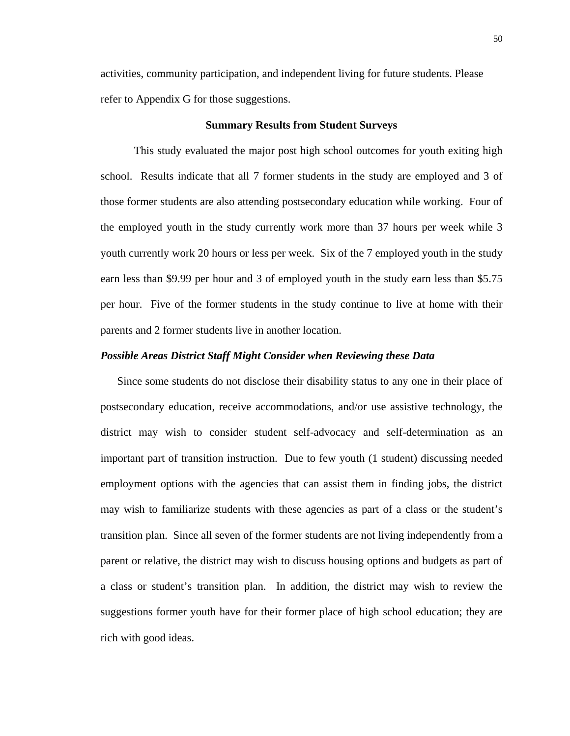activities, community participation, and independent living for future students. Please refer to Appendix G for those suggestions.

## **Summary Results from Student Surveys**

This study evaluated the major post high school outcomes for youth exiting high school. Results indicate that all 7 former students in the study are employed and 3 of those former students are also attending postsecondary education while working. Four of the employed youth in the study currently work more than 37 hours per week while 3 youth currently work 20 hours or less per week. Six of the 7 employed youth in the study earn less than \$9.99 per hour and 3 of employed youth in the study earn less than \$5.75 per hour. Five of the former students in the study continue to live at home with their parents and 2 former students live in another location.

#### *Possible Areas District Staff Might Consider when Reviewing these Data*

Since some students do not disclose their disability status to any one in their place of postsecondary education, receive accommodations, and/or use assistive technology, the district may wish to consider student self-advocacy and self-determination as an important part of transition instruction. Due to few youth (1 student) discussing needed employment options with the agencies that can assist them in finding jobs, the district may wish to familiarize students with these agencies as part of a class or the student's transition plan. Since all seven of the former students are not living independently from a parent or relative, the district may wish to discuss housing options and budgets as part of a class or student's transition plan. In addition, the district may wish to review the suggestions former youth have for their former place of high school education; they are rich with good ideas.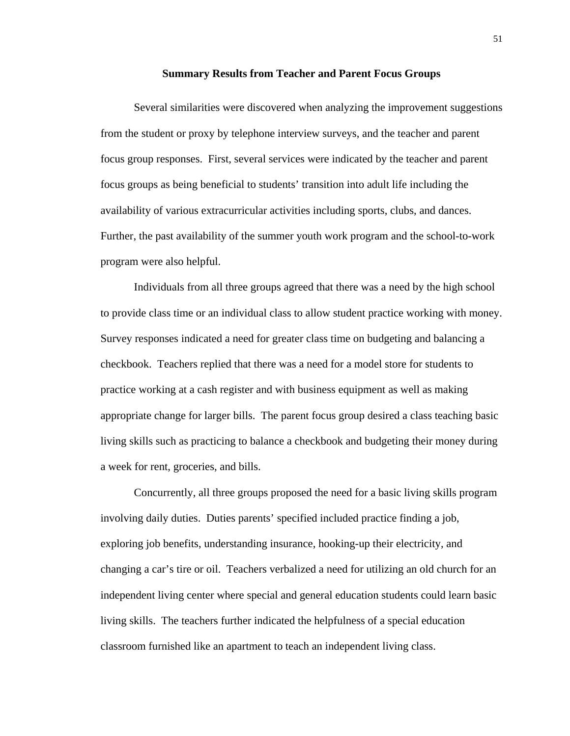#### **Summary Results from Teacher and Parent Focus Groups**

Several similarities were discovered when analyzing the improvement suggestions from the student or proxy by telephone interview surveys, and the teacher and parent focus group responses. First, several services were indicated by the teacher and parent focus groups as being beneficial to students' transition into adult life including the availability of various extracurricular activities including sports, clubs, and dances. Further, the past availability of the summer youth work program and the school-to-work program were also helpful.

Individuals from all three groups agreed that there was a need by the high school to provide class time or an individual class to allow student practice working with money. Survey responses indicated a need for greater class time on budgeting and balancing a checkbook. Teachers replied that there was a need for a model store for students to practice working at a cash register and with business equipment as well as making appropriate change for larger bills. The parent focus group desired a class teaching basic living skills such as practicing to balance a checkbook and budgeting their money during a week for rent, groceries, and bills.

Concurrently, all three groups proposed the need for a basic living skills program involving daily duties. Duties parents' specified included practice finding a job, exploring job benefits, understanding insurance, hooking-up their electricity, and changing a car's tire or oil. Teachers verbalized a need for utilizing an old church for an independent living center where special and general education students could learn basic living skills. The teachers further indicated the helpfulness of a special education classroom furnished like an apartment to teach an independent living class.

51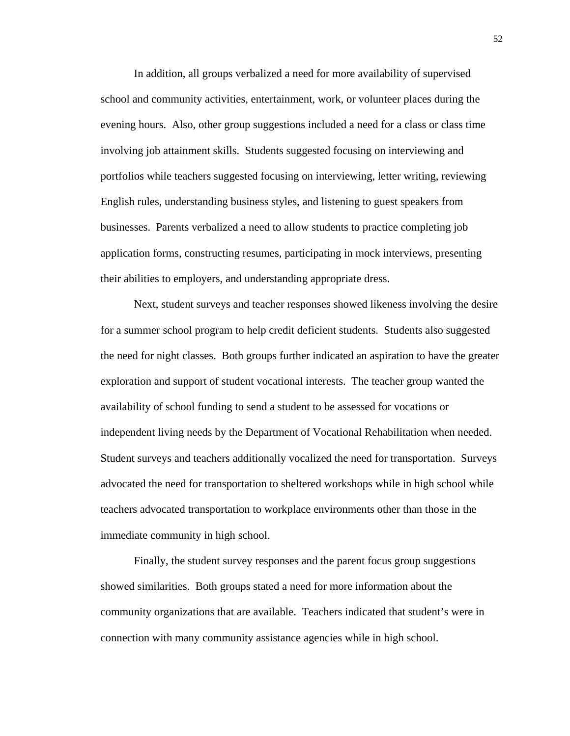In addition, all groups verbalized a need for more availability of supervised school and community activities, entertainment, work, or volunteer places during the evening hours. Also, other group suggestions included a need for a class or class time involving job attainment skills. Students suggested focusing on interviewing and portfolios while teachers suggested focusing on interviewing, letter writing, reviewing English rules, understanding business styles, and listening to guest speakers from businesses. Parents verbalized a need to allow students to practice completing job application forms, constructing resumes, participating in mock interviews, presenting their abilities to employers, and understanding appropriate dress.

Next, student surveys and teacher responses showed likeness involving the desire for a summer school program to help credit deficient students. Students also suggested the need for night classes. Both groups further indicated an aspiration to have the greater exploration and support of student vocational interests. The teacher group wanted the availability of school funding to send a student to be assessed for vocations or independent living needs by the Department of Vocational Rehabilitation when needed. Student surveys and teachers additionally vocalized the need for transportation. Surveys advocated the need for transportation to sheltered workshops while in high school while teachers advocated transportation to workplace environments other than those in the immediate community in high school.

Finally, the student survey responses and the parent focus group suggestions showed similarities. Both groups stated a need for more information about the community organizations that are available. Teachers indicated that student's were in connection with many community assistance agencies while in high school.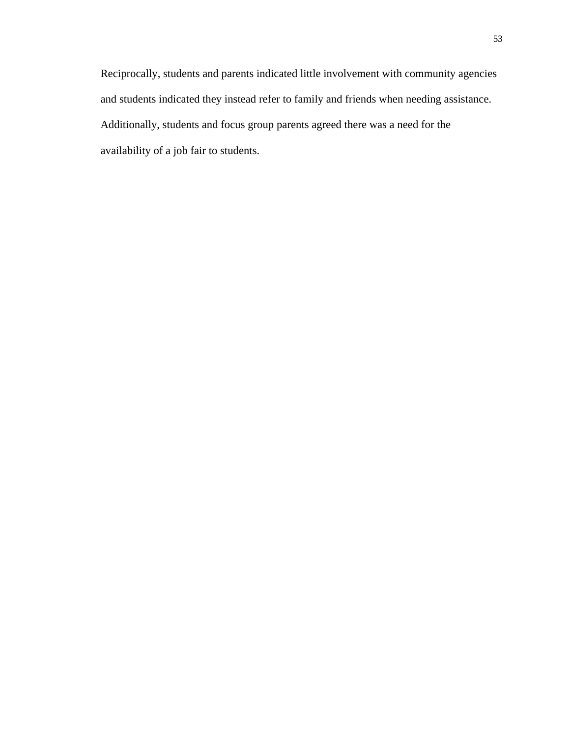Reciprocally, students and parents indicated little involvement with community agencies and students indicated they instead refer to family and friends when needing assistance. Additionally, students and focus group parents agreed there was a need for the availability of a job fair to students.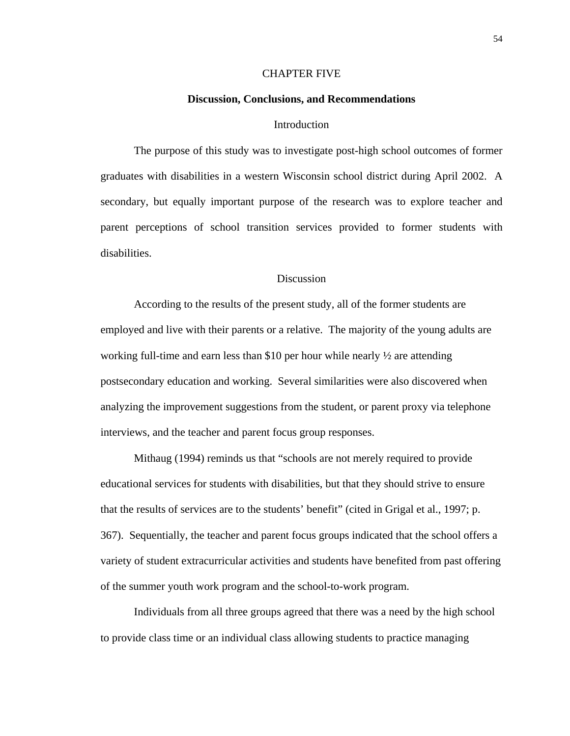#### CHAPTER FIVE

#### **Discussion, Conclusions, and Recommendations**

#### **Introduction**

The purpose of this study was to investigate post-high school outcomes of former graduates with disabilities in a western Wisconsin school district during April 2002. A secondary, but equally important purpose of the research was to explore teacher and parent perceptions of school transition services provided to former students with disabilities.

## Discussion

According to the results of the present study, all of the former students are employed and live with their parents or a relative. The majority of the young adults are working full-time and earn less than \$10 per hour while nearly  $\frac{1}{2}$  are attending postsecondary education and working. Several similarities were also discovered when analyzing the improvement suggestions from the student, or parent proxy via telephone interviews, and the teacher and parent focus group responses.

Mithaug (1994) reminds us that "schools are not merely required to provide educational services for students with disabilities, but that they should strive to ensure that the results of services are to the students' benefit" (cited in Grigal et al., 1997; p. 367). Sequentially, the teacher and parent focus groups indicated that the school offers a variety of student extracurricular activities and students have benefited from past offering of the summer youth work program and the school-to-work program.

Individuals from all three groups agreed that there was a need by the high school to provide class time or an individual class allowing students to practice managing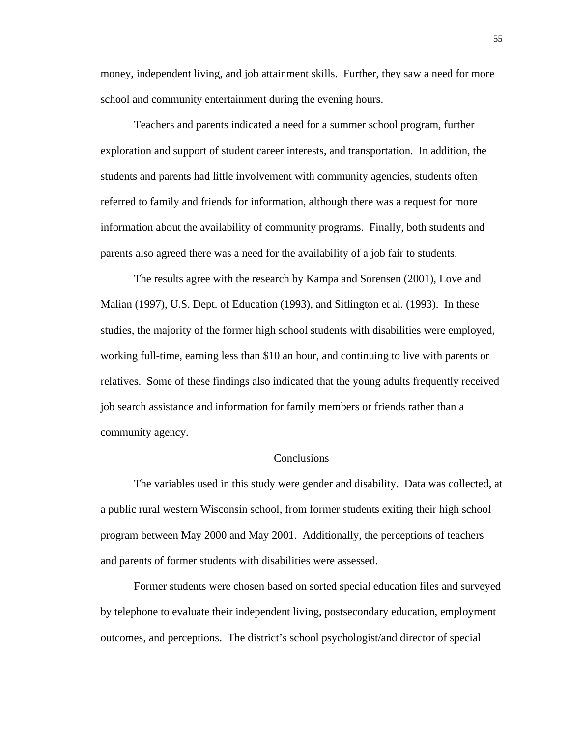money, independent living, and job attainment skills. Further, they saw a need for more school and community entertainment during the evening hours.

Teachers and parents indicated a need for a summer school program, further exploration and support of student career interests, and transportation. In addition, the students and parents had little involvement with community agencies, students often referred to family and friends for information, although there was a request for more information about the availability of community programs. Finally, both students and parents also agreed there was a need for the availability of a job fair to students.

The results agree with the research by Kampa and Sorensen (2001), Love and Malian (1997), U.S. Dept. of Education (1993), and Sitlington et al. (1993). In these studies, the majority of the former high school students with disabilities were employed, working full-time, earning less than \$10 an hour, and continuing to live with parents or relatives. Some of these findings also indicated that the young adults frequently received job search assistance and information for family members or friends rather than a community agency.

## Conclusions

The variables used in this study were gender and disability. Data was collected, at a public rural western Wisconsin school, from former students exiting their high school program between May 2000 and May 2001. Additionally, the perceptions of teachers and parents of former students with disabilities were assessed.

Former students were chosen based on sorted special education files and surveyed by telephone to evaluate their independent living, postsecondary education, employment outcomes, and perceptions. The district's school psychologist/and director of special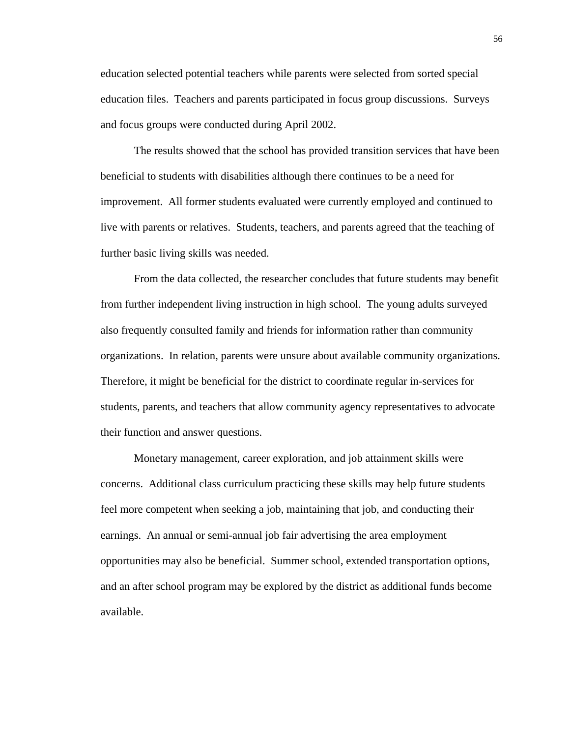education selected potential teachers while parents were selected from sorted special education files. Teachers and parents participated in focus group discussions. Surveys and focus groups were conducted during April 2002.

The results showed that the school has provided transition services that have been beneficial to students with disabilities although there continues to be a need for improvement. All former students evaluated were currently employed and continued to live with parents or relatives. Students, teachers, and parents agreed that the teaching of further basic living skills was needed.

From the data collected, the researcher concludes that future students may benefit from further independent living instruction in high school. The young adults surveyed also frequently consulted family and friends for information rather than community organizations. In relation, parents were unsure about available community organizations. Therefore, it might be beneficial for the district to coordinate regular in-services for students, parents, and teachers that allow community agency representatives to advocate their function and answer questions.

Monetary management, career exploration, and job attainment skills were concerns. Additional class curriculum practicing these skills may help future students feel more competent when seeking a job, maintaining that job, and conducting their earnings. An annual or semi-annual job fair advertising the area employment opportunities may also be beneficial. Summer school, extended transportation options, and an after school program may be explored by the district as additional funds become available.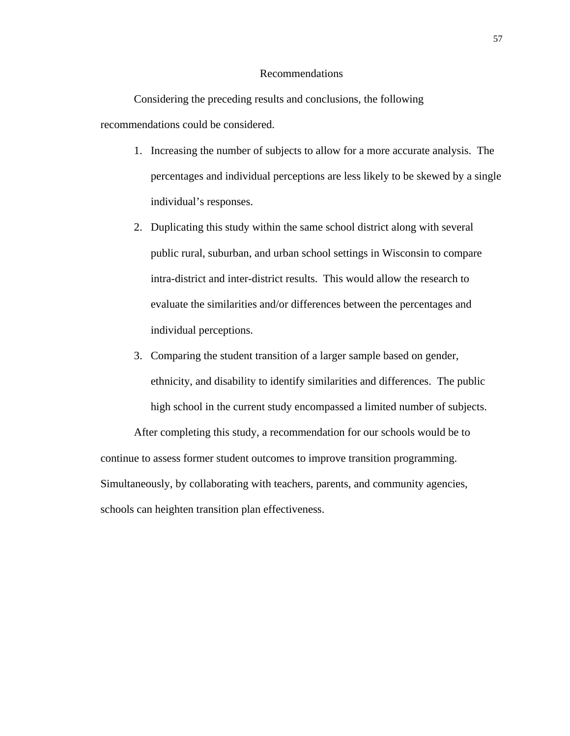#### Recommendations

Considering the preceding results and conclusions, the following recommendations could be considered.

- 1. Increasing the number of subjects to allow for a more accurate analysis. The percentages and individual perceptions are less likely to be skewed by a single individual's responses.
- 2. Duplicating this study within the same school district along with several public rural, suburban, and urban school settings in Wisconsin to compare intra-district and inter-district results. This would allow the research to evaluate the similarities and/or differences between the percentages and individual perceptions.
- 3. Comparing the student transition of a larger sample based on gender, ethnicity, and disability to identify similarities and differences. The public high school in the current study encompassed a limited number of subjects.

After completing this study, a recommendation for our schools would be to continue to assess former student outcomes to improve transition programming. Simultaneously, by collaborating with teachers, parents, and community agencies, schools can heighten transition plan effectiveness.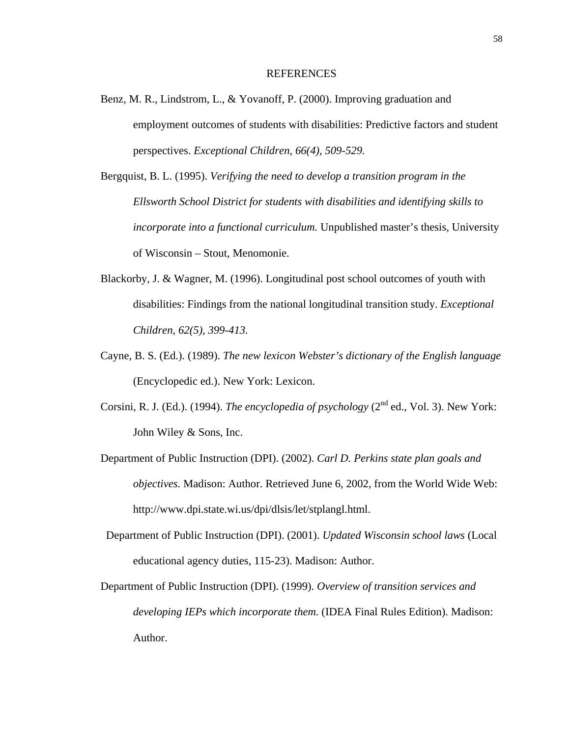#### REFERENCES

- Benz, M. R., Lindstrom, L., & Yovanoff, P. (2000). Improving graduation and employment outcomes of students with disabilities: Predictive factors and student perspectives. *Exceptional Children, 66(4), 509-529.*
- Bergquist, B. L. (1995). *Verifying the need to develop a transition program in the Ellsworth School District for students with disabilities and identifying skills to incorporate into a functional curriculum.* Unpublished master's thesis, University of Wisconsin – Stout, Menomonie.
- Blackorby, J. & Wagner, M. (1996). Longitudinal post school outcomes of youth with disabilities: Findings from the national longitudinal transition study. *Exceptional Children, 62(5), 399-413.*
- Cayne, B. S. (Ed.). (1989). *The new lexicon Webster's dictionary of the English language* (Encyclopedic ed.). New York: Lexicon.
- Corsini, R. J. (Ed.). (1994). *The encyclopedia of psychology* ( $2<sup>nd</sup>$  ed., Vol. 3). New York: John Wiley & Sons, Inc.
- Department of Public Instruction (DPI). (2002). *Carl D. Perkins state plan goals and objectives.* Madison: Author. Retrieved June 6, 2002, from the World Wide Web: http://www.dpi.state.wi.us/dpi/dlsis/let/stplangl.html.
- Department of Public Instruction (DPI). (2001). *Updated Wisconsin school laws* (Local educational agency duties, 115-23). Madison: Author.
- Department of Public Instruction (DPI). (1999). *Overview of transition services and developing IEPs which incorporate them.* (IDEA Final Rules Edition). Madison: Author.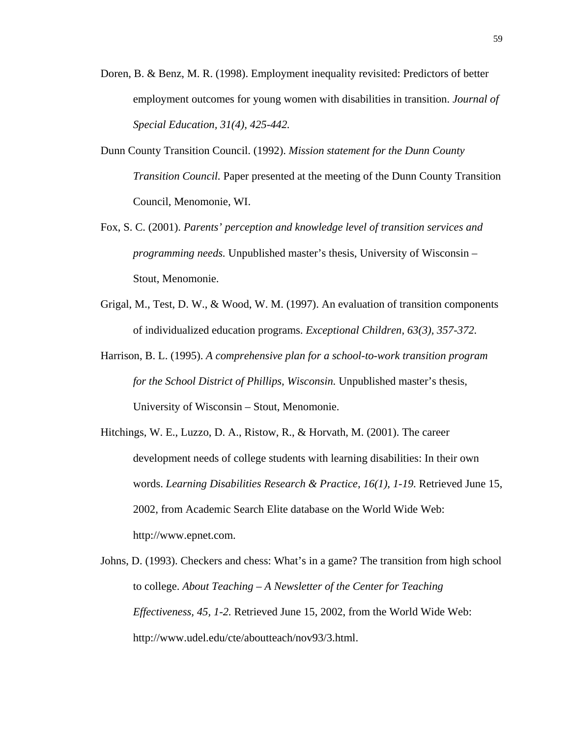- Doren, B. & Benz, M. R. (1998). Employment inequality revisited: Predictors of better employment outcomes for young women with disabilities in transition. *Journal of Special Education, 31(4), 425-442.*
- Dunn County Transition Council. (1992). *Mission statement for the Dunn County Transition Council.* Paper presented at the meeting of the Dunn County Transition Council, Menomonie, WI.
- Fox, S. C. (2001). *Parents' perception and knowledge level of transition services and programming needs.* Unpublished master's thesis, University of Wisconsin – Stout, Menomonie.
- Grigal, M., Test, D. W., & Wood, W. M. (1997). An evaluation of transition components of individualized education programs. *Exceptional Children, 63(3), 357-372.*
- Harrison, B. L. (1995). *A comprehensive plan for a school-to-work transition program for the School District of Phillips, Wisconsin.* Unpublished master's thesis, University of Wisconsin – Stout, Menomonie.
- Hitchings, W. E., Luzzo, D. A., Ristow, R., & Horvath, M. (2001). The career development needs of college students with learning disabilities: In their own words. *Learning Disabilities Research & Practice, 16(1), 1-19.* Retrieved June 15, 2002, from Academic Search Elite database on the World Wide Web: http://www.epnet.com.
- Johns, D. (1993). Checkers and chess: What's in a game? The transition from high school to college. *About Teaching – A Newsletter of the Center for Teaching Effectiveness, 45, 1-2.* Retrieved June 15, 2002, from the World Wide Web: http://www.udel.edu/cte/aboutteach/nov93/3.html.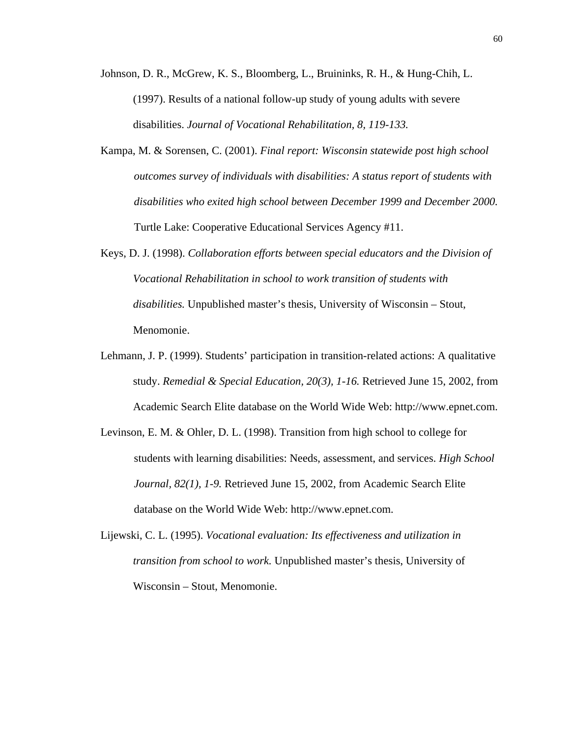- Johnson, D. R., McGrew, K. S., Bloomberg, L., Bruininks, R. H., & Hung-Chih, L. (1997). Results of a national follow-up study of young adults with severe disabilities. *Journal of Vocational Rehabilitation, 8, 119-133.*
- Kampa, M. & Sorensen, C. (2001). *Final report: Wisconsin statewide post high school outcomes survey of individuals with disabilities: A status report of students with disabilities who exited high school between December 1999 and December 2000.* Turtle Lake: Cooperative Educational Services Agency #11.
- Keys, D. J. (1998). *Collaboration efforts between special educators and the Division of Vocational Rehabilitation in school to work transition of students with disabilities.* Unpublished master's thesis, University of Wisconsin – Stout, Menomonie.
- Lehmann, J. P. (1999). Students' participation in transition-related actions: A qualitative study. *Remedial & Special Education, 20(3), 1-16.* Retrieved June 15, 2002, from Academic Search Elite database on the World Wide Web: http://www.epnet.com.
- Levinson, E. M. & Ohler, D. L. (1998). Transition from high school to college for students with learning disabilities: Needs, assessment, and services. *High School Journal, 82(1), 1-9.* Retrieved June 15, 2002, from Academic Search Elite database on the World Wide Web: http://www.epnet.com.
- Lijewski, C. L. (1995). *Vocational evaluation: Its effectiveness and utilization in transition from school to work.* Unpublished master's thesis, University of Wisconsin – Stout, Menomonie.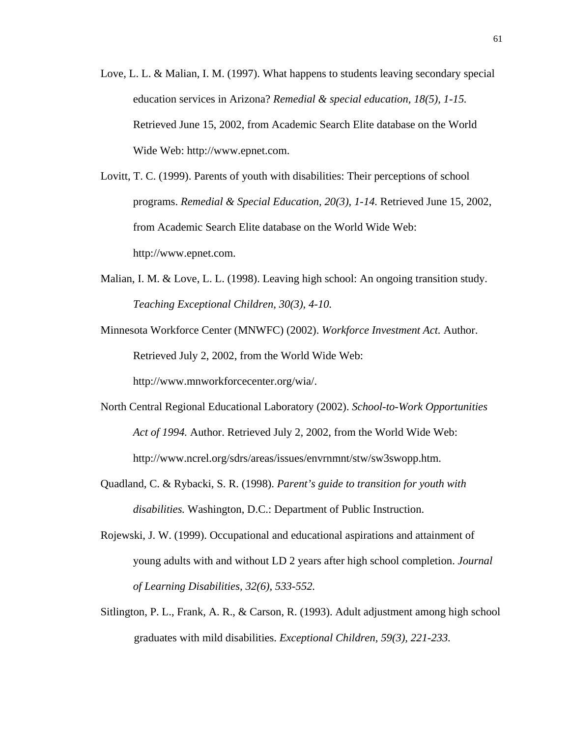- Love, L. L. & Malian, I. M. (1997). What happens to students leaving secondary special education services in Arizona? *Remedial & special education, 18(5), 1-15.*  Retrieved June 15, 2002, from Academic Search Elite database on the World Wide Web: http://www.epnet.com.
- Lovitt, T. C. (1999). Parents of youth with disabilities: Their perceptions of school programs. *Remedial & Special Education, 20(3), 1-14.* Retrieved June 15, 2002, from Academic Search Elite database on the World Wide Web: http://www.epnet.com.
- Malian, I. M. & Love, L. L. (1998). Leaving high school: An ongoing transition study. *Teaching Exceptional Children, 30(3), 4-10.*
- Minnesota Workforce Center (MNWFC) (2002). *Workforce Investment Act.* Author. Retrieved July 2, 2002, from the World Wide Web:

http://www.mnworkforcecenter.org/wia/.

- North Central Regional Educational Laboratory (2002). *School-to-Work Opportunities Act of 1994.* Author. Retrieved July 2, 2002, from the World Wide Web: http://www.ncrel.org/sdrs/areas/issues/envrnmnt/stw/sw3swopp.htm.
- Quadland, C. & Rybacki, S. R. (1998). *Parent's guide to transition for youth with disabilities.* Washington, D.C.: Department of Public Instruction.
- Rojewski, J. W. (1999). Occupational and educational aspirations and attainment of young adults with and without LD 2 years after high school completion. *Journal of Learning Disabilities, 32(6), 533-552.*
- Sitlington, P. L., Frank, A. R., & Carson, R. (1993). Adult adjustment among high school graduates with mild disabilities. *Exceptional Children, 59(3), 221-233.*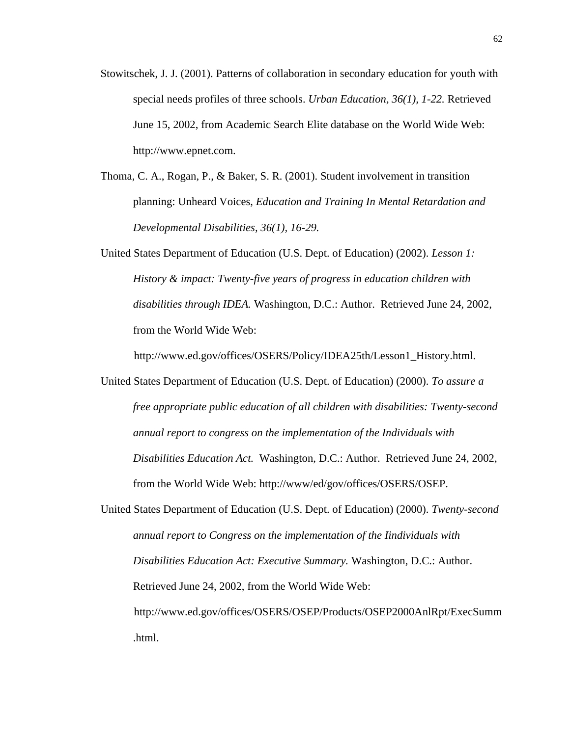- Stowitschek, J. J. (2001). Patterns of collaboration in secondary education for youth with special needs profiles of three schools. *Urban Education, 36(1), 1-22.* Retrieved June 15, 2002, from Academic Search Elite database on the World Wide Web: http://www.epnet.com.
- Thoma, C. A., Rogan, P., & Baker, S. R. (2001). Student involvement in transition planning: Unheard Voices, *Education and Training In Mental Retardation and Developmental Disabilities, 36(1), 16-29.*
- United States Department of Education (U.S. Dept. of Education) (2002). *Lesson 1: History & impact: Twenty-five years of progress in education children with disabilities through IDEA.* Washington, D.C.: Author. Retrieved June 24, 2002, from the World Wide Web:

http://www.ed.gov/offices/OSERS/Policy/IDEA25th/Lesson1\_History.html.

- United States Department of Education (U.S. Dept. of Education) (2000). *To assure a free appropriate public education of all children with disabilities: Twenty-second annual report to congress on the implementation of the Individuals with Disabilities Education Act.* Washington, D.C.: Author. Retrieved June 24, 2002, from the World Wide Web: http://www/ed/gov/offices/OSERS/OSEP.
- United States Department of Education (U.S. Dept. of Education) (2000). *Twenty-second annual report to Congress on the implementation of the Iindividuals with Disabilities Education Act: Executive Summary.* Washington, D.C.: Author. Retrieved June 24, 2002, from the World Wide Web: http://www.ed.gov/offices/OSERS/OSEP/Products/OSEP2000AnlRpt/ExecSumm .html.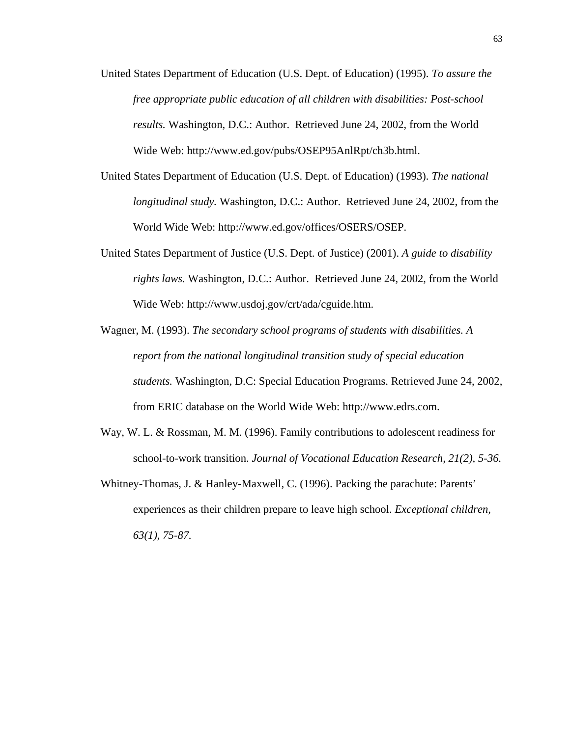- United States Department of Education (U.S. Dept. of Education) (1995). *To assure the free appropriate public education of all children with disabilities: Post-school results.* Washington, D.C.: Author. Retrieved June 24, 2002, from the World Wide Web: http://www.ed.gov/pubs/OSEP95AnlRpt/ch3b.html.
- United States Department of Education (U.S. Dept. of Education) (1993). *The national longitudinal study.* Washington, D.C.: Author. Retrieved June 24, 2002, from the World Wide Web: http://www.ed.gov/offices/OSERS/OSEP.
- United States Department of Justice (U.S. Dept. of Justice) (2001). *A guide to disability rights laws.* Washington, D.C.: Author. Retrieved June 24, 2002, from the World Wide Web: http://www.usdoj.gov/crt/ada/cguide.htm.
- Wagner, M. (1993). *The secondary school programs of students with disabilities. A report from the national longitudinal transition study of special education students.* Washington, D.C: Special Education Programs. Retrieved June 24, 2002, from ERIC database on the World Wide Web: http://www.edrs.com.
- Way, W. L. & Rossman, M. M. (1996). Family contributions to adolescent readiness for school-to-work transition. *Journal of Vocational Education Research, 21(2), 5-36.*
- Whitney-Thomas, J. & Hanley-Maxwell, C. (1996). Packing the parachute: Parents' experiences as their children prepare to leave high school. *Exceptional children, 63(1), 75-87.*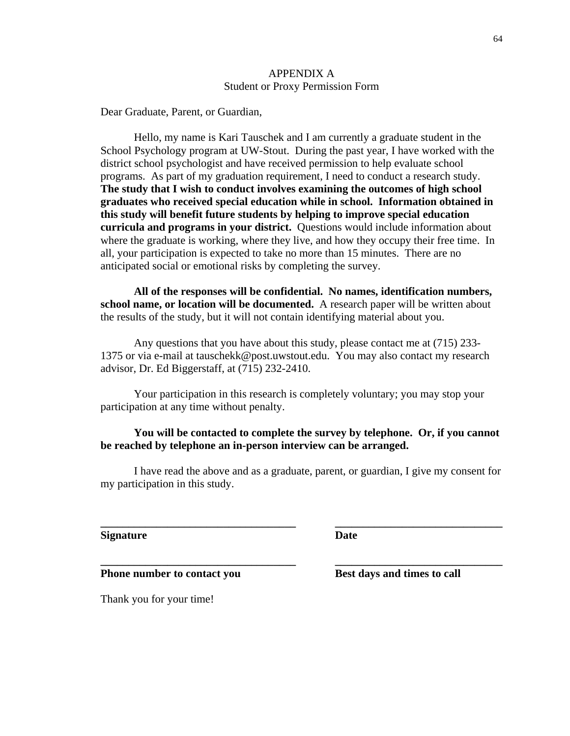## APPENDIX A Student or Proxy Permission Form

Dear Graduate, Parent, or Guardian,

Hello, my name is Kari Tauschek and I am currently a graduate student in the School Psychology program at UW-Stout. During the past year, I have worked with the district school psychologist and have received permission to help evaluate school programs. As part of my graduation requirement, I need to conduct a research study. **The study that I wish to conduct involves examining the outcomes of high school graduates who received special education while in school. Information obtained in this study will benefit future students by helping to improve special education curricula and programs in your district.** Questions would include information about where the graduate is working, where they live, and how they occupy their free time. In all, your participation is expected to take no more than 15 minutes. There are no anticipated social or emotional risks by completing the survey.

**All of the responses will be confidential. No names, identification numbers, school name, or location will be documented.** A research paper will be written about the results of the study, but it will not contain identifying material about you.

Any questions that you have about this study, please contact me at (715) 233- 1375 or via e-mail at tauschekk@post.uwstout.edu. You may also contact my research advisor, Dr. Ed Biggerstaff, at (715) 232-2410.

Your participation in this research is completely voluntary; you may stop your participation at any time without penalty.

# **You will be contacted to complete the survey by telephone. Or, if you cannot be reached by telephone an in-person interview can be arranged.**

I have read the above and as a graduate, parent, or guardian, I give my consent for my participation in this study.

**\_\_\_\_\_\_\_\_\_\_\_\_\_\_\_\_\_\_\_\_\_\_\_\_\_\_\_\_\_\_\_\_\_\_\_ \_\_\_\_\_\_\_\_\_\_\_\_\_\_\_\_\_\_\_\_\_\_\_\_\_\_\_\_\_\_** 

**\_\_\_\_\_\_\_\_\_\_\_\_\_\_\_\_\_\_\_\_\_\_\_\_\_\_\_\_\_\_\_\_\_\_\_ \_\_\_\_\_\_\_\_\_\_\_\_\_\_\_\_\_\_\_\_\_\_\_\_\_\_\_\_\_\_** 

**Signature** Date

**Phone number to contact you Best days and times to call** 

Thank you for your time!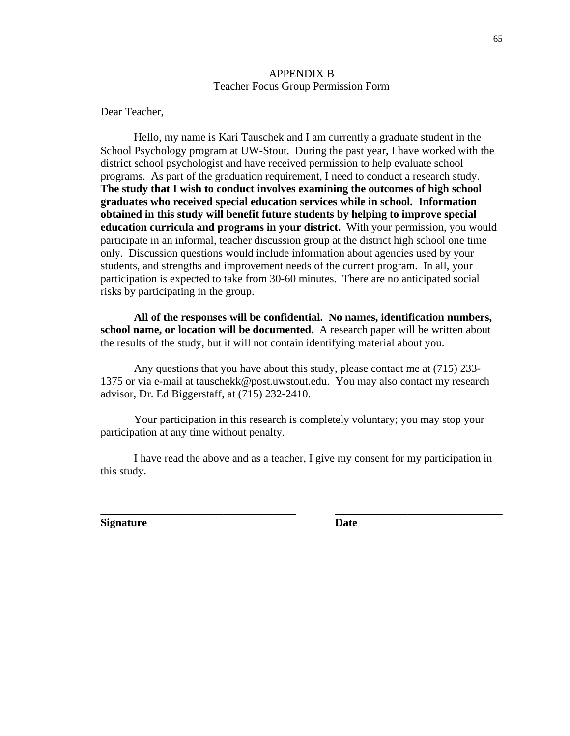## APPENDIX B Teacher Focus Group Permission Form

Dear Teacher,

Hello, my name is Kari Tauschek and I am currently a graduate student in the School Psychology program at UW-Stout. During the past year, I have worked with the district school psychologist and have received permission to help evaluate school programs. As part of the graduation requirement, I need to conduct a research study. **The study that I wish to conduct involves examining the outcomes of high school graduates who received special education services while in school. Information obtained in this study will benefit future students by helping to improve special education curricula and programs in your district.** With your permission, you would participate in an informal, teacher discussion group at the district high school one time only. Discussion questions would include information about agencies used by your students, and strengths and improvement needs of the current program. In all, your participation is expected to take from 30-60 minutes. There are no anticipated social risks by participating in the group.

**All of the responses will be confidential. No names, identification numbers, school name, or location will be documented.** A research paper will be written about the results of the study, but it will not contain identifying material about you.

Any questions that you have about this study, please contact me at (715) 233- 1375 or via e-mail at tauschekk@post.uwstout.edu. You may also contact my research advisor, Dr. Ed Biggerstaff, at (715) 232-2410.

Your participation in this research is completely voluntary; you may stop your participation at any time without penalty.

I have read the above and as a teacher, I give my consent for my participation in this study.

**\_\_\_\_\_\_\_\_\_\_\_\_\_\_\_\_\_\_\_\_\_\_\_\_\_\_\_\_\_\_\_\_\_\_\_ \_\_\_\_\_\_\_\_\_\_\_\_\_\_\_\_\_\_\_\_\_\_\_\_\_\_\_\_\_\_** 

**Signature** Date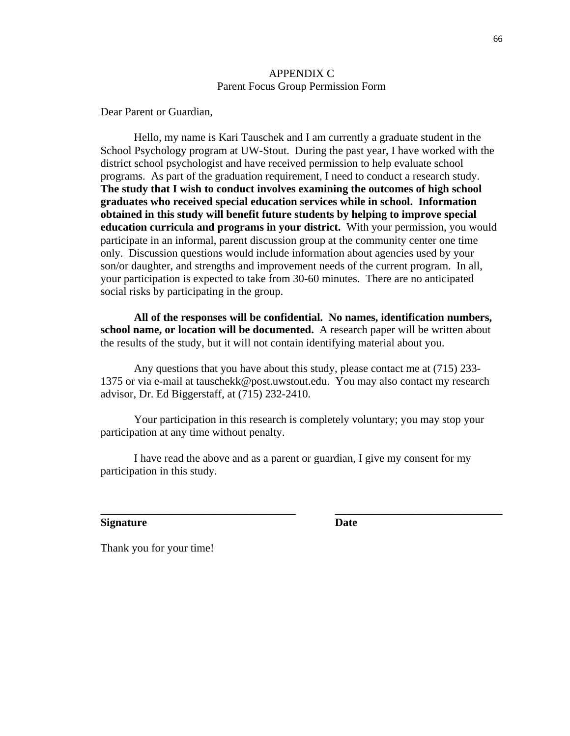## APPENDIX C Parent Focus Group Permission Form

Dear Parent or Guardian,

Hello, my name is Kari Tauschek and I am currently a graduate student in the School Psychology program at UW-Stout. During the past year, I have worked with the district school psychologist and have received permission to help evaluate school programs. As part of the graduation requirement, I need to conduct a research study. **The study that I wish to conduct involves examining the outcomes of high school graduates who received special education services while in school. Information obtained in this study will benefit future students by helping to improve special education curricula and programs in your district.** With your permission, you would participate in an informal, parent discussion group at the community center one time only. Discussion questions would include information about agencies used by your son/or daughter, and strengths and improvement needs of the current program. In all, your participation is expected to take from 30-60 minutes. There are no anticipated social risks by participating in the group.

**All of the responses will be confidential. No names, identification numbers, school name, or location will be documented.** A research paper will be written about the results of the study, but it will not contain identifying material about you.

Any questions that you have about this study, please contact me at (715) 233- 1375 or via e-mail at tauschekk@post.uwstout.edu. You may also contact my research advisor, Dr. Ed Biggerstaff, at (715) 232-2410.

Your participation in this research is completely voluntary; you may stop your participation at any time without penalty.

I have read the above and as a parent or guardian, I give my consent for my participation in this study.

**\_\_\_\_\_\_\_\_\_\_\_\_\_\_\_\_\_\_\_\_\_\_\_\_\_\_\_\_\_\_\_\_\_\_\_ \_\_\_\_\_\_\_\_\_\_\_\_\_\_\_\_\_\_\_\_\_\_\_\_\_\_\_\_\_\_** 

**Signature** Date

Thank you for your time!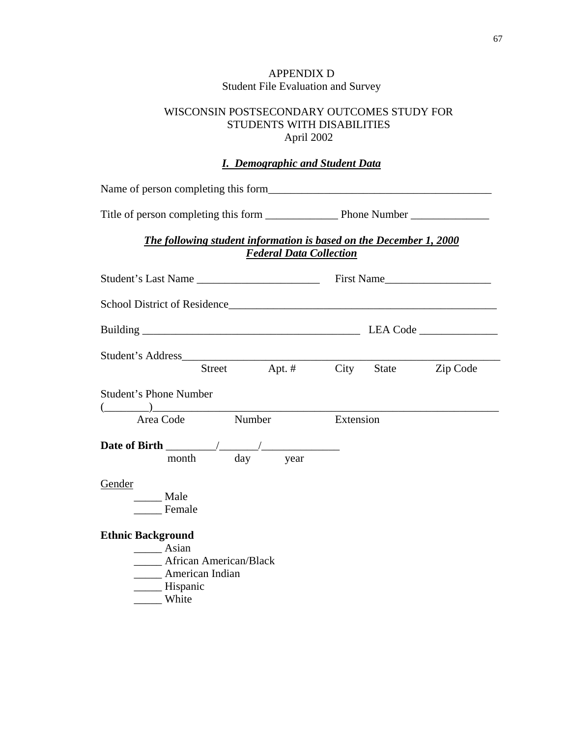## APPENDIX D Student File Evaluation and Survey

## WISCONSIN POSTSECONDARY OUTCOMES STUDY FOR STUDENTS WITH DISABILITIES April 2002

## *I. Demographic and Student Data*

Name of person completing this form

Title of person completing this form \_\_\_\_\_\_\_\_\_\_\_\_\_ Phone Number \_\_\_\_\_\_\_\_\_\_\_\_\_\_

## *The following student information is based on the December 1, 2000 Federal Data Collection*

| School District of Residence                                                                               |                    |           |       |          |
|------------------------------------------------------------------------------------------------------------|--------------------|-----------|-------|----------|
|                                                                                                            |                    |           |       |          |
|                                                                                                            | Street Apt. # City |           | State | Zip Code |
| <b>Student's Phone Number</b>                                                                              |                    |           |       |          |
| $(\_\_)$<br>Area Code Number                                                                               |                    | Extension |       |          |
| month day year                                                                                             |                    |           |       |          |
| Gender<br>Male<br>Female                                                                                   |                    |           |       |          |
| <b>Ethnic Background</b><br>Asian<br><b>African American/Black</b><br>American Indian<br>Hispanic<br>White |                    |           |       |          |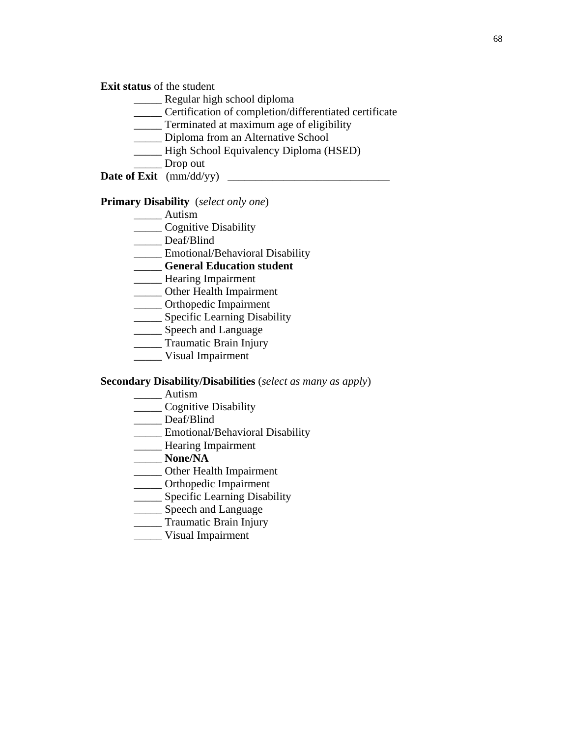**Exit status** of the student

- \_\_\_\_\_ Regular high school diploma
- \_\_\_\_\_ Certification of completion/differentiated certificate
- \_\_\_\_\_ Terminated at maximum age of eligibility
- \_\_\_\_\_ Diploma from an Alternative School
- \_\_\_\_\_ High School Equivalency Diploma (HSED)
- \_\_\_\_\_ Drop out
- **Date of Exit** (mm/dd/yy) \_\_\_\_\_\_\_\_\_\_\_\_\_\_\_\_\_\_\_\_\_\_\_\_\_\_\_\_\_

### **Primary Disability** (*select only one*)

- \_\_\_\_\_ Autism
- \_\_\_\_\_ Cognitive Disability
- \_\_\_\_\_ Deaf/Blind
- \_\_\_\_\_ Emotional/Behavioral Disability
- \_\_\_\_\_ **General Education student**
- **\_\_\_\_\_\_** Hearing Impairment
- \_\_\_\_\_ Other Health Impairment
- \_\_\_\_\_ Orthopedic Impairment
- **Specific Learning Disability**
- \_\_\_\_\_ Speech and Language
- \_\_\_\_\_ Traumatic Brain Injury
- \_\_\_\_\_ Visual Impairment

### **Secondary Disability/Disabilities** (*select as many as apply*)

- \_\_\_\_\_ Autism
- \_\_\_\_\_ Cognitive Disability
- \_\_\_\_\_ Deaf/Blind
- \_\_\_\_\_ Emotional/Behavioral Disability
- \_\_\_\_\_ Hearing Impairment
- \_\_\_\_\_ **None/NA**
- \_\_\_\_\_ Other Health Impairment
- \_\_\_\_\_ Orthopedic Impairment
- **\_\_\_\_\_** Specific Learning Disability
- \_\_\_\_\_\_ Speech and Language
- \_\_\_\_\_ Traumatic Brain Injury
- \_\_\_\_\_ Visual Impairment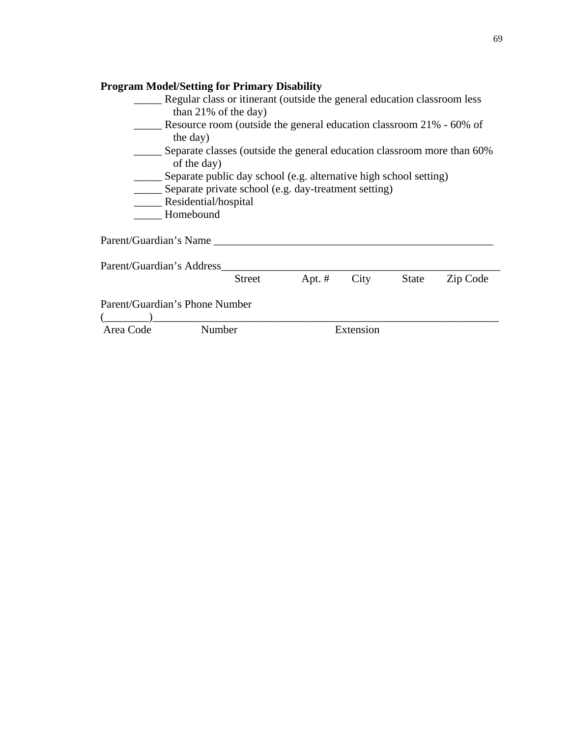|           |                                                                                        | <b>Program Model/Setting for Primary Disability</b>                      |          |           |              |          |  |
|-----------|----------------------------------------------------------------------------------------|--------------------------------------------------------------------------|----------|-----------|--------------|----------|--|
|           |                                                                                        | Regular class or itinerant (outside the general education classroom less |          |           |              |          |  |
|           |                                                                                        | than $21\%$ of the day)                                                  |          |           |              |          |  |
|           | Resource room (outside the general education classroom 21% - 60% of<br>the day)        |                                                                          |          |           |              |          |  |
|           | Separate classes (outside the general education classroom more than 60%<br>of the day) |                                                                          |          |           |              |          |  |
|           |                                                                                        | Separate public day school (e.g. alternative high school setting)        |          |           |              |          |  |
|           |                                                                                        | ___ Separate private school (e.g. day-treatment setting)                 |          |           |              |          |  |
|           |                                                                                        | Residential/hospital                                                     |          |           |              |          |  |
|           |                                                                                        | Homebound                                                                |          |           |              |          |  |
|           | Parent/Guardian's Name                                                                 |                                                                          |          |           |              |          |  |
|           | Parent/Guardian's Address                                                              |                                                                          |          |           |              |          |  |
|           |                                                                                        | Street                                                                   | Apt. $#$ | City      | <b>State</b> | Zip Code |  |
|           |                                                                                        | Parent/Guardian's Phone Number                                           |          |           |              |          |  |
| Area Code |                                                                                        | Number                                                                   |          | Extension |              |          |  |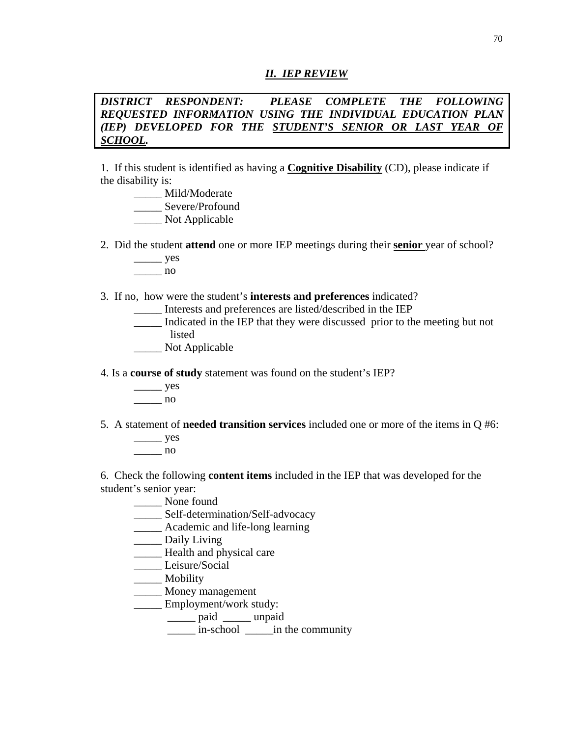### *II. IEP REVIEW*

*DISTRICT RESPONDENT: PLEASE COMPLETE THE FOLLOWING REQUESTED INFORMATION USING THE INDIVIDUAL EDUCATION PLAN (IEP) DEVELOPED FOR THE STUDENT'S SENIOR OR LAST YEAR OF SCHOOL.* 

1. If this student is identified as having a **Cognitive Disability** (CD), please indicate if the disability is:

- \_\_\_\_\_ Mild/Moderate \_\_\_\_\_ Severe/Profound \_\_\_\_\_ Not Applicable
- 2. Did the student **attend** one or more IEP meetings during their **senior** year of school?
	- $\frac{\ }{\ }$
	- \_\_\_\_\_ no

## 3. If no, how were the student's **interests and preferences** indicated?

- \_\_\_\_\_ Interests and preferences are listed/described in the IEP
- \_\_\_\_\_ Indicated in the IEP that they were discussed prior to the meeting but not listed
- \_\_\_\_\_ Not Applicable
- 4. Is a **course of study** statement was found on the student's IEP?
	- $\rightharpoonup$  yes \_\_\_\_\_ no
- 5. A statement of **needed transition services** included one or more of the items in Q #6:
	- $\rule{1em}{0.15mm}$  yes \_\_\_\_\_ no

6. Check the following **content items** included in the IEP that was developed for the student's senior year:

- \_\_\_\_\_ None found
- \_\_\_\_\_ Self-determination/Self-advocacy
- \_\_\_\_\_ Academic and life-long learning
- \_\_\_\_\_ Daily Living
- Health and physical care
- \_\_\_\_\_ Leisure/Social
- \_\_\_\_\_ Mobility
- \_\_\_\_\_ Money management
- Employment/work study:
	- \_\_\_\_\_ paid \_\_\_\_\_ unpaid
	- $\frac{1}{2}$  in-school  $\frac{1}{2}$  in the community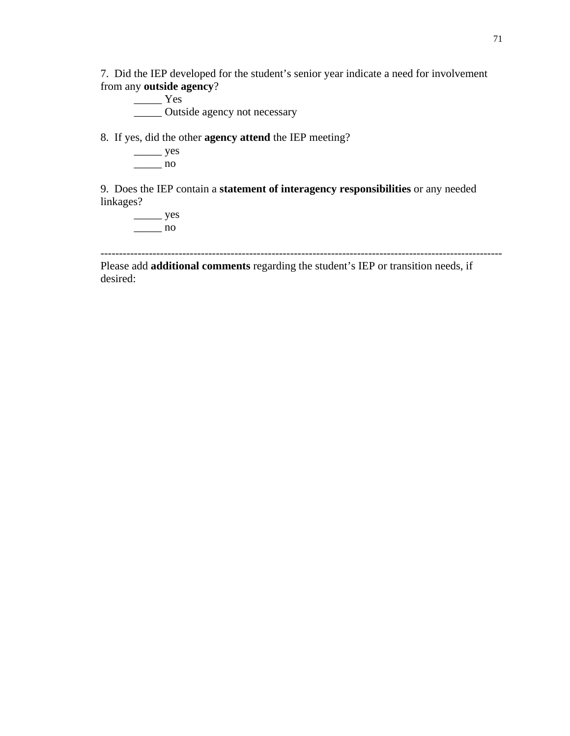7. Did the IEP developed for the student's senior year indicate a need for involvement from any **outside agency**?

\_\_\_\_\_ Yes \_\_\_\_\_ Outside agency not necessary

8. If yes, did the other **agency attend** the IEP meeting?

 $\rule{1em}{0.15mm}$  yes  $\frac{1}{\sqrt{1-\frac{1}{2}}}\log \frac{1}{2}$ 

9. Does the IEP contain a **statement of interagency responsibilities** or any needed linkages?

 $\frac{\ }{\ }$  yes  $\frac{1}{\sqrt{1-\frac{1}{n}}}\}$ no

------------------------------------------------------------------------------------------------------------

Please add **additional comments** regarding the student's IEP or transition needs, if desired: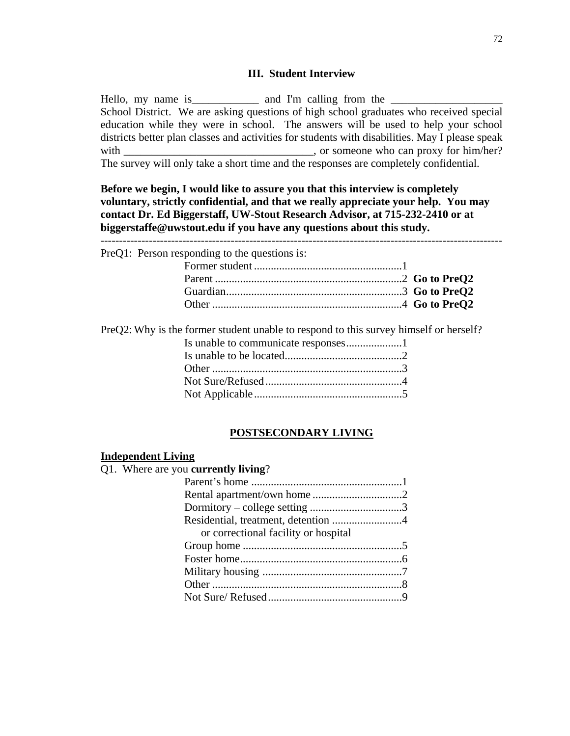#### **III. Student Interview**

Hello, my name is and I'm calling from the  $\Box$ School District. We are asking questions of high school graduates who received special education while they were in school. The answers will be used to help your school districts better plan classes and activities for students with disabilities. May I please speak with \_\_\_\_\_\_\_\_\_\_\_\_\_\_\_\_\_\_\_\_\_\_\_\_\_\_\_\_\_\_\_, or someone who can proxy for him/her? The survey will only take a short time and the responses are completely confidential.

**Before we begin, I would like to assure you that this interview is completely voluntary, strictly confidential, and that we really appreciate your help. You may contact Dr. Ed Biggerstaff, UW-Stout Research Advisor, at 715-232-2410 or at biggerstaffe@uwstout.edu if you have any questions about this study.**

------------------------------------------------------------------------------------------------------------

| PreQ1: Person responding to the questions is: |  |
|-----------------------------------------------|--|
|                                               |  |
|                                               |  |
|                                               |  |
|                                               |  |
|                                               |  |

PreQ2: Why is the former student unable to respond to this survey himself or herself?

## **POSTSECONDARY LIVING**

## **Independent Living**

| <b>INGENTIONE LIVING</b>                    |  |
|---------------------------------------------|--|
| Q1. Where are you <b>currently living</b> ? |  |
|                                             |  |
|                                             |  |
|                                             |  |
|                                             |  |
| or correctional facility or hospital        |  |
|                                             |  |
|                                             |  |
|                                             |  |
|                                             |  |
|                                             |  |
|                                             |  |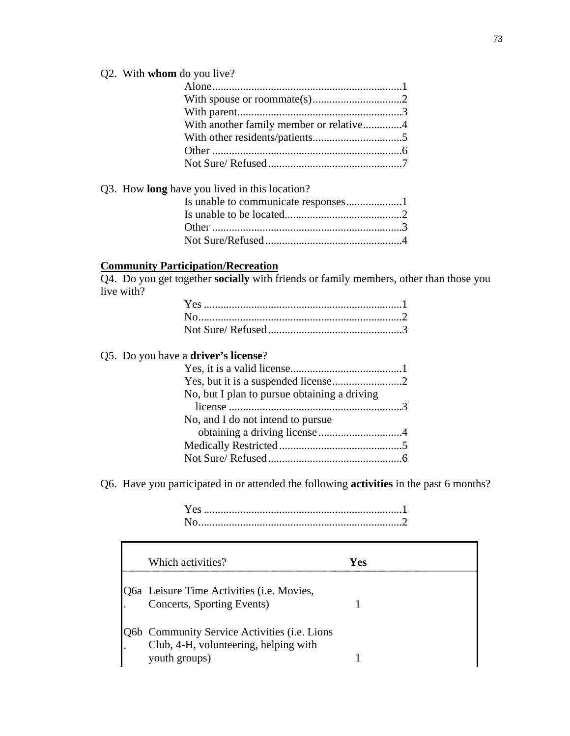## Q2. With **whom** do you live?

| With another family member or relative4 |  |
|-----------------------------------------|--|
|                                         |  |
|                                         |  |
|                                         |  |

| Q3. How <b>long</b> have you lived in this location? |  |
|------------------------------------------------------|--|
|                                                      |  |
|                                                      |  |
|                                                      |  |
|                                                      |  |

## **Community Participation/Recreation**

Q4. Do you get together **socially** with friends or family members, other than those you live with?

## Q5. Do you have a **driver's license**?

Г

| No, but I plan to pursue obtaining a driving |  |
|----------------------------------------------|--|
|                                              |  |
| No, and I do not intend to pursue            |  |
|                                              |  |
|                                              |  |
|                                              |  |
|                                              |  |

Q6. Have you participated in or attended the following **activities** in the past 6 months?

 Yes .......................................................................1 No.........................................................................2

| Which activities?                                                                                             | Yes |
|---------------------------------------------------------------------------------------------------------------|-----|
| Q6a Leisure Time Activities ( <i>i.e. Movies</i> ,<br>Concerts, Sporting Events)                              |     |
| <b>Q6b Community Service Activities (i.e. Lions</b><br>Club, 4-H, volunteering, helping with<br>youth groups) |     |

 $\overline{\mathbf{r}}$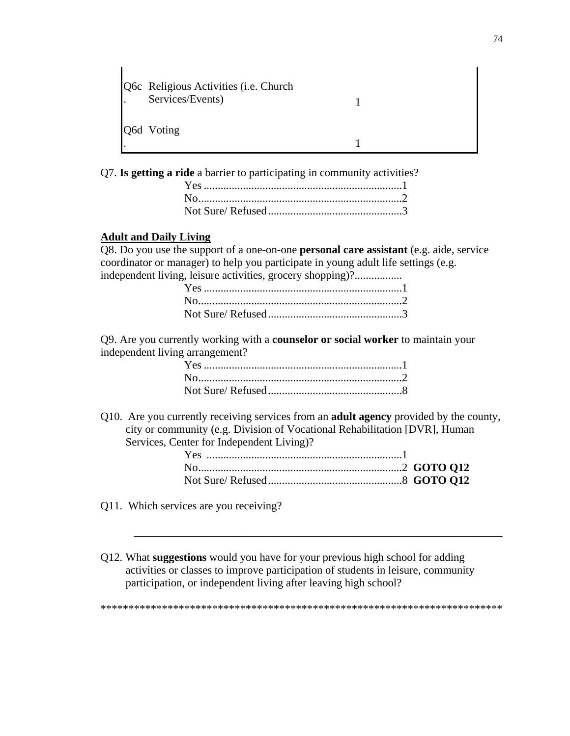| $\mathbf{L}$ | <b>Q6c</b> Religious Activities ( <i>i.e.</i> Church<br>Services/Events) |  |
|--------------|--------------------------------------------------------------------------|--|
|              | Q6d Voting                                                               |  |

Q7. **Is getting a ride** a barrier to participating in community activities?

### **Adult and Daily Living**

 $\mathbf{I}$ 

Q8. Do you use the support of a one-on-one **personal care assistant** (e.g. aide, service coordinator or manager) to help you participate in young adult life settings (e.g. independent living, leisure activities, grocery shopping)?.................

Q9. Are you currently working with a **counselor or social worker** to maintain your independent living arrangement?

Q10. Are you currently receiving services from an **adult agency** provided by the county, city or community (e.g. Division of Vocational Rehabilitation [DVR], Human Services, Center for Independent Living)?

- Q11. Which services are you receiving?
- Q12. What **suggestions** would you have for your previous high school for adding activities or classes to improve participation of students in leisure, community participation, or independent living after leaving high school?

\*\*\*\*\*\*\*\*\*\*\*\*\*\*\*\*\*\*\*\*\*\*\*\*\*\*\*\*\*\*\*\*\*\*\*\*\*\*\*\*\*\*\*\*\*\*\*\*\*\*\*\*\*\*\*\*\*\*\*\*\*\*\*\*\*\*\*\*\*\*\*\*

\_\_\_\_\_\_\_\_\_\_\_\_\_\_\_\_\_\_\_\_\_\_\_\_\_\_\_\_\_\_\_\_\_\_\_\_\_\_\_\_\_\_\_\_\_\_\_\_\_\_\_\_\_\_\_\_\_\_\_\_\_\_\_\_\_\_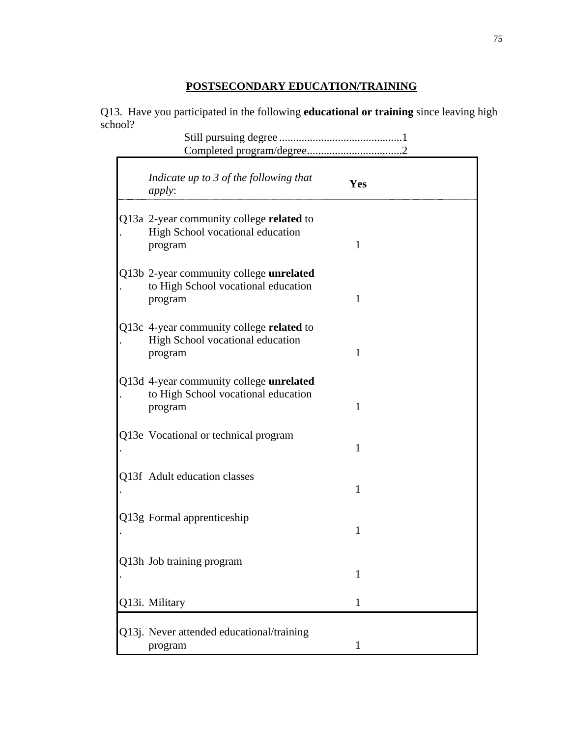## **POSTSECONDARY EDUCATION/TRAINING**

Q13. Have you participated in the following **educational or training** since leaving high school?

|  | Indicate up to 3 of the following that<br><i>apply:</i>                                   | Yes          |
|--|-------------------------------------------------------------------------------------------|--------------|
|  | Q13a 2-year community college related to<br>High School vocational education<br>program   | 1            |
|  | Q13b 2-year community college unrelated<br>to High School vocational education<br>program | 1            |
|  | Q13c 4-year community college related to<br>High School vocational education<br>program   | $\mathbf{1}$ |
|  | Q13d 4-year community college unrelated<br>to High School vocational education<br>program | 1            |
|  | Q13e Vocational or technical program                                                      | 1            |
|  | Q13f Adult education classes                                                              | $\mathbf{1}$ |
|  | Q13g Formal apprenticeship                                                                | $\mathbf{1}$ |
|  | Q13h Job training program                                                                 | 1            |
|  | Q13i. Military                                                                            | 1            |
|  | Q13j. Never attended educational/training<br>program                                      | 1            |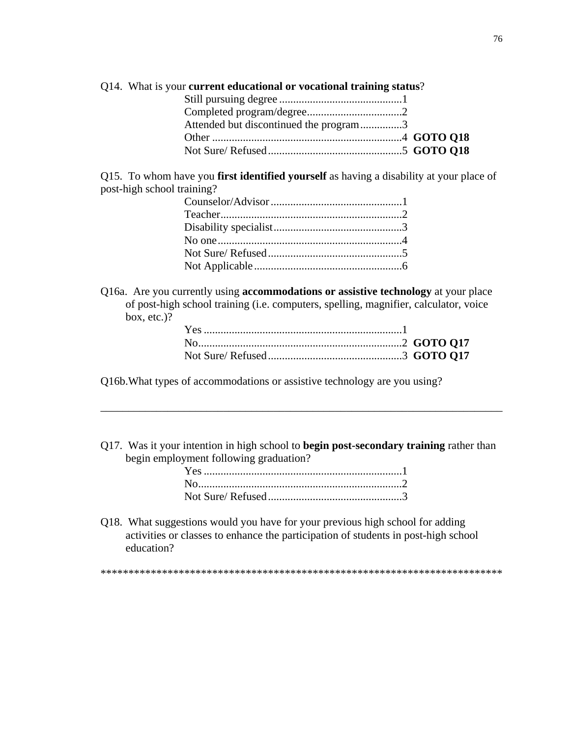| Q14. What is your current educational or vocational training status? |  |
|----------------------------------------------------------------------|--|
|                                                                      |  |
|                                                                      |  |
| Attended but discontinued the program3                               |  |
|                                                                      |  |
|                                                                      |  |

Q15. To whom have you **first identified yourself** as having a disability at your place of post-high school training?

Q16a. Are you currently using **accommodations or assistive technology** at your place of post-high school training (i.e. computers, spelling, magnifier, calculator, voice box, etc.)?

Q16b.What types of accommodations or assistive technology are you using?

Q17. Was it your intention in high school to **begin post-secondary training** rather than begin employment following graduation?

\_\_\_\_\_\_\_\_\_\_\_\_\_\_\_\_\_\_\_\_\_\_\_\_\_\_\_\_\_\_\_\_\_\_\_\_\_\_\_\_\_\_\_\_\_\_\_\_\_\_\_\_\_\_\_\_\_\_\_\_\_\_\_\_\_\_\_\_\_\_\_\_

Q18. What suggestions would you have for your previous high school for adding activities or classes to enhance the participation of students in post-high school education?

\*\*\*\*\*\*\*\*\*\*\*\*\*\*\*\*\*\*\*\*\*\*\*\*\*\*\*\*\*\*\*\*\*\*\*\*\*\*\*\*\*\*\*\*\*\*\*\*\*\*\*\*\*\*\*\*\*\*\*\*\*\*\*\*\*\*\*\*\*\*\*\*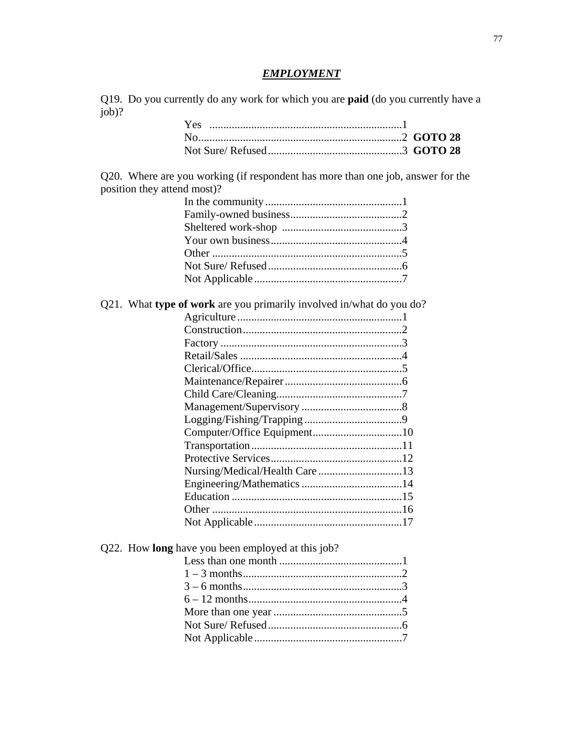## *EMPLOYMENT*

Q19. Do you currently do any work for which you are **paid** (do you currently have a job)?

Q20.Where are you working (if respondent has more than one job, answer for the position they attend most)?

Q21. What **type of work** are you primarily involved in/what do you do?

Q22. How **long** have you been employed at this job?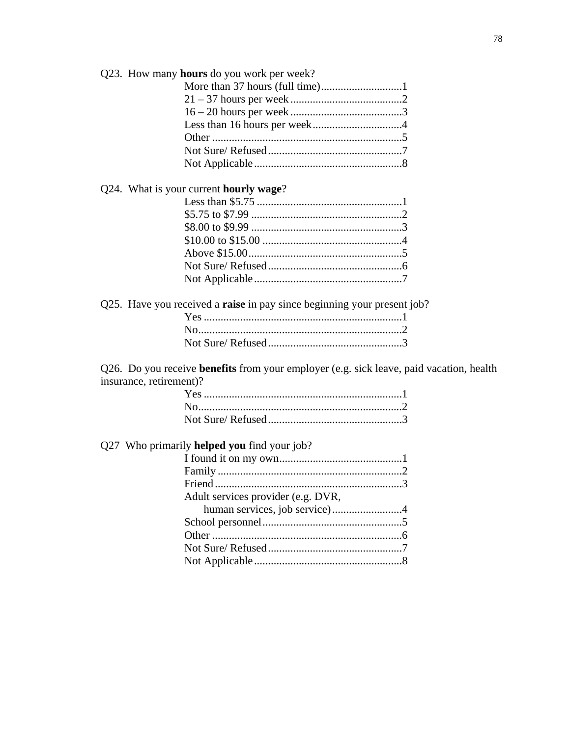|                         | Q23. How many hours do you work per week?                                               |
|-------------------------|-----------------------------------------------------------------------------------------|
|                         |                                                                                         |
|                         |                                                                                         |
|                         |                                                                                         |
|                         |                                                                                         |
|                         |                                                                                         |
|                         |                                                                                         |
|                         |                                                                                         |
|                         | Q24. What is your current hourly wage?                                                  |
|                         |                                                                                         |
|                         |                                                                                         |
|                         |                                                                                         |
|                         |                                                                                         |
|                         |                                                                                         |
|                         |                                                                                         |
|                         |                                                                                         |
|                         | Q25. Have you received a <b>raise</b> in pay since beginning your present job?          |
|                         |                                                                                         |
|                         |                                                                                         |
|                         |                                                                                         |
|                         | Q26. Do you receive benefits from your employer (e.g. sick leave, paid vacation, health |
| insurance, retirement)? |                                                                                         |
|                         |                                                                                         |
|                         |                                                                                         |
|                         |                                                                                         |
|                         | Q27 Who primarily <b>helped you</b> find your job?                                      |
|                         |                                                                                         |
|                         |                                                                                         |
|                         |                                                                                         |
|                         | Adult services provider (e.g. DVR,                                                      |
|                         | human services, job service)4                                                           |
|                         |                                                                                         |
|                         |                                                                                         |
|                         |                                                                                         |
|                         |                                                                                         |
|                         |                                                                                         |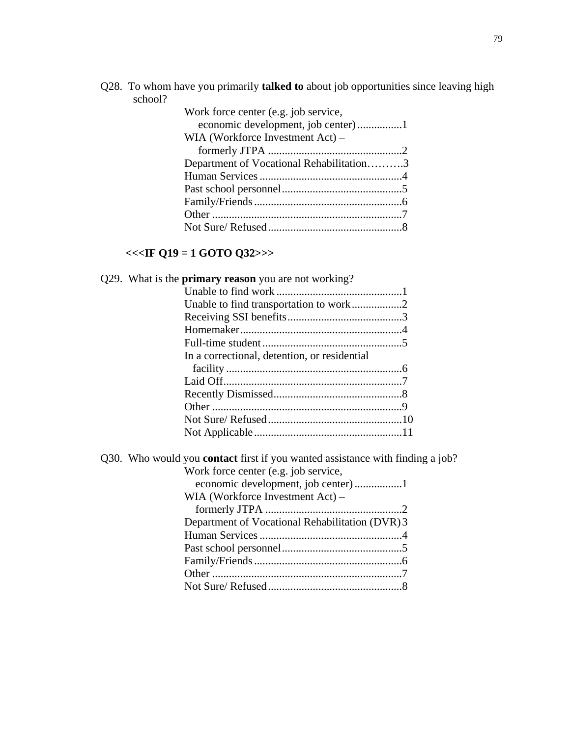Q28. To whom have you primarily **talked to** about job opportunities since leaving high school?

| Work force center (e.g. job service,     |  |
|------------------------------------------|--|
| WIA (Workforce Investment Act) –         |  |
|                                          |  |
| Department of Vocational Rehabilitation3 |  |
|                                          |  |
|                                          |  |
|                                          |  |
|                                          |  |
|                                          |  |

# **<<<IF Q19 = 1 GOTO Q32>>>**

| Q29. What is the <b>primary reason</b> you are not working?                          |
|--------------------------------------------------------------------------------------|
|                                                                                      |
| Unable to find transportation to work2                                               |
|                                                                                      |
|                                                                                      |
|                                                                                      |
| In a correctional, detention, or residential                                         |
|                                                                                      |
|                                                                                      |
|                                                                                      |
|                                                                                      |
|                                                                                      |
|                                                                                      |
| Q30. Who would you <b>contact</b> first if you wanted assistance with finding a job? |
| Work force center (e.g. job service,                                                 |
|                                                                                      |
| WIA (Workforce Investment Act) –                                                     |
|                                                                                      |
| Department of Vocational Rehabilitation (DVR) 3                                      |
|                                                                                      |
|                                                                                      |
|                                                                                      |
|                                                                                      |
|                                                                                      |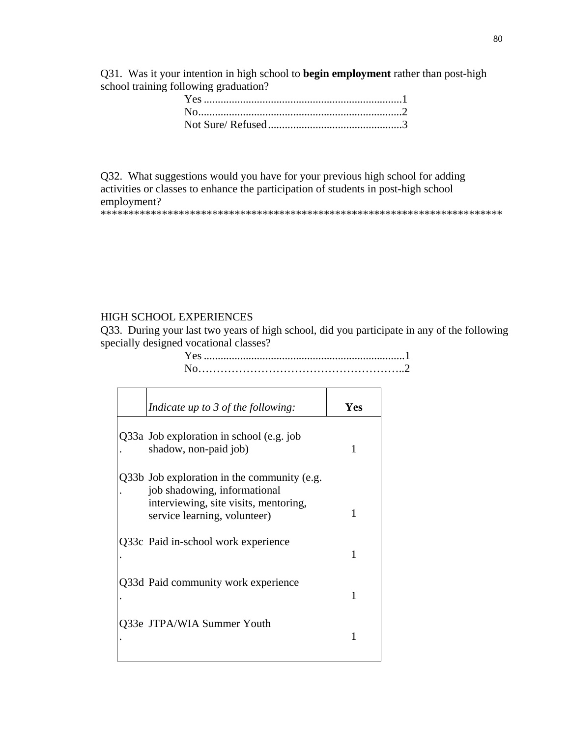Q31. Was it your intention in high school to **begin employment** rather than post-high school training following graduation?

Q32. What suggestions would you have for your previous high school for adding activities or classes to enhance the participation of students in post-high school employment? \*\*\*\*\*\*\*\*\*\*\*\*\*\*\*\*\*\*\*\*\*\*\*\*\*\*\*\*\*\*\*\*\*\*\*\*\*\*\*\*\*\*\*\*\*\*\*\*\*\*\*\*\*\*\*\*\*\*\*\*\*\*\*\*\*\*\*\*\*\*\*\*

### HIGH SCHOOL EXPERIENCES

Q33. During your last two years of high school, did you participate in any of the following specially designed vocational classes?

 Yes ........................................................................1 No………………………………………………..2

| Indicate up to $\frac{3}{2}$ of the following:                                                                       | Yes |
|----------------------------------------------------------------------------------------------------------------------|-----|
| Q33a Job exploration in school (e.g. job<br>shadow, non-paid job)                                                    | 1   |
| Q33b Job exploration in the community (e.g.<br>job shadowing, informational<br>interviewing, site visits, mentoring, |     |
| service learning, volunteer)                                                                                         | 1   |
| Q33c Paid in-school work experience                                                                                  | 1   |
| Q33d Paid community work experience                                                                                  |     |
| Q33e JTPA/WIA Summer Youth                                                                                           |     |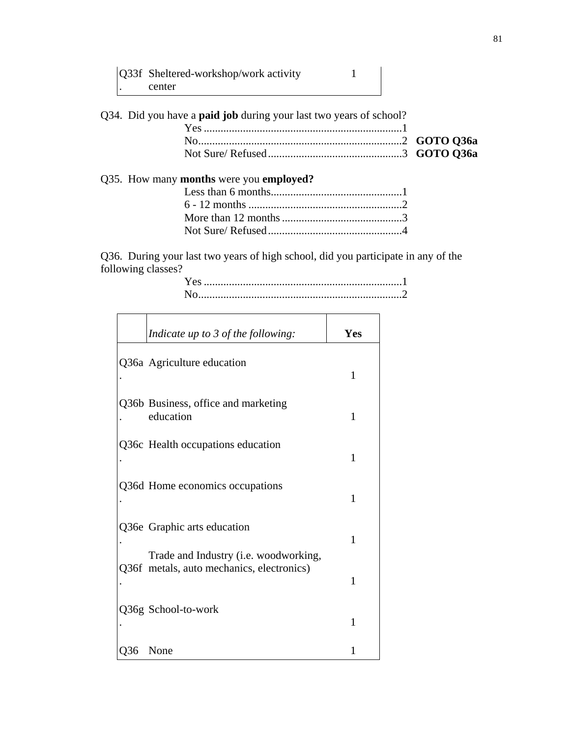| Q33f Sheltered-workshop/work activity |  |
|---------------------------------------|--|
| center                                |  |

Q34. Did you have a **paid job** during your last two years of school? Yes .......................................................................1 No.........................................................................2 **GOTO Q36a**  Not Sure/ Refused................................................3 **GOTO Q36a**  Q35. How many **months** were you **employed?** Less than 6 months...............................................1 6 - 12 months .......................................................2 More than 12 months...........................................3

Q36. During your last two years of high school, did you participate in any of the following classes?

Not Sure/ Refused................................................4

|     | Indicate up to 3 of the following:                                   | Yes          |
|-----|----------------------------------------------------------------------|--------------|
|     | Q36a Agriculture education                                           | $\mathbf{1}$ |
|     | Q36b Business, office and marketing<br>education                     | $\mathbf{1}$ |
|     | Q36c Health occupations education                                    | $\mathbf{1}$ |
|     | Q36d Home economics occupations                                      | $\mathbf{1}$ |
|     | Q36e Graphic arts education<br>Trade and Industry (i.e. woodworking, | 1            |
|     | Q36f metals, auto mechanics, electronics)                            | 1            |
|     | Q36g School-to-work                                                  | 1            |
| Q36 | None                                                                 | 1            |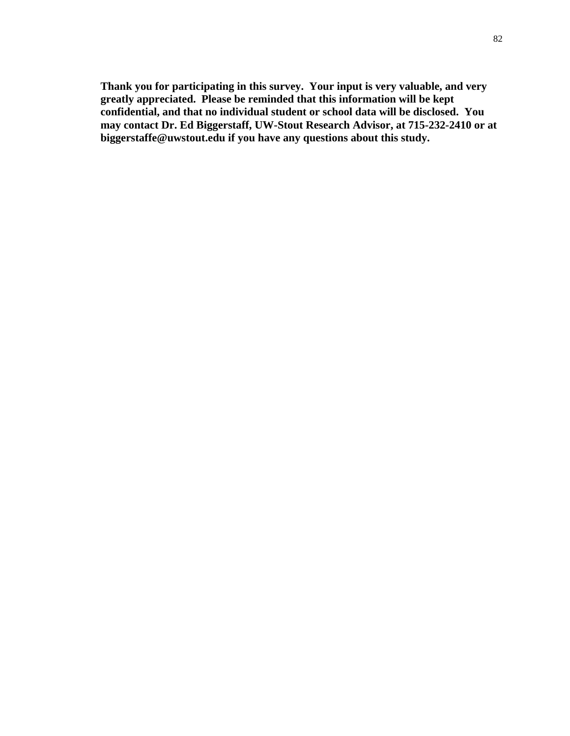**Thank you for participating in this survey. Your input is very valuable, and very greatly appreciated. Please be reminded that this information will be kept confidential, and that no individual student or school data will be disclosed. You may contact Dr. Ed Biggerstaff, UW-Stout Research Advisor, at 715-232-2410 or at biggerstaffe@uwstout.edu if you have any questions about this study.**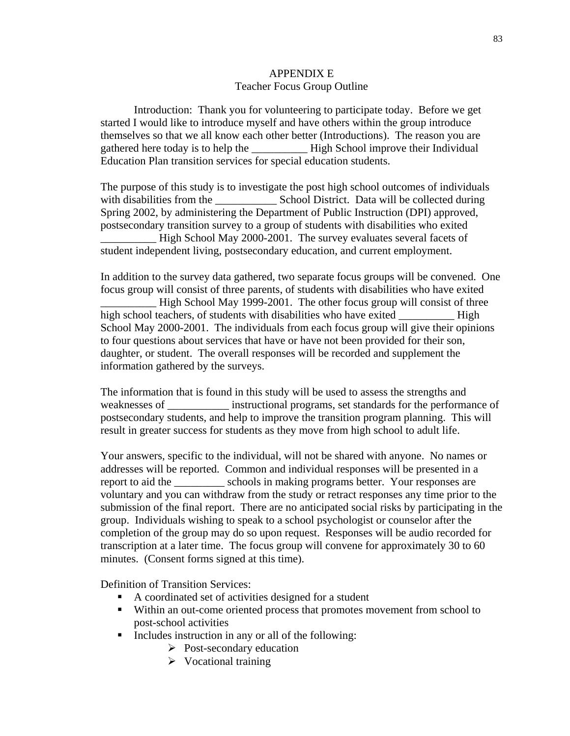### APPENDIX E Teacher Focus Group Outline

Introduction: Thank you for volunteering to participate today. Before we get started I would like to introduce myself and have others within the group introduce themselves so that we all know each other better (Introductions). The reason you are gathered here today is to help the \_\_\_\_\_\_\_\_\_\_ High School improve their Individual Education Plan transition services for special education students.

The purpose of this study is to investigate the post high school outcomes of individuals with disabilities from the School District. Data will be collected during Spring 2002, by administering the Department of Public Instruction (DPI) approved, postsecondary transition survey to a group of students with disabilities who exited High School May 2000-2001. The survey evaluates several facets of student independent living, postsecondary education, and current employment.

In addition to the survey data gathered, two separate focus groups will be convened. One focus group will consist of three parents, of students with disabilities who have exited High School May 1999-2001. The other focus group will consist of three high school teachers, of students with disabilities who have exited \_\_\_\_\_\_\_\_\_\_\_\_ High School May 2000-2001. The individuals from each focus group will give their opinions to four questions about services that have or have not been provided for their son, daughter, or student. The overall responses will be recorded and supplement the information gathered by the surveys.

The information that is found in this study will be used to assess the strengths and weaknesses of **example instructional programs**, set standards for the performance of postsecondary students, and help to improve the transition program planning. This will result in greater success for students as they move from high school to adult life.

Your answers, specific to the individual, will not be shared with anyone. No names or addresses will be reported. Common and individual responses will be presented in a report to aid the schools in making programs better. Your responses are voluntary and you can withdraw from the study or retract responses any time prior to the submission of the final report. There are no anticipated social risks by participating in the group. Individuals wishing to speak to a school psychologist or counselor after the completion of the group may do so upon request. Responses will be audio recorded for transcription at a later time. The focus group will convene for approximately 30 to 60 minutes. (Consent forms signed at this time).

Definition of Transition Services:

- A coordinated set of activities designed for a student
- Within an out-come oriented process that promotes movement from school to post-school activities
- **Includes instruction in any or all of the following:** 
	- $\triangleright$  Post-secondary education
	- $\triangleright$  Vocational training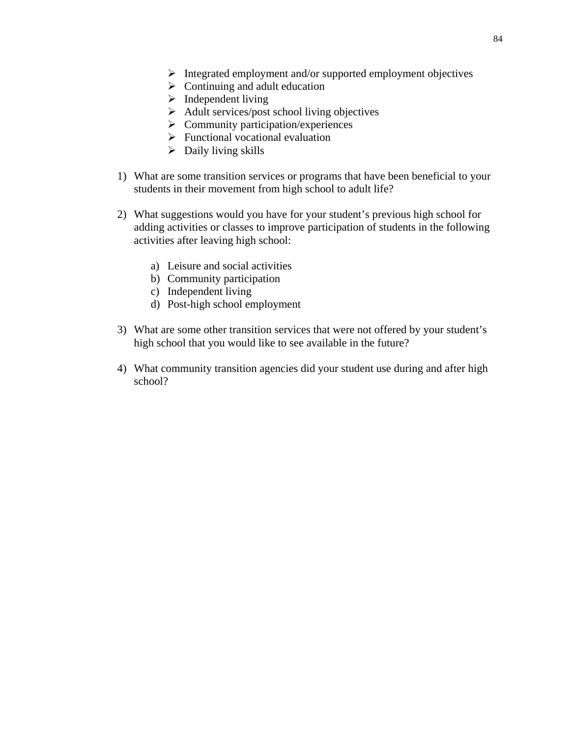- $\triangleright$  Integrated employment and/or supported employment objectives
- $\triangleright$  Continuing and adult education
- $\blacktriangleright$  Independent living
- $\triangleright$  Adult services/post school living objectives
- $\triangleright$  Community participation/experiences
- $\triangleright$  Functional vocational evaluation
- $\triangleright$  Daily living skills
- 1) What are some transition services or programs that have been beneficial to your students in their movement from high school to adult life?
- 2) What suggestions would you have for your student's previous high school for adding activities or classes to improve participation of students in the following activities after leaving high school:
	- a) Leisure and social activities
	- b) Community participation
	- c) Independent living
	- d) Post-high school employment
- 3) What are some other transition services that were not offered by your student's high school that you would like to see available in the future?
- 4) What community transition agencies did your student use during and after high school?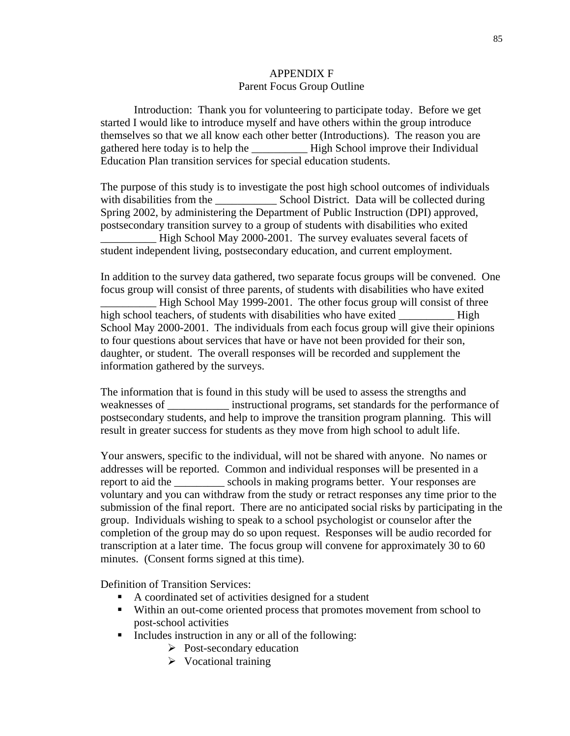### APPENDIX F Parent Focus Group Outline

Introduction: Thank you for volunteering to participate today. Before we get started I would like to introduce myself and have others within the group introduce themselves so that we all know each other better (Introductions). The reason you are gathered here today is to help the \_\_\_\_\_\_\_\_\_\_ High School improve their Individual Education Plan transition services for special education students.

The purpose of this study is to investigate the post high school outcomes of individuals with disabilities from the School District. Data will be collected during Spring 2002, by administering the Department of Public Instruction (DPI) approved, postsecondary transition survey to a group of students with disabilities who exited High School May 2000-2001. The survey evaluates several facets of student independent living, postsecondary education, and current employment.

In addition to the survey data gathered, two separate focus groups will be convened. One focus group will consist of three parents, of students with disabilities who have exited High School May 1999-2001. The other focus group will consist of three high school teachers, of students with disabilities who have exited \_\_\_\_\_\_\_\_\_\_\_\_ High School May 2000-2001. The individuals from each focus group will give their opinions to four questions about services that have or have not been provided for their son, daughter, or student. The overall responses will be recorded and supplement the information gathered by the surveys.

The information that is found in this study will be used to assess the strengths and weaknesses of **example instructional programs**, set standards for the performance of postsecondary students, and help to improve the transition program planning. This will result in greater success for students as they move from high school to adult life.

Your answers, specific to the individual, will not be shared with anyone. No names or addresses will be reported. Common and individual responses will be presented in a report to aid the schools in making programs better. Your responses are voluntary and you can withdraw from the study or retract responses any time prior to the submission of the final report. There are no anticipated social risks by participating in the group. Individuals wishing to speak to a school psychologist or counselor after the completion of the group may do so upon request. Responses will be audio recorded for transcription at a later time. The focus group will convene for approximately 30 to 60 minutes. (Consent forms signed at this time).

Definition of Transition Services:

- A coordinated set of activities designed for a student
- Within an out-come oriented process that promotes movement from school to post-school activities
- **Includes instruction in any or all of the following:** 
	- $\triangleright$  Post-secondary education
	- $\triangleright$  Vocational training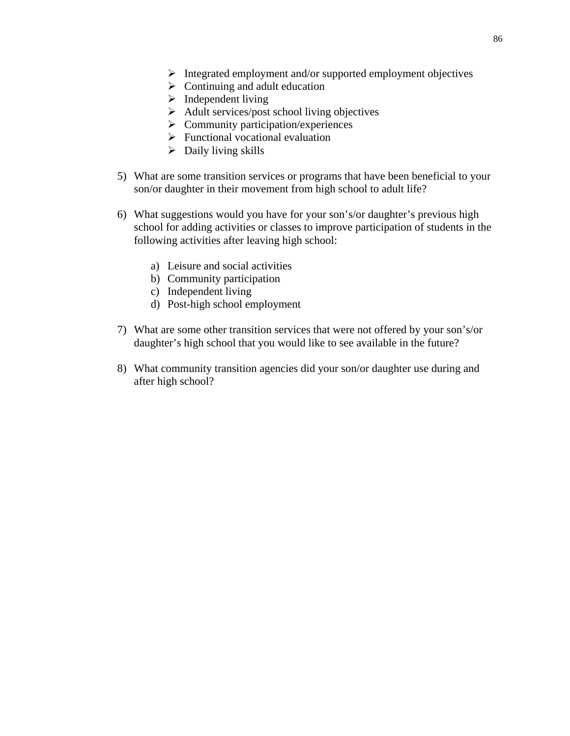- $\triangleright$  Integrated employment and/or supported employment objectives
- $\triangleright$  Continuing and adult education
- $\blacktriangleright$  Independent living
- $\triangleright$  Adult services/post school living objectives
- $\triangleright$  Community participation/experiences
- $\triangleright$  Functional vocational evaluation
- $\triangleright$  Daily living skills
- 5) What are some transition services or programs that have been beneficial to your son/or daughter in their movement from high school to adult life?
- 6) What suggestions would you have for your son's/or daughter's previous high school for adding activities or classes to improve participation of students in the following activities after leaving high school:
	- a) Leisure and social activities
	- b) Community participation
	- c) Independent living
	- d) Post-high school employment
- 7) What are some other transition services that were not offered by your son's/or daughter's high school that you would like to see available in the future?
- 8) What community transition agencies did your son/or daughter use during and after high school?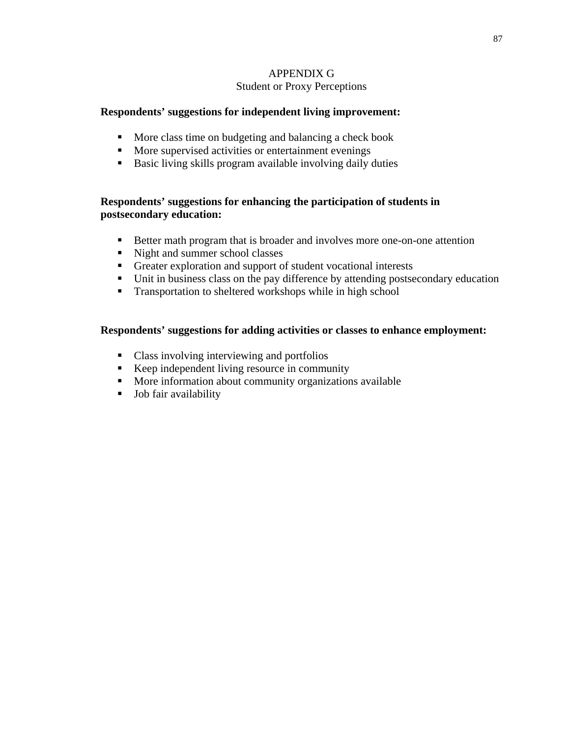## APPENDIX G Student or Proxy Perceptions

## **Respondents' suggestions for independent living improvement:**

- **More class time on budgeting and balancing a check book**
- **More supervised activities or entertainment evenings**
- Basic living skills program available involving daily duties

## **Respondents' suggestions for enhancing the participation of students in postsecondary education:**

- Better math program that is broader and involves more one-on-one attention
- lacksquare Night and summer school classes
- Greater exploration and support of student vocational interests
- Unit in business class on the pay difference by attending postsecondary education
- **Transportation to sheltered workshops while in high school**

## **Respondents' suggestions for adding activities or classes to enhance employment:**

- Class involving interviewing and portfolios
- Keep independent living resource in community
- **More information about community organizations available**
- **Job fair availability**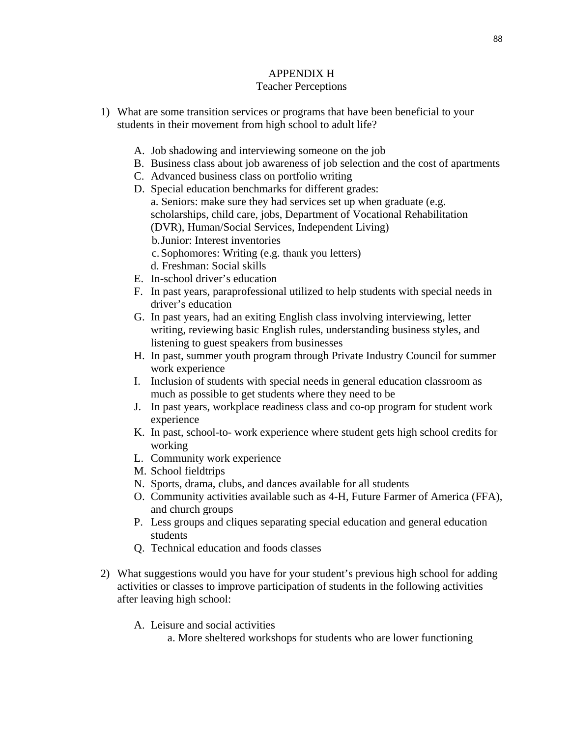## APPENDIX H

## Teacher Perceptions

- 1) What are some transition services or programs that have been beneficial to your students in their movement from high school to adult life?
	- A. Job shadowing and interviewing someone on the job
	- B. Business class about job awareness of job selection and the cost of apartments
	- C. Advanced business class on portfolio writing
	- D. Special education benchmarks for different grades: a. Seniors: make sure they had services set up when graduate (e.g. scholarships, child care, jobs, Department of Vocational Rehabilitation (DVR), Human/Social Services, Independent Living) b.Junior: Interest inventories
		- c.Sophomores: Writing (e.g. thank you letters)
		- d. Freshman: Social skills
	- E. In-school driver's education
	- F. In past years, paraprofessional utilized to help students with special needs in driver's education
	- G. In past years, had an exiting English class involving interviewing, letter writing, reviewing basic English rules, understanding business styles, and listening to guest speakers from businesses
	- H. In past, summer youth program through Private Industry Council for summer work experience
	- I. Inclusion of students with special needs in general education classroom as much as possible to get students where they need to be
	- J. In past years, workplace readiness class and co-op program for student work experience
	- K. In past, school-to- work experience where student gets high school credits for working
	- L. Community work experience
	- M. School fieldtrips
	- N. Sports, drama, clubs, and dances available for all students
	- O. Community activities available such as 4-H, Future Farmer of America (FFA), and church groups
	- P. Less groups and cliques separating special education and general education students
	- Q. Technical education and foods classes
- 2) What suggestions would you have for your student's previous high school for adding activities or classes to improve participation of students in the following activities after leaving high school:
	- A. Leisure and social activities
		- a. More sheltered workshops for students who are lower functioning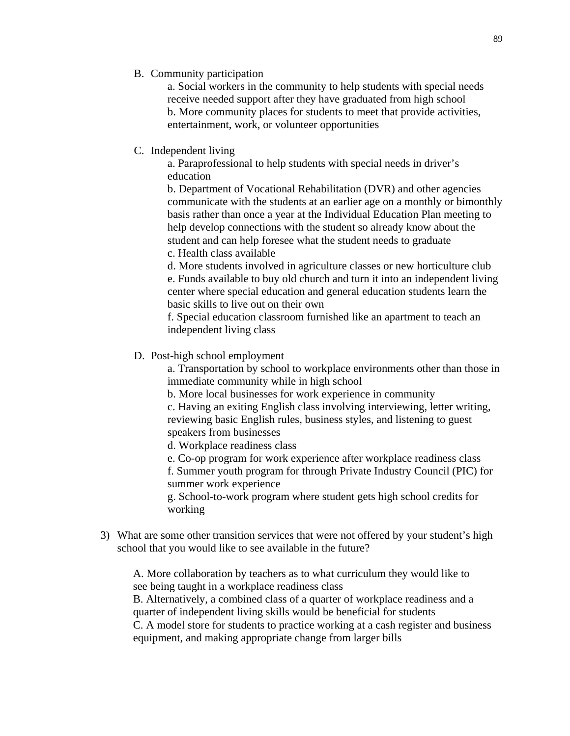B. Community participation

a. Social workers in the community to help students with special needs receive needed support after they have graduated from high school b. More community places for students to meet that provide activities, entertainment, work, or volunteer opportunities

C. Independent living

a. Paraprofessional to help students with special needs in driver's education

b. Department of Vocational Rehabilitation (DVR) and other agencies communicate with the students at an earlier age on a monthly or bimonthly basis rather than once a year at the Individual Education Plan meeting to help develop connections with the student so already know about the student and can help foresee what the student needs to graduate c. Health class available

d. More students involved in agriculture classes or new horticulture club

e. Funds available to buy old church and turn it into an independent living center where special education and general education students learn the basic skills to live out on their own

f. Special education classroom furnished like an apartment to teach an independent living class

## D. Post-high school employment

a. Transportation by school to workplace environments other than those in immediate community while in high school

b. More local businesses for work experience in community

c. Having an exiting English class involving interviewing, letter writing, reviewing basic English rules, business styles, and listening to guest speakers from businesses

d. Workplace readiness class

e. Co-op program for work experience after workplace readiness class

f. Summer youth program for through Private Industry Council (PIC) for summer work experience

g. School-to-work program where student gets high school credits for working

3) What are some other transition services that were not offered by your student's high school that you would like to see available in the future?

A. More collaboration by teachers as to what curriculum they would like to see being taught in a workplace readiness class

B. Alternatively, a combined class of a quarter of workplace readiness and a quarter of independent living skills would be beneficial for students

C. A model store for students to practice working at a cash register and business equipment, and making appropriate change from larger bills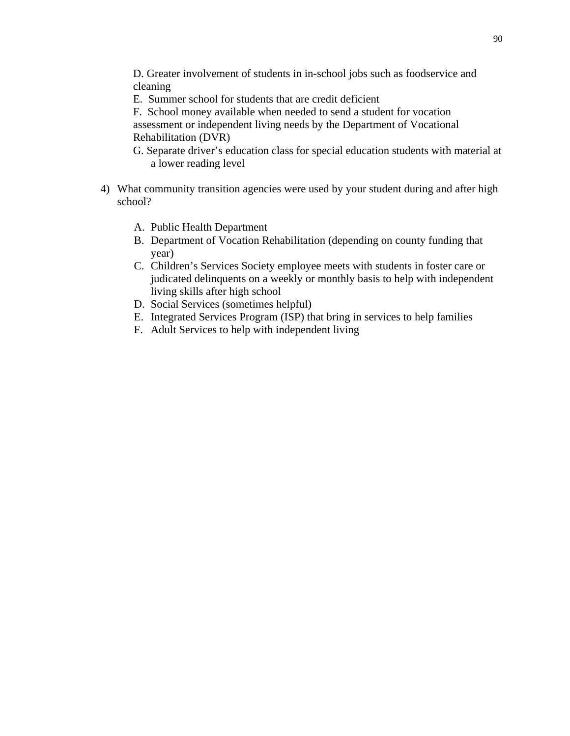D. Greater involvement of students in in-school jobs such as foodservice and cleaning

E. Summer school for students that are credit deficient

F. School money available when needed to send a student for vocation assessment or independent living needs by the Department of Vocational Rehabilitation (DVR)

- G. Separate driver's education class for special education students with material at a lower reading level
- 4) What community transition agencies were used by your student during and after high school?
	- A. Public Health Department
	- B. Department of Vocation Rehabilitation (depending on county funding that year)
	- C. Children's Services Society employee meets with students in foster care or judicated delinquents on a weekly or monthly basis to help with independent living skills after high school
	- D. Social Services (sometimes helpful)
	- E. Integrated Services Program (ISP) that bring in services to help families
	- F. Adult Services to help with independent living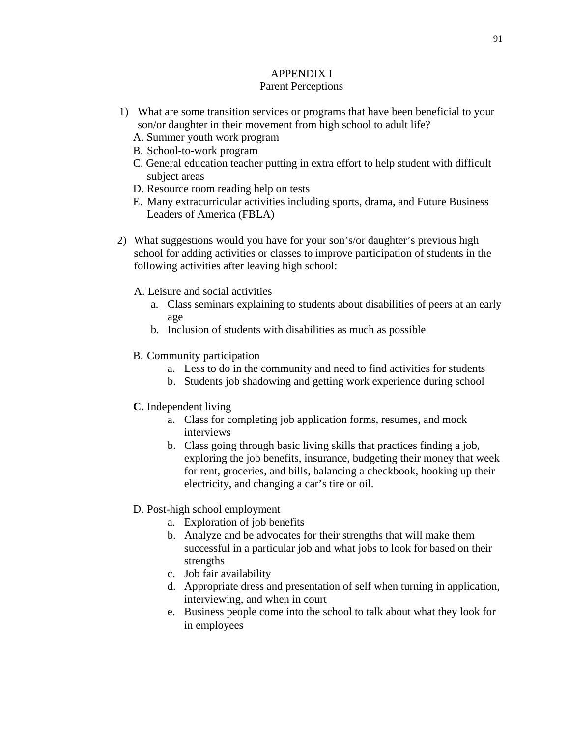### APPENDIX I Parent Perceptions

- 1) What are some transition services or programs that have been beneficial to your son/or daughter in their movement from high school to adult life?
	- A. Summer youth work program
	- B. School-to-work program
	- C. General education teacher putting in extra effort to help student with difficult subject areas
	- D. Resource room reading help on tests
	- E. Many extracurricular activities including sports, drama, and Future Business Leaders of America (FBLA)
- 2) What suggestions would you have for your son's/or daughter's previous high school for adding activities or classes to improve participation of students in the following activities after leaving high school:
	- A. Leisure and social activities
		- a. Class seminars explaining to students about disabilities of peers at an early age
		- b. Inclusion of students with disabilities as much as possible
	- B. Community participation
		- a. Less to do in the community and need to find activities for students
		- b. Students job shadowing and getting work experience during school
	- **C.** Independent living
		- a. Class for completing job application forms, resumes, and mock interviews
		- b. Class going through basic living skills that practices finding a job, exploring the job benefits, insurance, budgeting their money that week for rent, groceries, and bills, balancing a checkbook, hooking up their electricity, and changing a car's tire or oil.
	- D. Post-high school employment
		- a. Exploration of job benefits
		- b. Analyze and be advocates for their strengths that will make them successful in a particular job and what jobs to look for based on their strengths
		- c. Job fair availability
		- d. Appropriate dress and presentation of self when turning in application, interviewing, and when in court
		- e. Business people come into the school to talk about what they look for in employees